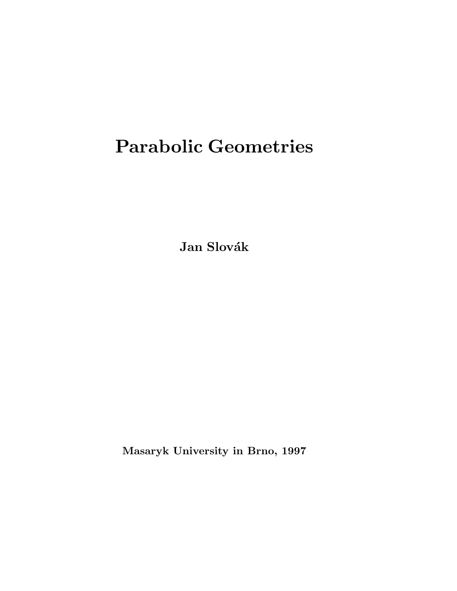# Parabolic Geometries

Jan Slovák

Masaryk University in Brno, 1997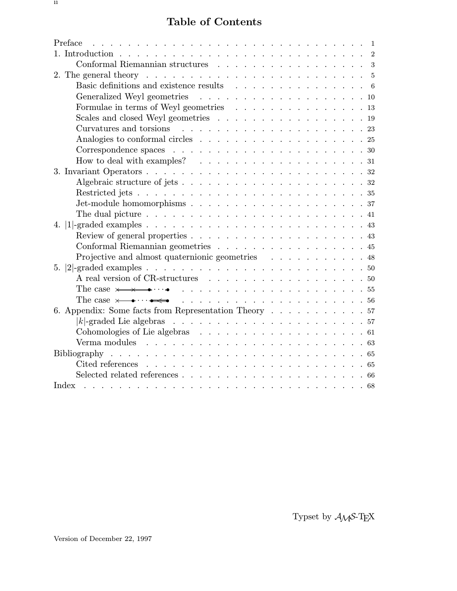## Table of Contents

| Conformal Riemannian structures 3                                                                                            |
|------------------------------------------------------------------------------------------------------------------------------|
|                                                                                                                              |
| Basic definitions and existence results $\ldots$ , 6                                                                         |
|                                                                                                                              |
| Formulae in terms of Weyl geometries 13                                                                                      |
| Scales and closed Weyl geometries $\ldots \ldots \ldots \ldots \ldots \ldots \ldots \ldots$                                  |
|                                                                                                                              |
|                                                                                                                              |
|                                                                                                                              |
| How to deal with examples? $\ldots$ 31                                                                                       |
|                                                                                                                              |
|                                                                                                                              |
|                                                                                                                              |
|                                                                                                                              |
| The dual picture $\ldots$ $\ldots$ $\ldots$ $\ldots$ $\ldots$ $\ldots$ $\ldots$ $\ldots$ $\ldots$ $\ldots$ $\ldots$ $\ldots$ |
|                                                                                                                              |
|                                                                                                                              |
| Conformal Riemannian geometries $\ldots \ldots \ldots \ldots \ldots \ldots \ldots$                                           |
| Projective and almost quaternionic geometries 48                                                                             |
|                                                                                                                              |
|                                                                                                                              |
|                                                                                                                              |
|                                                                                                                              |
| 6. Appendix: Some facts from Representation Theory 57                                                                        |
|                                                                                                                              |
|                                                                                                                              |
|                                                                                                                              |
|                                                                                                                              |
|                                                                                                                              |
|                                                                                                                              |
|                                                                                                                              |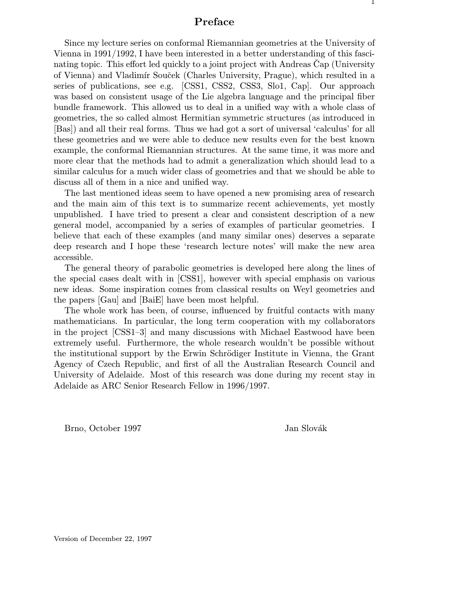## Preface

Since my lecture series on conformal Riemannian geometries at the University of Vienna in 1991/1992, I have been interested in a better understanding of this fascinating topic. This effort led quickly to a joint project with Andreas Cap (University of Vienna) and Vladimír Souček (Charles University, Prague), which resulted in a series of publications, see e.g. [CSS1, CSS2, CSS3, Slo1, Cap]. Our approach was based on consistent usage of the Lie algebra language and the principal fiber bundle framework. This allowed us to deal in a unified way with a whole class of geometries, the so called almost Hermitian symmetric structures (as introduced in [Bas]) and all their real forms. Thus we had got a sort of universal 'calculus' for all these geometries and we were able to deduce new results even for the best known example, the conformal Riemannian structures. At the same time, it was more and more clear that the methods had to admit a generalization which should lead to a similar calculus for a much wider class of geometries and that we should be able to discuss all of them in a nice and unified way.

The last mentioned ideas seem to have opened a new promising area of research and the main aim of this text is to summarize recent achievements, yet mostly unpublished. I have tried to present a clear and consistent description of a new general model, accompanied by a series of examples of particular geometries. I believe that each of these examples (and many similar ones) deserves a separate deep research and I hope these 'research lecture notes' will make the new area accessible.

The general theory of parabolic geometries is developed here along the lines of the special cases dealt with in [CSS1], however with special emphasis on various new ideas. Some inspiration comes from classical results on Weyl geometries and the papers [Gau] and [BaiE] have been most helpful.

The whole work has been, of course, influenced by fruitful contacts with many mathematicians. In particular, the long term cooperation with my collaborators in the project [CSS1–3] and many discussions with Michael Eastwood have been extremely useful. Furthermore, the whole research wouldn't be possible without the institutional support by the Erwin Schrödiger Institute in Vienna, the Grant Agency of Czech Republic, and first of all the Australian Research Council and University of Adelaide. Most of this research was done during my recent stay in Adelaide as ARC Senior Research Fellow in 1996/1997.

Brno, October 1997 Jan Slovák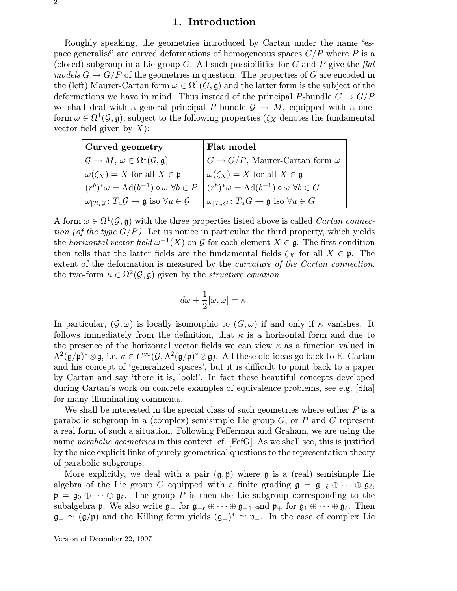## 1. Introduction

Roughly speaking, the geometries introduced by Cartan under the name 'espace generalisé' are curved deformations of homogeneous spaces  $G/P$  where P is a (closed) subgroup in a Lie group G. All such possibilities for G and P give the flat models  $G \to G/P$  of the geometries in question. The properties of G are encoded in the (left) Maurer-Cartan form  $\omega \in \Omega^1(G, \mathfrak{g})$  and the latter form is the subject of the deformations we have in mind. Thus instead of the principal P-bundle  $G \to G/P$ we shall deal with a general principal P-bundle  $\mathcal{G} \to M$ , equipped with a oneform  $\omega \in \Omega^1(\mathcal{G}, \mathfrak{g})$ , subject to the following properties  $(\zeta_X)$  denotes the fundamental vector field given by  $X$ ):

| Curved geometry                                                                                       | Flat model                                                              |
|-------------------------------------------------------------------------------------------------------|-------------------------------------------------------------------------|
| $\mathcal{G} \to M, \, \omega \in \Omega^1(\mathcal{G}, \mathfrak{g})$                                | $ G \rightarrow G/P$ , Maurer-Cartan form $\omega$                      |
| $\omega(\zeta_X) = X$ for all $X \in \mathfrak{p}$                                                    | $\omega(\zeta_X) = X$ for all $X \in \mathfrak{g}$                      |
| $ (r^{b})^*\omega = \mathrm{Ad}(b^{-1}) \circ \omega \,\,\forall b \in P$                             | $ (r^b)^*\omega = \mathrm{Ad}(b^{-1}) \circ \omega \,\,\forall b \in G$ |
| $\big \omega_{ T_u}\mathcal{G}:T_u\mathcal{G}\to\mathfrak{g}\text{ iso }\forall u\in\mathcal{G}\big $ | $\forall u  _{T_u G} : T_u G \to \mathfrak{g}$ iso $\forall u \in G$    |

A form  $\omega \in \Omega^1(\mathcal{G}, \mathfrak{g})$  with the three properties listed above is called *Cartan connec*tion (of the type  $G/P$ ). Let us notice in particular the third property, which yields the *horizontal vector field*  $\omega^{-1}(X)$  on G for each element  $X \in \mathfrak{g}$ . The first condition then tells that the latter fields are the fundamental fields  $\zeta_X$  for all  $X \in \mathfrak{p}$ . The extent of the deformation is measured by the curvature of the Cartan connection, the two-form  $\kappa \in \Omega^2(\mathcal{G}, \mathfrak{g})$  given by the *structure equation* 

$$
d\omega + \frac{1}{2}[\omega, \omega] = \kappa.
$$

In particular,  $(\mathcal{G}, \omega)$  is locally isomorphic to  $(G, \omega)$  if and only if  $\kappa$  vanishes. It follows immediately from the definition, that  $\kappa$  is a horizontal form and due to the presence of the horizontal vector fields we can view  $\kappa$  as a function valued in  $\Lambda^2(\mathfrak{g}/\mathfrak{p})^*\otimes\mathfrak{g},$  i.e.  $\kappa\in C^\infty(\mathcal{G},\Lambda^2(\mathfrak{g}/\mathfrak{p})^*\otimes\mathfrak{g}).$  All these old ideas go back to E. Cartan and his concept of 'generalized spaces', but it is difficult to point back to a paper by Cartan and say 'there it is, look!'. In fact these beautiful concepts developed during Cartan's work on concrete examples of equivalence problems, see e.g. [Sha] for many illuminating comments.

We shall be interested in the special class of such geometries where either  $P$  is a parabolic subgroup in a (complex) semisimple Lie group  $G$ , or  $P$  and  $G$  represent a real form of such a situation. Following Fefferman and Graham, we are using the name parabolic geometries in this context, cf. [FefG]. As we shall see, this is justified by the nice explicit links of purely geometrical questions to the representation theory of parabolic subgroups.

More explicitly, we deal with a pair  $(g, \mathfrak{p})$  where g is a (real) semisimple Lie algebra of the Lie group G equipped with a finite grading  $\mathfrak{g} = \mathfrak{g}_{-\ell} \oplus \cdots \oplus \mathfrak{g}_{\ell}$ ,  $\mathfrak{p} = \mathfrak{g}_0 \oplus \cdots \oplus \mathfrak{g}_\ell$ . The group P is then the Lie subgroup corresponding to the subalgebra p. We also write  $\mathfrak{g}_-$  for  $\mathfrak{g}_{-\ell} \oplus \cdots \oplus \mathfrak{g}_{-1}$  and  $\mathfrak{p}_+$  for  $\mathfrak{g}_1 \oplus \cdots \oplus \mathfrak{g}_{\ell}$ . Then  $\mathfrak{g}_-\simeq(\mathfrak{g}/\mathfrak{p})$  and the Killing form yields  $(\mathfrak{g}_-)^*\simeq\mathfrak{p}_+$ . In the case of complex Lie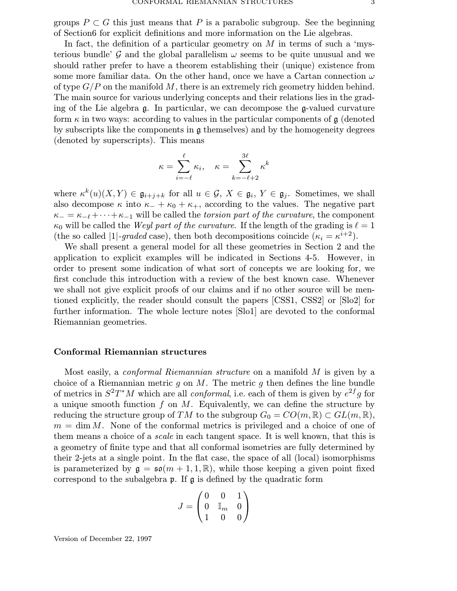groups  $P \subset G$  this just means that P is a parabolic subgroup. See the beginning of Section6 for explicit definitions and more information on the Lie algebras.

In fact, the definition of a particular geometry on  $M$  in terms of such a 'mysterious bundle' G and the global parallelism  $\omega$  seems to be quite unusual and we should rather prefer to have a theorem establishing their (unique) existence from some more familiar data. On the other hand, once we have a Cartan connection  $\omega$ of type  $G/P$  on the manifold M, there is an extremely rich geometry hidden behind. The main source for various underlying concepts and their relations lies in the grading of the Lie algebra  $\mathfrak{g}$ . In particular, we can decompose the  $\mathfrak{g}$ -valued curvature form  $\kappa$  in two ways: according to values in the particular components of  $\mathfrak g$  (denoted by subscripts like the components in g themselves) and by the homogeneity degrees (denoted by superscripts). This means

$$
\kappa = \sum_{i=-\ell}^\ell \kappa_i, \quad \kappa = \sum_{k=-\ell+2}^{3\ell} \kappa^k
$$

where  $\kappa^k(u)(X,Y) \in \mathfrak{g}_{i+j+k}$  for all  $u \in \mathcal{G}, X \in \mathfrak{g}_i, Y \in \mathfrak{g}_j$ . Sometimes, we shall also decompose  $\kappa$  into  $\kappa$ - +  $\kappa$ <sub>0</sub> +  $\kappa$ <sub>+</sub>, according to the values. The negative part  $\kappa_-=\kappa_{-\ell}+\cdots+\kappa_{-1}$  will be called the *torsion part of the curvature*, the component  $\kappa_0$  will be called the Weyl part of the curvature. If the length of the grading is  $\ell = 1$ (the so called |1|-graded case), then both decompositions coincide  $(\kappa_i = \kappa^{i+2})$ .

We shall present a general model for all these geometries in Section 2 and the application to explicit examples will be indicated in Sections 4-5. However, in order to present some indication of what sort of concepts we are looking for, we first conclude this introduction with a review of the best known case. Whenever we shall not give explicit proofs of our claims and if no other source will be mentioned explicitly, the reader should consult the papers [CSS1, CSS2] or [Slo2] for further information. The whole lecture notes [Slo1] are devoted to the conformal Riemannian geometries.

#### Conformal Riemannian structures

Most easily, a conformal Riemannian structure on a manifold M is given by a choice of a Riemannian metric q on M. The metric q then defines the line bundle of metrics in  $S^2T^*M$  which are all *conformal*, i.e. each of them is given by  $e^{2f}g$  for a unique smooth function  $f$  on  $M$ . Equivalently, we can define the structure by reducing the structure group of TM to the subgroup  $G_0 = CO(m, \mathbb{R}) \subset GL(m, \mathbb{R}),$  $m = \dim M$ . None of the conformal metrics is privileged and a choice of one of them means a choice of a scale in each tangent space. It is well known, that this is a geometry of finite type and that all conformal isometries are fully determined by their 2-jets at a single point. In the flat case, the space of all (local) isomorphisms is parameterized by  $\mathfrak{g} = \mathfrak{so}(m + 1, 1, \mathbb{R})$ , while those keeping a given point fixed correspond to the subalgebra  $\mathfrak p$ . If  $\mathfrak g$  is defined by the quadratic form

$$
J = \begin{pmatrix} 0 & 0 & 1 \\ 0 & \mathbb{I}_m & 0 \\ 1 & 0 & 0 \end{pmatrix}
$$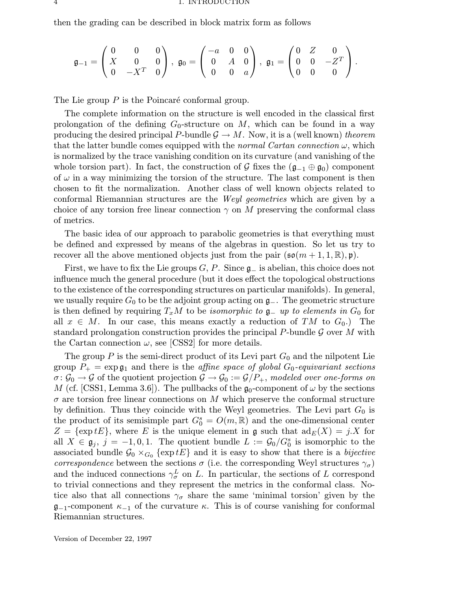then the grading can be described in block matrix form as follows

$$
\mathfrak{g}_{-1} = \begin{pmatrix} 0 & 0 & 0 \\ X & 0 & 0 \\ 0 & -X^T & 0 \end{pmatrix}, \ \mathfrak{g}_0 = \begin{pmatrix} -a & 0 & 0 \\ 0 & A & 0 \\ 0 & 0 & a \end{pmatrix}, \ \mathfrak{g}_1 = \begin{pmatrix} 0 & Z & 0 \\ 0 & 0 & -Z^T \\ 0 & 0 & 0 \end{pmatrix}.
$$

The Lie group  $P$  is the Poincaré conformal group.

The complete information on the structure is well encoded in the classical first prolongation of the defining  $G_0$ -structure on M, which can be found in a way producing the desired principal P-bundle  $\mathcal{G} \to M$ . Now, it is a (well known) theorem that the latter bundle comes equipped with the normal Cartan connection  $\omega$ , which is normalized by the trace vanishing condition on its curvature (and vanishing of the whole torsion part). In fact, the construction of G fixes the  $(\mathfrak{g}_{-1} \oplus \mathfrak{g}_0)$  component of  $\omega$  in a way minimizing the torsion of the structure. The last component is then chosen to fit the normalization. Another class of well known objects related to conformal Riemannian structures are the Weyl geometries which are given by a choice of any torsion free linear connection  $\gamma$  on M preserving the conformal class of metrics.

The basic idea of our approach to parabolic geometries is that everything must be defined and expressed by means of the algebras in question. So let us try to recover all the above mentioned objects just from the pair  $(\mathfrak{so}(m+1,1,\mathbb{R}),\mathfrak{p}).$ 

First, we have to fix the Lie groups  $G, P$ . Since  $\mathfrak{g}_-$  is abelian, this choice does not influence much the general procedure (but it does effect the topological obstructions to the existence of the corresponding structures on particular manifolds). In general, we usually require  $G_0$  to be the adjoint group acting on  $\mathfrak{g}_-$ . The geometric structure is then defined by requiring  $T_xM$  to be *isomorphic to*  $\mathfrak{g}_-$  up to elements in  $G_0$  for all  $x \in M$ . In our case, this means exactly a reduction of TM to  $G_0$ .) The standard prolongation construction provides the principal P-bundle  $\mathcal G$  over M with the Cartan connection  $\omega$ , see [CSS2] for more details.

The group P is the semi-direct product of its Levi part  $G_0$  and the nilpotent Lie group  $P_+ = \exp \mathfrak{g}_1$  and there is the *affine space of global*  $G_0$ -equivariant sections  $\sigma: \mathcal{G}_0 \to \mathcal{G}$  of the quotient projection  $\mathcal{G} \to \mathcal{G}_0 := \mathcal{G}/P_+$ , modeled over one-forms on M (cf. [CSS1, Lemma 3.6]). The pullbacks of the  $\mathfrak{g}_0$ -component of  $\omega$  by the sections  $\sigma$  are torsion free linear connections on M which preserve the conformal structure by definition. Thus they coincide with the Weyl geometries. The Levi part  $G_0$  is the product of its semisimple part  $G_0^s = O(m, \mathbb{R})$  and the one-dimensional center  $Z = {\exp tE}$ , where E is the unique element in g such that  $\mathrm{ad}_E(X) = j.X$  for all  $X \in \mathfrak{g}_j$ ,  $j = -1, 0, 1$ . The quotient bundle  $L := \mathcal{G}_0/G_0^s$  is isomorphic to the associated bundle  $\mathcal{G}_0 \times_{G_0} {\text{exptE}}$  and it is easy to show that there is a *bijective* correspondence between the sections  $\sigma$  (i.e. the corresponding Weyl structures  $\gamma_{\sigma}$ ) and the induced connections  $\gamma_{\sigma}^L$  on L. In particular, the sections of L correspond to trivial connections and they represent the metrics in the conformal class. Notice also that all connections  $\gamma_{\sigma}$  share the same 'minimal torsion' given by the  $\mathfrak{g}_{-1}$ -component  $\kappa_{-1}$  of the curvature  $\kappa$ . This is of course vanishing for conformal Riemannian structures.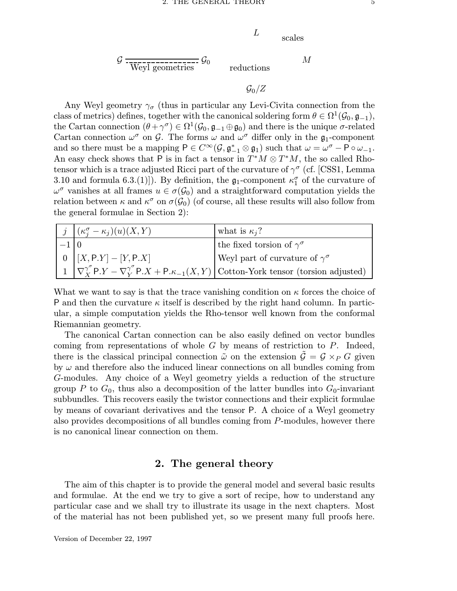$\mathcal{G}_0$ 

scales

M

 $\cal G$ Weyl geometries

reductions

 $\mathcal{G}_0/Z$ 

L

Any Weyl geometry  $\gamma_{\sigma}$  (thus in particular any Levi-Civita connection from the class of metrics) defines, together with the canonical soldering form  $\theta \in \Omega^1(\mathcal{G}_0, \mathfrak{g}_{-1}),$ the Cartan connection  $(\theta + \gamma^{\sigma}) \in \Omega^1(\mathcal{G}_0, \mathfrak{g}_{-1} \oplus \mathfrak{g}_0)$  and there is the unique  $\sigma$ -related Cartan connection  $\omega^{\sigma}$  on  $\mathcal{G}$ . The forms  $\omega$  and  $\omega^{\sigma}$  differ only in the  $\mathfrak{g}_1$ -component and so there must be a mapping  $P \in C^{\infty}(\mathcal{G}, \mathfrak{g}_{-1}^* \otimes \mathfrak{g}_1)$  such that  $\omega = \omega^{\sigma} - P \circ \omega_{-1}$ . An easy check shows that P is in fact a tensor in  $T^*M \otimes T^*M$ , the so called Rhotensor which is a trace adjusted Ricci part of the curvature of  $\gamma^{\sigma}$  (cf. [CSS1, Lemma 3.10 and formula 6.3.(1)]). By definition, the  $\mathfrak{g}_1$ -component  $\kappa_1^{\sigma}$  of the curvature of  $\omega^{\sigma}$  vanishes at all frames  $u \in \sigma(\mathcal{G}_0)$  and a straightforward computation yields the relation between  $\kappa$  and  $\kappa^{\sigma}$  on  $\sigma(\mathcal{G}_0)$  (of course, all these results will also follow from the general formulae in Section 2):

| $\left( \kappa_i^{\sigma} - \kappa_j \right) (u)(X, Y)$ | what is $\kappa_i$ ?                                                                                                                              |
|---------------------------------------------------------|---------------------------------------------------------------------------------------------------------------------------------------------------|
|                                                         | the fixed torsion of $\gamma^{\sigma}$                                                                                                            |
| 0 $[X, P.Y] - [Y, P.X]$                                 | Weyl part of curvature of $\gamma^{\sigma}$                                                                                                       |
|                                                         | $1 \left  \nabla^{\gamma^{\sigma}}_{X} P.Y - \nabla^{\gamma^{\sigma}}_{Y} P.X + P.\kappa_{-1}(X,Y) \right $ Cotton-York tensor (torsion adjusted) |

What we want to say is that the trace vanishing condition on  $\kappa$  forces the choice of P and then the curvature  $\kappa$  itself is described by the right hand column. In particular, a simple computation yields the Rho-tensor well known from the conformal Riemannian geometry.

The canonical Cartan connection can be also easily defined on vector bundles coming from representations of whole  $G$  by means of restriction to  $P$ . Indeed, there is the classical principal connection  $\tilde{\omega}$  on the extension  $\tilde{\mathcal{G}} = \mathcal{G} \times_P G$  given by  $\omega$  and therefore also the induced linear connections on all bundles coming from G-modules. Any choice of a Weyl geometry yields a reduction of the structure group P to  $G_0$ , thus also a decomposition of the latter bundles into  $G_0$ -invariant subbundles. This recovers easily the twistor connections and their explicit formulae by means of covariant derivatives and the tensor P. A choice of a Weyl geometry also provides decompositions of all bundles coming from P-modules, however there is no canonical linear connection on them.

## 2. The general theory

The aim of this chapter is to provide the general model and several basic results and formulae. At the end we try to give a sort of recipe, how to understand any particular case and we shall try to illustrate its usage in the next chapters. Most of the material has not been published yet, so we present many full proofs here.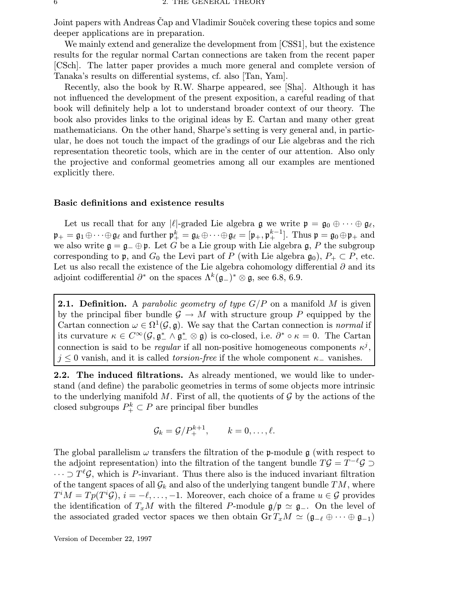Joint papers with Andreas Cap and Vladimir Souček covering these topics and some deeper applications are in preparation.

We mainly extend and generalize the development from [CSS1], but the existence results for the regular normal Cartan connections are taken from the recent paper [CSch]. The latter paper provides a much more general and complete version of Tanaka's results on differential systems, cf. also [Tan, Yam].

Recently, also the book by R.W. Sharpe appeared, see [Sha]. Although it has not influenced the development of the present exposition, a careful reading of that book will definitely help a lot to understand broader context of our theory. The book also provides links to the original ideas by E. Cartan and many other great mathematicians. On the other hand, Sharpe's setting is very general and, in particular, he does not touch the impact of the gradings of our Lie algebras and the rich representation theoretic tools, which are in the center of our attention. Also only the projective and conformal geometries among all our examples are mentioned explicitly there.

## Basic definitions and existence results

Let us recall that for any |l|-graded Lie algebra g we write  $\mathfrak{p} = \mathfrak{g}_0 \oplus \cdots \oplus \mathfrak{g}_\ell$ ,  $\mathfrak{p}_+=\mathfrak{g}_1\oplus\cdots\oplus\mathfrak{g}_\ell\text{ and further }\mathfrak{p}_+^k=\mathfrak{g}_k\oplus\cdots\oplus\mathfrak{g}_\ell=[\mathfrak{p}_+,\mathfrak{p}_+^{k-1}].\ \text{ Thus }\mathfrak{p}=\mathfrak{g}_0\oplus\mathfrak{p}_+\text{ and}$ we also write  $\mathfrak{g} = \mathfrak{g}_- \oplus \mathfrak{p}$ . Let G be a Lie group with Lie algebra g, P the subgroup corresponding to p, and  $G_0$  the Levi part of P (with Lie algebra  $\mathfrak{g}_0$ ),  $P_+ \subset P$ , etc. Let us also recall the existence of the Lie algebra cohomology differential  $\partial$  and its adjoint codifferential  $\partial^*$  on the spaces  $\Lambda^k(\mathfrak{g}_-)^* \otimes \mathfrak{g}$ , see 6.8, 6.9.

**2.1. Definition.** A parabolic geometry of type  $G/P$  on a manifold M is given by the principal fiber bundle  $\mathcal{G} \to M$  with structure group P equipped by the Cartan connection  $\omega \in \Omega^1(\mathcal{G}, \mathfrak{g})$ . We say that the Cartan connection is normal if its curvature  $\kappa \in C^{\infty}(\mathcal{G}, \mathfrak{g}_{-}^{*} \wedge \mathfrak{g}_{-}^{*} \otimes \mathfrak{g})$  is co-closed, i.e.  $\partial^{*} \circ \kappa = 0$ . The Cartan connection is said to be *regular* if all non-positive homogeneous components  $\kappa^{j}$ ,  $j \leq 0$  vanish, and it is called *torsion-free* if the whole component  $\kappa$ <sub>-</sub> vanishes.

2.2. The induced filtrations. As already mentioned, we would like to understand (and define) the parabolic geometries in terms of some objects more intrinsic to the underlying manifold  $M$ . First of all, the quotients of  $\mathcal G$  by the actions of the closed subgroups  $P_+^k \subset P$  are principal fiber bundles

$$
\mathcal{G}_k = \mathcal{G}/P_+^{k+1}, \qquad k = 0, \ldots, \ell.
$$

The global parallelism  $\omega$  transfers the filtration of the p-module g (with respect to the adjoint representation) into the filtration of the tangent bundle  $T\mathcal{G} = T^{-\ell}\mathcal{G} \supset$  $\cdots \supset T^{\ell} \mathcal{G}$ , which is P-invariant. Thus there also is the induced invariant filtration of the tangent spaces of all  $\mathcal{G}_k$  and also of the underlying tangent bundle TM, where  $T^iM = Tp(T^i\mathcal{G}), i = -\ell, \ldots, -1.$  Moreover, each choice of a frame  $u \in \mathcal{G}$  provides the identification of  $T_xM$  with the filtered P-module  $\mathfrak{g}/\mathfrak{p} \simeq \mathfrak{g}_-$ . On the level of the associated graded vector spaces we then obtain  $\operatorname{Gr} T_xM \simeq (\mathfrak{g}_{-\ell} \oplus \cdots \oplus \mathfrak{g}_{-1})$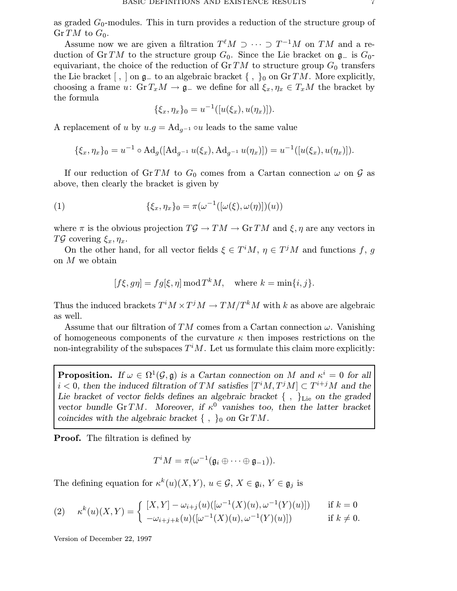as graded  $G_0$ -modules. This in turn provides a reduction of the structure group of  $Gr TM$  to  $G_0$ .

Assume now we are given a filtration  $T^{\ell}M \supset \cdots \supset T^{-1}M$  on TM and a reduction of Gr TM to the structure group  $G_0$ . Since the Lie bracket on  $\mathfrak{g}_-$  is  $G_0$ equivariant, the choice of the reduction of  $Gr TM$  to structure group  $G_0$  transfers the Lie bracket  $[ , ]$  on  $\mathfrak{g}_-$  to an algebraic bracket  $\{ , \}_0$  on Gr TM. More explicitly, choosing a frame u:  $\text{Gr } T_xM \to \mathfrak{g}_-$  we define for all  $\xi_x, \eta_x \in T_xM$  the bracket by the formula

$$
\{\xi_x, \eta_x\}_0 = u^{-1}([u(\xi_x), u(\eta_x)]).
$$

A replacement of u by  $u.g = Ad_{q^{-1}} \circ u$  leads to the same value

$$
\{\xi_x, \eta_x\}_0 = u^{-1} \circ \mathrm{Ad}_g([{\rm Ad}_{g^{-1}} u(\xi_x), {\rm Ad}_{g^{-1}} u(\eta_x)]) = u^{-1}([u(\xi_x), u(\eta_x)]).
$$

If our reduction of Gr TM to  $G_0$  comes from a Cartan connection  $\omega$  on  $\mathcal G$  as above, then clearly the bracket is given by

(1) 
$$
\{\xi_x, \eta_x\}_0 = \pi(\omega^{-1}([\omega(\xi), \omega(\eta)])(u))
$$

where  $\pi$  is the obvious projection  $T\mathcal{G} \to TM \to \mathbf{Gr}TM$  and  $\xi, \eta$  are any vectors in TG covering  $\xi_x, \eta_x$ .

On the other hand, for all vector fields  $\xi \in T^iM$ ,  $\eta \in T^jM$  and functions f, g on M we obtain

$$
[f\xi, g\eta] = fg[\xi, \eta] \bmod T^k M, \text{ where } k = \min\{i, j\}.
$$

Thus the induced brackets  $T^iM \times T^jM \to TM/T^kM$  with k as above are algebraic as well.

Assume that our filtration of TM comes from a Cartan connection  $\omega$ . Vanishing of homogeneous components of the curvature  $\kappa$  then imposes restrictions on the non-integrability of the subspaces  $T^iM$ . Let us formulate this claim more explicitly:

**Proposition.** If  $\omega \in \Omega^1(\mathcal{G}, \mathfrak{g})$  is a Cartan connection on M and  $\kappa^i = 0$  for all  $i < 0$ , then the induced filtration of TM satisfies  $[T^i M, T^j M] \subset T^{i+j} M$  and the Lie bracket of vector fields defines an algebraic bracket  $\{\ ,\ \}_{\mathrm{Lie}}$  on the graded vector bundle GrTM. Moreover, if  $\kappa^0$  vanishes too, then the latter bracket coincides with the algebraic bracket  $\{\ ,\ \}_0$  on  $\text{Gr }TM$ .

**Proof.** The filtration is defined by

$$
T^iM=\pi(\omega^{-1}(\mathfrak{g}_i\oplus\cdots\oplus\mathfrak{g}_{-1})).
$$

The defining equation for  $\kappa^k(u)(X,Y)$ ,  $u \in \mathcal{G}, X \in \mathfrak{g}_i, Y \in \mathfrak{g}_j$  is

(2) 
$$
\kappa^{k}(u)(X,Y) = \begin{cases} [X,Y] - \omega_{i+j}(u)([\omega^{-1}(X)(u), \omega^{-1}(Y)(u)]) & \text{if } k = 0\\ -\omega_{i+j+k}(u)([\omega^{-1}(X)(u), \omega^{-1}(Y)(u)]) & \text{if } k \neq 0. \end{cases}
$$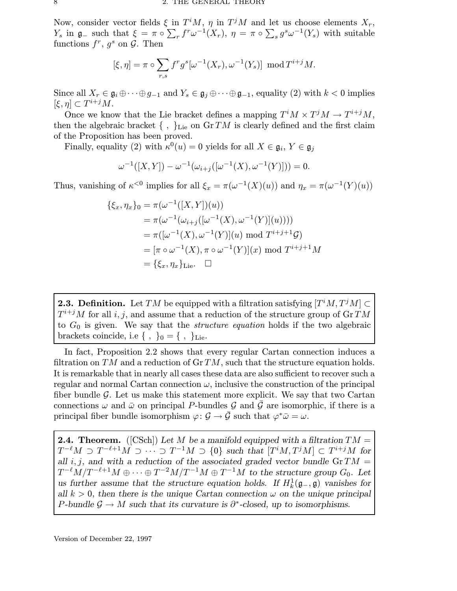Now, consider vector fields  $\xi$  in  $T^iM$ ,  $\eta$  in  $T^jM$  and let us choose elements  $X_r$ ,  $Y_s$  in  $\mathfrak{g}_-$  such that  $\xi = \pi \circ \sum_r f^r \omega^{-1}(X_r)$ ,  $\eta = \pi \circ \sum_s g^s \omega^{-1}(Y_s)$  with suitable functions  $f^r$ ,  $g^s$  on  $\mathcal{G}$ . Then

$$
[\xi, \eta] = \pi \circ \sum_{r,s} f^r g^s [\omega^{-1}(X_r), \omega^{-1}(Y_s)] \mod T^{i+j}M.
$$

Since all  $X_r \in \mathfrak{g}_i \oplus \cdots \oplus g_{-1}$  and  $Y_s \in \mathfrak{g}_j \oplus \cdots \oplus \mathfrak{g}_{-1}$ , equality (2) with  $k < 0$  implies  $[\xi, \eta] \subset T^{i+j}M.$ 

Once we know that the Lie bracket defines a mapping  $T^iM \times T^jM \to T^{i+j}M$ , then the algebraic bracket  $\{\ ,\ \}_{\text{Lie}}$  on  $\text{Gr }TM$  is clearly defined and the first claim of the Proposition has been proved.

Finally, equality (2) with  $\kappa^{0}(u) = 0$  yields for all  $X \in \mathfrak{g}_i, Y \in \mathfrak{g}_j$ 

$$
\omega^{-1}([X,Y]) - \omega^{-1}(\omega_{i+j}([\omega^{-1}(X), \omega^{-1}(Y)])) = 0.
$$

Thus, vanishing of  $\kappa^{<0}$  implies for all  $\xi_x = \pi(\omega^{-1}(X)(u))$  and  $\eta_x = \pi(\omega^{-1}(Y)(u))$ 

$$
\{\xi_x, \eta_x\}_0 = \pi(\omega^{-1}([X, Y])(u))
$$
  
=  $\pi(\omega^{-1}(\omega_{i+j}([\omega^{-1}(X), \omega^{-1}(Y)](u))))$   
=  $\pi([\omega^{-1}(X), \omega^{-1}(Y)](u) \text{ mod } T^{i+j+1}\mathcal{G})$   
=  $[\pi \circ \omega^{-1}(X), \pi \circ \omega^{-1}(Y)](x) \text{ mod } T^{i+j+1}M$   
=  $\{\xi_x, \eta_x\}_{\text{Lie}}.\square$ 

**2.3. Definition.** Let  $TM$  be equipped with a filtration satisfying  $[T^iM, T^jM] \subset$  $T^{i+j}M$  for all  $i, j$ , and assume that a reduction of the structure group of Gr  $TM$ to  $G_0$  is given. We say that the *structure equation* holds if the two algebraic brackets coincide, i.e { , }\_0 = { , }\_ Lie.

In fact, Proposition 2.2 shows that every regular Cartan connection induces a filtration on TM and a reduction of  $GrTM$ , such that the structure equation holds. It is remarkable that in nearly all cases these data are also sufficient to recover such a regular and normal Cartan connection  $\omega$ , inclusive the construction of the principal fiber bundle  $\mathcal G$ . Let us make this statement more explicit. We say that two Cartan connections  $\omega$  and  $\bar{\omega}$  on principal P-bundles G and  $\bar{G}$  are isomorphic, if there is a principal fiber bundle isomorphism  $\varphi: \mathcal{G} \to \bar{\mathcal{G}}$  such that  $\varphi^* \bar{\omega} = \omega$ .

**2.4. Theorem.** ([CSch]) Let M be a manifold equipped with a filtration  $TM =$  $T^{-\ell}M \supset T^{-\ell+1}M \supset \cdots \supset T^{-1}M \supset \{0\}$  such that  $[T^iM, T^jM] \subset T^{i+j}M$  for all i, j, and with a reduction of the associated graded vector bundle Gr  $TM =$  $T^{-\ell}M/T^{-\ell+1}M\oplus\cdots\oplus T^{-2}M/T^{-1}M\oplus T^{-1}M$  to the structure group  $G_0.$  Let us further assume that the structure equation holds. If  $H_k^1(\mathfrak{g}_-,\mathfrak{g})$  vanishes for all  $k > 0$ , then there is the unique Cartan connection  $\omega$  on the unique principal P-bundle  $\mathcal{G} \to M$  such that its curvature is  $\partial^*$ -closed, up to isomorphisms.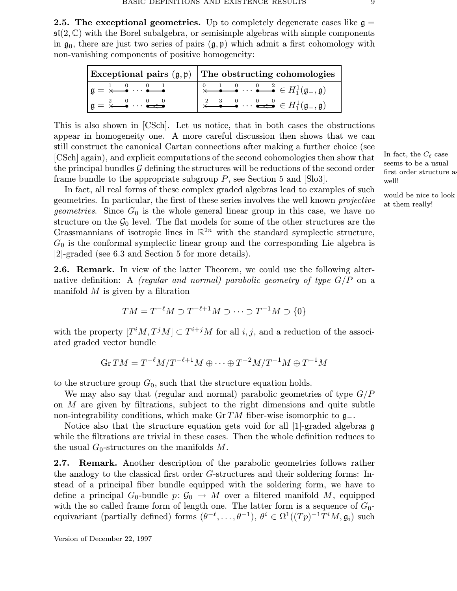**2.5. The exceptional geometries.** Up to completely degenerate cases like  $\mathfrak{g} =$  $\mathfrak{sl}(2,\mathbb{C})$  with the Borel subalgebra, or semisimple algebras with simple components in  $\mathfrak{g}_0$ , there are just two series of pairs  $(\mathfrak{g}, \mathfrak{p})$  which admit a first cohomology with non-vanishing components of positive homogeneity:

|                                                                                                                    | Exceptional pairs $(\mathfrak{g}, \mathfrak{p})$ The obstructing cohomologies                                                                                                         |
|--------------------------------------------------------------------------------------------------------------------|---------------------------------------------------------------------------------------------------------------------------------------------------------------------------------------|
| $\mathfrak{g} = \overset{1}{\times} \overset{0}{\bullet} \cdots \overset{0}{\bullet} \overset{1}{\bullet}$         | $\begin{pmatrix} 0 & 1 & 0 \\ \times & \bullet & \bullet \end{pmatrix}$ $\cdots$ $\begin{pmatrix} 0 & 2 \\ \bullet & \bullet \end{pmatrix}$ $\in H_1^1(\mathfrak{g}_-, \mathfrak{g})$ |
| $\boxed{\mathfrak{g} = \overset{2}{\times} \overset{0}{\bullet} \cdots \overset{0}{\bullet} \overset{0}{\bullet}}$ | $\begin{array}{ccc} \sim & 3 & 0 & \cdots & 0 & 0 \\ \times & \bullet & \bullet & \cdots & \bullet \end{array} \in H_1^1(\mathfrak{g}_-,\mathfrak{g})$                                |

This is also shown in [CSch]. Let us notice, that in both cases the obstructions appear in homogeneity one. A more careful discussion then shows that we can still construct the canonical Cartan connections after making a further choice (see [CSch] again), and explicit computations of the second cohomologies then show that the principal bundles  $G$  defining the structures will be reductions of the second order frame bundle to the appropriate subgroup  $P$ , see Section 5 and [Slo3].

In fact, all real forms of these complex graded algebras lead to examples of such geometries. In particular, the first of these series involves the well known *projective* would be nice to look *geometries.* Since  $G_0$  is the whole general linear group in this case, we have no structure on the  $\mathcal{G}_0$  level. The flat models for some of the other structures are the Grassmannians of isotropic lines in  $\mathbb{R}^{2n}$  with the standard symplectic structure,  $G_0$  is the conformal symplectic linear group and the corresponding Lie algebra is |2|-graded (see 6.3 and Section 5 for more details).

2.6. Remark. In view of the latter Theorem, we could use the following alternative definition: A *(regular and normal)* parabolic geometry of type  $G/P$  on a manifold  $M$  is given by a filtration

$$
TM = T^{-\ell}M \supset T^{-\ell+1}M \supset \cdots \supset T^{-1}M \supset \{0\}
$$

with the property  $[T^iM, T^jM] \subset T^{i+j}M$  for all i, j, and a reduction of the associated graded vector bundle

$$
\operatorname{Gr} TM = T^{-\ell}M/T^{-\ell+1}M \oplus \cdots \oplus T^{-2}M/T^{-1}M \oplus T^{-1}M
$$

to the structure group  $G_0$ , such that the structure equation holds.

We may also say that (regular and normal) parabolic geometries of type  $G/P$ on  $M$  are given by filtrations, subject to the right dimensions and quite subtle non-integrability conditions, which make Gr  $TM$  fiber-wise isomorphic to  $\mathfrak{g}_-$ .

Notice also that the structure equation gets void for all  $|1|$ -graded algebras g while the filtrations are trivial in these cases. Then the whole definition reduces to the usual  $G_0$ -structures on the manifolds M.

2.7. Remark. Another description of the parabolic geometries follows rather the analogy to the classical first order G-structures and their soldering forms: Instead of a principal fiber bundle equipped with the soldering form, we have to define a principal  $G_0$ -bundle  $p: \mathcal{G}_0 \to M$  over a filtered manifold M, equipped with the so called frame form of length one. The latter form is a sequence of  $G_0$ equivariant (partially defined) forms  $(\theta^{-\ell}, \ldots, \theta^{-1}), \ \theta^i \in \Omega^1((Tp)^{-1}T^iM, \mathfrak{g}_i)$  such

Version of December 22, 1997

In fact, the  $C_{\ell}$  case seems to be a usual first order structure as

at them really!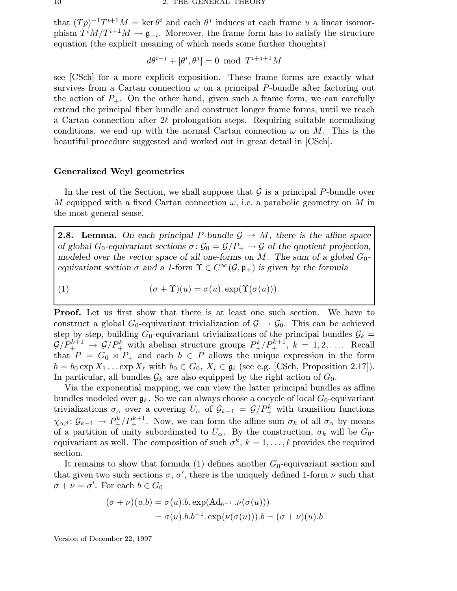that  $(Tp)^{-1}T^{i+1}M = \text{ker }\theta^i$  and each  $\theta^j$  induces at each frame u a linear isomorphism  $T^iM/T^{i+1}M \to \mathfrak{g}_{-i}$ . Moreover, the frame form has to satisfy the structure equation (the explicit meaning of which needs some further thoughts)

$$
d\theta^{i+j}+[\theta^i,\theta^j]=0\ \ \text{mod}\ \ T^{i+j+1}M
$$

see [CSch] for a more explicit exposition. These frame forms are exactly what survives from a Cartan connection  $\omega$  on a principal P-bundle after factoring out the action of  $P_+$ . On the other hand, given such a frame form, we can carefully extend the principal fiber bundle and construct longer frame forms, until we reach a Cartan connection after 2ℓ prolongation steps. Requiring suitable normalizing conditions, we end up with the normal Cartan connection  $\omega$  on M. This is the beautiful procedure suggested and worked out in great detail in [CSch].

## Generalized Weyl geometries

In the rest of the Section, we shall suppose that  $\mathcal G$  is a principal P-bundle over M equipped with a fixed Cartan connection  $\omega$ , i.e. a parabolic geometry on M in the most general sense.

**2.8. Lemma.** On each principal P-bundle  $\mathcal{G} \to M$ , there is the affine space of global G<sub>0</sub>-equivariant sections  $\sigma: \mathcal{G}_0 = \mathcal{G}/P_+ \to \mathcal{G}$  of the quotient projection, modeled over the vector space of all one-forms on M. The sum of a global  $G_0$ equivariant section  $\sigma$  and a 1-form  $\Upsilon \in C^{\infty}(\mathcal{G}, \mathfrak{p}_+)$  is given by the formula

(1)  $(\sigma + \Upsilon)(u) = \sigma(u) \cdot \exp(\Upsilon(\sigma(u))).$ 

Proof. Let us first show that there is at least one such section. We have to construct a global  $G_0$ -equivariant trivialization of  $\mathcal{G} \to \mathcal{G}_0$ . This can be achieved step by step, building  $G_0$ -equivariant trivializations of the principal bundles  $\mathcal{G}_k =$  $\mathcal{G}/P_+^{k+1} \to \mathcal{G}/P_+^k$  with abelian structure groups  $P_+^k/P_+^{k+1}, k = 1, 2, \ldots$ . Recall that  $P = G_0 \rtimes P_+$  and each  $b \in P$  allows the unique expression in the form  $b = b_0 \exp X_1 \dots \exp X_\ell$  with  $b_0 \in G_0$ ,  $X_i \in \mathfrak{g}_i$  (see e.g. [CSch, Proposition 2.17]). In particular, all bundles  $\mathcal{G}_k$  are also equipped by the right action of  $G_0$ .

Via the exponential mapping, we can view the latter principal bundles as affine bundles modeled over  $\mathfrak{g}_k$ . So we can always choose a cocycle of local  $G_0$ -equivariant trivializations  $\sigma_{\alpha}$  over a covering  $U_{\alpha}$  of  $\mathcal{G}_{k-1} = \mathcal{G}/P_{+}^{k}$  with transition functions  $\chi_{\alpha\beta} \colon \mathcal{G}_{k-1} \to P_+^k/P_+^{k+1}$ . Now, we can form the affine sum  $\sigma_k$  of all  $\sigma_\alpha$  by means of a partition of unity subordinated to  $U_{\alpha}$ . By the construction,  $\sigma_k$  will be  $G_0$ equivariant as well. The composition of such  $\sigma^k$ ,  $k = 1, \ldots, \ell$  provides the required section.

It remains to show that formula (1) defines another  $G_0$ -equivariant section and that given two such sections  $\sigma$ ,  $\sigma'$ , there is the uniquely defined 1-form  $\nu$  such that  $\sigma + \nu = \sigma'$ . For each  $b \in G_0$ 

$$
(\sigma + \nu)(u.b) = \sigma(u).b.\exp(\mathrm{Ad}_{b^{-1}} \cdot \nu(\sigma(u)))
$$
  
=  $\sigma(u).b.b^{-1}.\exp(\nu(\sigma(u))).b = (\sigma + \nu)(u).b$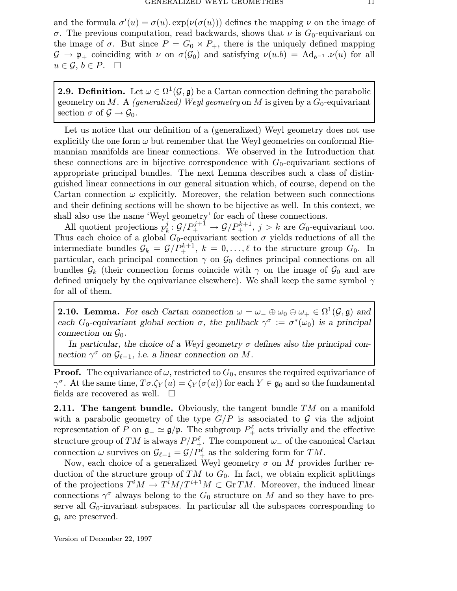and the formula  $\sigma'(u) = \sigma(u)$ .  $\exp(\nu(\sigma(u)))$  defines the mapping  $\nu$  on the image of σ. The previous computation, read backwards, shows that  $ν$  is  $G_0$ -equivariant on the image of  $\sigma$ . But since  $P = G_0 \rtimes P_+$ , there is the uniquely defined mapping  $\mathcal{G} \to \mathfrak{p}_+$  coinciding with  $\nu$  on  $\sigma(\mathcal{G}_0)$  and satisfying  $\nu(u.b) = \text{Ad}_{b^{-1}} \nu(u)$  for all  $u \in \mathcal{G}, b \in P$ .  $\Box$ 

**2.9. Definition.** Let  $\omega \in \Omega^1(\mathcal{G}, \mathfrak{g})$  be a Cartan connection defining the parabolic geometry on M. A (generalized) Weyl geometry on M is given by a  $G_0$ -equivariant section  $\sigma$  of  $\mathcal{G} \to \mathcal{G}_0$ .

Let us notice that our definition of a (generalized) Weyl geometry does not use explicitly the one form  $\omega$  but remember that the Weyl geometries on conformal Riemannian manifolds are linear connections. We observed in the Introduction that these connections are in bijective correspondence with  $G_0$ -equivariant sections of appropriate principal bundles. The next Lemma describes such a class of distinguished linear connections in our general situation which, of course, depend on the Cartan connection  $\omega$  explicitly. Moreover, the relation between such connections and their defining sections will be shown to be bijective as well. In this context, we shall also use the name 'Weyl geometry' for each of these connections.

All quotient projections  $p_k^j$  $k: \mathcal{G}/P_+^{j+1} \to \mathcal{G}/P_+^{k+1}, \ j > k$  are  $G_0$ -equivariant too. Thus each choice of a global  $G_0$ -equivariant section  $\sigma$  yields reductions of all the intermediate bundles  $\mathcal{G}_k = \mathcal{G}/P_+^{k+1}$ ,  $k = 0, \ldots, \ell$  to the structure group  $G_0$ . In particular, each principal connection  $\gamma$  on  $\mathcal{G}_0$  defines principal connections on all bundles  $\mathcal{G}_k$  (their connection forms coincide with  $\gamma$  on the image of  $\mathcal{G}_0$  and are defined uniquely by the equivariance elsewhere). We shall keep the same symbol  $\gamma$ for all of them.

**2.10. Lemma.** For each Cartan connection  $\omega = \omega_- \oplus \omega_0 \oplus \omega_+ \in \Omega^1(\mathcal{G}, \mathfrak{g})$  and each G<sub>0</sub>-equivariant global section  $\sigma$ , the pullback  $\gamma^{\sigma} := \sigma^*(\omega_0)$  is a principal connection on  $\mathcal{G}_0$ .

In particular, the choice of a Weyl geometry  $\sigma$  defines also the principal connection  $\gamma^{\sigma}$  on  $\mathcal{G}_{\ell-1}$ , i.e. a linear connection on M.

**Proof.** The equivariance of  $\omega$ , restricted to  $G_0$ , ensures the required equivariance of  $\gamma^{\sigma}$ . At the same time,  $T\sigma.\zeta_Y(u) = \zeta_Y(\sigma(u))$  for each  $Y \in \mathfrak{g}_0$  and so the fundamental fields are recovered as well.  $\square$ 

**2.11. The tangent bundle.** Obviously, the tangent bundle  $TM$  on a manifold with a parabolic geometry of the type  $G/P$  is associated to  $G$  via the adjoint representation of P on  $\mathfrak{g}$ <sub>−</sub>  $\simeq \mathfrak{g}/\mathfrak{p}$ . The subgroup  $P_+^{\ell}$  acts trivially and the effective  $\text{structure group of } TM \text{ is always } P/P_+^{\ell}. \text{ The component } \omega_- \text{ of the canonical Cartan }$ connection  $\omega$  survives on  $\mathcal{G}_{\ell-1} = \mathcal{G}/P_+^{\ell}$  as the soldering form for  $TM$ .

Now, each choice of a generalized Weyl geometry  $\sigma$  on M provides further reduction of the structure group of  $TM$  to  $G_0$ . In fact, we obtain explicit splittings of the projections  $T^iM \to T^iM/T^{i+1}M \subset \text{Gr }TM$ . Moreover, the induced linear connections  $\gamma^{\sigma}$  always belong to the  $G_0$  structure on M and so they have to preserve all  $G_0$ -invariant subspaces. In particular all the subspaces corresponding to  $\mathfrak{g}_i$  are preserved.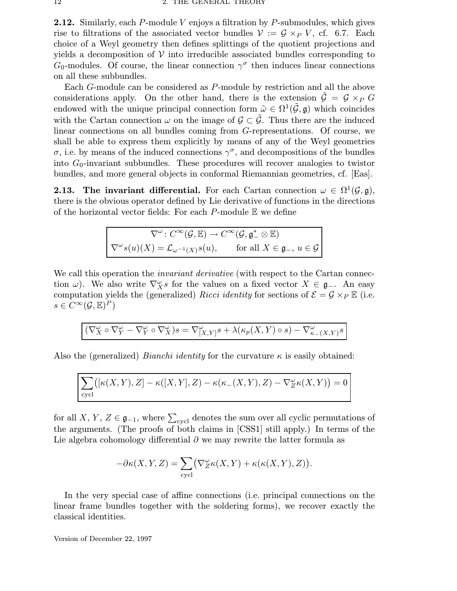**2.12.** Similarly, each P-module V enjoys a filtration by P-submodules, which gives rise to filtrations of the associated vector bundles  $\mathcal{V} := \mathcal{G} \times_{P} V$ , cf. 6.7. Each choice of a Weyl geometry then defines splittings of the quotient projections and yields a decomposition of  $V$  into irreducible associated bundles corresponding to  $G_0$ -modules. Of course, the linear connection  $\gamma^{\sigma}$  then induces linear connections on all these subbundles.

Each G-module can be considered as P-module by restriction and all the above considerations apply. On the other hand, there is the extension  $\tilde{\mathcal{G}} = \mathcal{G} \times_P G$ endowed with the unique principal connection form  $\tilde{\omega} \in \Omega^1(\tilde{\mathcal{G}}, \mathfrak{g})$  which coincides with the Cartan connection  $\omega$  on the image of  $\mathcal{G} \subset \tilde{\mathcal{G}}$ . Thus there are the induced linear connections on all bundles coming from G-representations. Of course, we shall be able to express them explicitly by means of any of the Weyl geometries σ, i.e. by means of the induced connections  $\gamma^{\sigma}$ , and decompositions of the bundles into  $G_0$ -invariant subbundles. These procedures will recover analogies to twistor bundles, and more general objects in conformal Riemannian geometries, cf. [Eas].

**2.13.** The invariant differential. For each Cartan connection  $\omega \in \Omega^1(\mathcal{G}, \mathfrak{g})$ , there is the obvious operator defined by Lie derivative of functions in the directions of the horizontal vector fields: For each  $P$ -module  $E$  we define

$$
\nabla^{\omega} \colon C^{\infty}(\mathcal{G}, \mathbb{E}) \to C^{\infty}(\mathcal{G}, \mathfrak{g}_{-}^{*} \otimes \mathbb{E})
$$
  

$$
\nabla^{\omega} s(u)(X) = \mathcal{L}_{\omega^{-1}(X)} s(u), \qquad \text{for all } X \in \mathfrak{g}_{-}, u \in \mathcal{G}
$$

We call this operation the *invariant derivative* (with respect to the Cartan connection  $\omega$ ). We also write  $\nabla_X^{\omega} s$  for the values on a fixed vector  $X \in \mathfrak{g}_-$ . An easy computation yields the (generalized) Ricci identity for sections of  $\mathcal{E} = \mathcal{G} \times_P \mathbb{E}$  (i.e.  $s \in C^{\infty}(\mathcal{G}, \mathbb{E})^P$ 

$$
\big(\nabla^\omega_X\circ\nabla^\omega_Y-\nabla^\omega_Y\circ\nabla^\omega_X\big)s=\nabla^\omega_{[X,Y]}s+\lambda(\kappa_p(X,Y)\circ s)-\nabla^\omega_{\kappa_-(X,Y)}s
$$

Also the (generalized) *Bianchi identity* for the curvature  $\kappa$  is easily obtained:

$$
\sum_{\text{cycl}} \bigl( [\kappa(X,Y),Z] - \kappa([X,Y],Z) - \kappa(\kappa_-(X,Y),Z) - \nabla_Z^{\omega}\kappa(X,Y) \bigr) = 0
$$

for all X,  $Y, Z \in \mathfrak{g}_{-1}$ , where  $\sum_{\text{cycl}}$  denotes the sum over all cyclic permutations of the arguments. (The proofs of both claims in [CSS1] still apply.) In terms of the Lie algebra cohomology differential  $\partial$  we may rewrite the latter formula as

$$
-\partial \kappa(X, Y, Z) = \sum_{\text{cycl}} (\nabla_Z^{\omega} \kappa(X, Y) + \kappa(\kappa(X, Y), Z)).
$$

In the very special case of affine connections (i.e. principal connections on the linear frame bundles together with the soldering forms), we recover exactly the classical identities.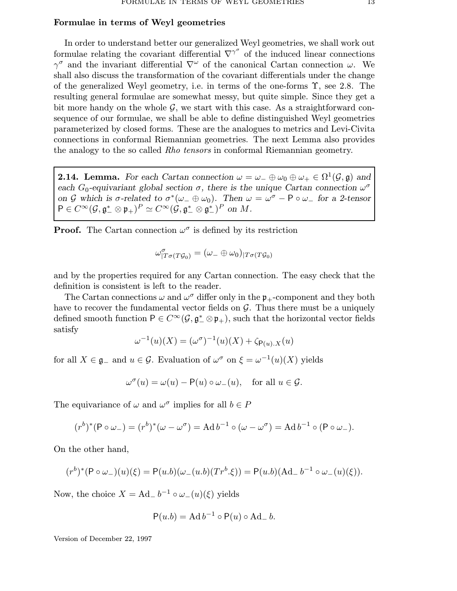#### Formulae in terms of Weyl geometries

In order to understand better our generalized Weyl geometries, we shall work out formulae relating the covariant differential  $\nabla^{\gamma^{\sigma}}$  of the induced linear connections  $\gamma^{\sigma}$  and the invariant differential  $\nabla^{\omega}$  of the canonical Cartan connection  $\omega$ . We shall also discuss the transformation of the covariant differentials under the change of the generalized Weyl geometry, i.e. in terms of the one-forms  $\Upsilon$ , see 2.8. The resulting general formulae are somewhat messy, but quite simple. Since they get a bit more handy on the whole  $\mathcal{G}$ , we start with this case. As a straightforward consequence of our formulae, we shall be able to define distinguished Weyl geometries parameterized by closed forms. These are the analogues to metrics and Levi-Civita connections in conformal Riemannian geometries. The next Lemma also provides the analogy to the so called Rho tensors in conformal Riemannian geometry.

**2.14. Lemma.** For each Cartan connection  $\omega = \omega_- \oplus \omega_0 \oplus \omega_+ \in \Omega^1(\mathcal{G}, \mathfrak{g})$  and each G<sub>0</sub>-equivariant global section  $\sigma$ , there is the unique Cartan connection  $\omega^{\sigma}$ on G which is  $\sigma$ -related to  $\sigma^*(\omega_- \oplus \omega_0)$ . Then  $\omega = \omega^{\sigma} - P \circ \omega_-$  for a 2-tensor  $P \in C^{\infty}(\mathcal{G}, \mathfrak{g}_{-}^{*} \otimes \mathfrak{p}_{+})^P \simeq C^{\infty}(\mathcal{G}, \mathfrak{g}_{-}^{*} \otimes \mathfrak{g}_{-}^{*})^P$  on M.

**Proof.** The Cartan connection  $\omega^{\sigma}$  is defined by its restriction

$$
\omega_{|T\sigma(T\mathcal{G}_0)}^{\sigma}=(\omega_{-}\oplus \omega_0)_{|T\sigma(T\mathcal{G}_0)}
$$

and by the properties required for any Cartan connection. The easy check that the definition is consistent is left to the reader.

The Cartan connections  $\omega$  and  $\omega^{\sigma}$  differ only in the  $\mathfrak{p}_{+}$ -component and they both have to recover the fundamental vector fields on  $\mathcal{G}$ . Thus there must be a uniquely defined smooth function  $P \in C^{\infty}(\mathcal{G}, \mathfrak{g}^*_{+} \otimes \mathfrak{p}_{+}),$  such that the horizontal vector fields satisfy

$$
\omega^{-1}(u)(X) = (\omega^{\sigma})^{-1}(u)(X) + \zeta_{\mathsf{P}(u),X}(u)
$$

for all  $X \in \mathfrak{g}_-$  and  $u \in \mathcal{G}$ . Evaluation of  $\omega^{\sigma}$  on  $\xi = \omega^{-1}(u)(X)$  yields

$$
\omega^{\sigma}(u) = \omega(u) - \mathsf{P}(u) \circ \omega_{-}(u), \quad \text{for all } u \in \mathcal{G}.
$$

The equivariance of  $\omega$  and  $\omega^{\sigma}$  implies for all  $b \in P$ 

$$
(rb)*(P \circ \omega_{-}) = (rb)*(\omega - \omega\sigma) = Ad b-1 \circ (\omega - \omega\sigma) = Ad b-1 \circ (P \circ \omega_{-}).
$$

On the other hand,

$$
(r^{b})^{*}(\mathsf{P} \circ \omega_{-})(u)(\xi) = \mathsf{P}(u.b)(\omega_{-}(u.b)(Tr^{b}.\xi)) = \mathsf{P}(u.b)(\mathrm{Ad}_{-} b^{-1} \circ \omega_{-}(u)(\xi)).
$$

Now, the choice  $X = \text{Ad}_{-} b^{-1} \circ \omega_{-}(u)(\xi)$  yields

$$
P(u.b) = \operatorname{Ad} b^{-1} \circ P(u) \circ \operatorname{Ad} b.
$$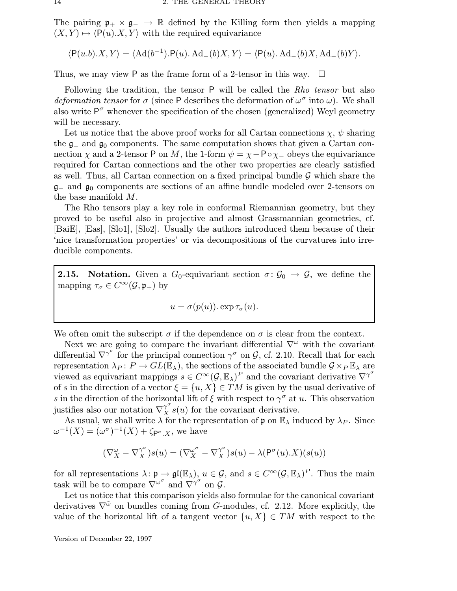The pairing  $\mathfrak{p}_+ \times \mathfrak{g}_- \to \mathbb{R}$  defined by the Killing form then yields a mapping  $(X, Y) \mapsto \langle P(u), X, Y \rangle$  with the required equivariance

 $\langle P(u.b).X, Y \rangle = \langle \operatorname{Ad}(b^{-1}).P(u). \operatorname{Ad}_{-}(b)X, Y \rangle = \langle P(u). \operatorname{Ad}_{-}(b)X, \operatorname{Ad}_{-}(b)Y \rangle.$ 

Thus, we may view P as the frame form of a 2-tensor in this way.  $\square$ 

Following the tradition, the tensor P will be called the Rho tensor but also deformation tensor for  $\sigma$  (since P describes the deformation of  $\omega^{\sigma}$  into  $\omega$ ). We shall also write  $P^{\sigma}$  whenever the specification of the chosen (generalized) Weyl geometry will be necessary.

Let us notice that the above proof works for all Cartan connections  $\chi$ ,  $\psi$  sharing the  $\mathfrak{g}_-$  and  $\mathfrak{g}_0$  components. The same computation shows that given a Cartan connection  $\chi$  and a 2-tensor P on M, the 1-form  $\psi = \chi - P \circ \chi$  obeys the equivariance required for Cartan connections and the other two properties are clearly satisfied as well. Thus, all Cartan connection on a fixed principal bundle  $\mathcal G$  which share the g<sup>−</sup> and g<sup>0</sup> components are sections of an affine bundle modeled over 2-tensors on the base manifold M.

The Rho tensors play a key role in conformal Riemannian geometry, but they proved to be useful also in projective and almost Grassmannian geometries, cf. [BaiE], [Eas], [Slo1], [Slo2]. Usually the authors introduced them because of their 'nice transformation properties' or via decompositions of the curvatures into irreducible components.

**2.15.** Notation. Given a  $G_0$ -equivariant section  $\sigma: \mathcal{G}_0 \to \mathcal{G}$ , we define the mapping  $\tau_{\sigma} \in C^{\infty}(\mathcal{G}, \mathfrak{p}_{+})$  by

$$
u = \sigma(p(u)). \exp \tau_{\sigma}(u).
$$

We often omit the subscript  $\sigma$  if the dependence on  $\sigma$  is clear from the context.

Next we are going to compare the invariant differential  $\nabla^{\omega}$  with the covariant differential  $\nabla^{\gamma^{\sigma}}$  for the principal connection  $\gamma^{\sigma}$  on  $\mathcal{G}$ , cf. 2.10. Recall that for each representation  $\lambda_P : P \to GL(\mathbb{E}_{\lambda})$ , the sections of the associated bundle  $\mathcal{G} \times_P \mathbb{E}_{\lambda}$  are viewed as equivariant mappings  $s \in C^{\infty}(\mathcal{G}, \mathbb{E}_{\lambda})^P$  and the covariant derivative  $\nabla^{\gamma^{\sigma}}$ of s in the direction of a vector  $\xi = \{u, X\} \in TM$  is given by the usual derivative of s in the direction of the horizontal lift of  $\xi$  with respect to  $\gamma^{\sigma}$  at u. This observation justifies also our notation  $\nabla_X^{\gamma^\sigma} s(u)$  for the covariant derivative.

As usual, we shall write  $\lambda$  for the representation of p on  $\mathbb{E}_{\lambda}$  induced by  $\lambda_P$ . Since  $\omega^{-1}(X) = (\omega^{\sigma})^{-1}(X) + \zeta_{\mathsf{P}^{\sigma}.X},$  we have

$$
(\nabla_X^{\omega} - \nabla_X^{\gamma^{\sigma}})s(u) = (\nabla_X^{\omega^{\sigma}} - \nabla_X^{\gamma^{\sigma}})s(u) - \lambda(\mathsf{P}^{\sigma}(u).X)(s(u))
$$

for all representations  $\lambda: \mathfrak{p} \to \mathfrak{gl}(\mathbb{E}_{\lambda}), u \in \mathcal{G}$ , and  $s \in C^{\infty}(\mathcal{G}, \mathbb{E}_{\lambda})^P$ . Thus the main task will be to compare  $\nabla^{\omega^{\sigma}}$  and  $\nabla^{\gamma^{\sigma}}$  on  $\mathcal{G}$ .

Let us notice that this comparison yields also formulae for the canonical covariant derivatives  $\nabla^{\tilde{\omega}}$  on bundles coming from G-modules, cf. 2.12. More explicitly, the value of the horizontal lift of a tangent vector  $\{u, X\} \in TM$  with respect to the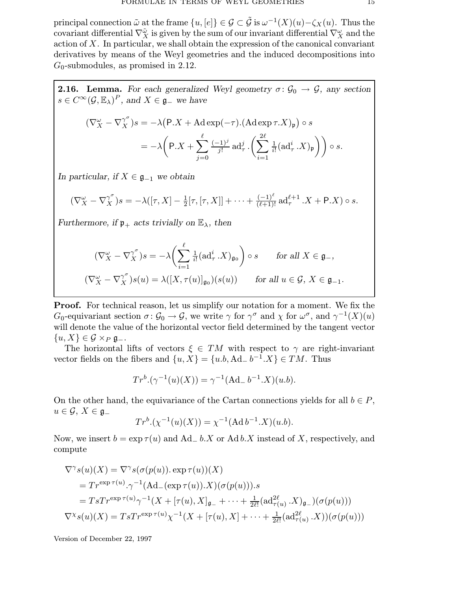principal connection  $\tilde{\omega}$  at the frame  $\{u,[e]\}\in\mathcal{G}\subset\tilde{\mathcal{G}}$  is  $\omega^{-1}(X)(u)-\zeta_X(u).$  Thus the covariant differential  $\nabla^{\tilde{\omega}}_X$  is given by the sum of our invariant differential  $\nabla^{\omega}_X$  and the action of X. In particular, we shall obtain the expression of the canonical convariant derivatives by means of the Weyl geometries and the induced decompositions into  $G_0$ -submodules, as promised in 2.12.

**2.16. Lemma.** For each generalized Weyl geometry  $\sigma: \mathcal{G}_0 \to \mathcal{G}$ , any section  $s \in C^{\infty}(\mathcal{G}, \mathbb{E}_{\lambda})^P$ , and  $X \in \mathfrak{g}_-$  we have

$$
(\nabla_X^{\omega} - \nabla_X^{\gamma^{\sigma}})s = -\lambda (P.X + \operatorname{Ad} \exp(-\tau).(\operatorname{Ad} \exp \tau.X)_{\mathfrak{p}}) \circ s
$$
  
=  $-\lambda \left(P.X + \sum_{j=0}^{\ell} \frac{(-1)^j}{j!} \operatorname{ad}_{\tau}^j \cdot \left(\sum_{i=1}^{2\ell} \frac{1}{i!} (\operatorname{ad}_{\tau}^i .X)_{\mathfrak{p}}\right)\right) \circ s.$ 

In particular, if  $X \in \mathfrak{g}_{-1}$  we obtain

$$
(\nabla_X^{\omega} - \nabla_X^{\gamma^{\sigma}})s = -\lambda([\tau, X] - \frac{1}{2}[\tau, [\tau, X]] + \cdots + \frac{(-1)^{\ell}}{(\ell+1)!}ad_{\tau}^{\ell+1}.X + P.X) \circ s.
$$

Furthermore, if  $\mathfrak{p}_+$  acts trivially on  $\mathbb{E}_{\lambda}$ , then

$$
(\nabla_X^{\omega} - \nabla_X^{\gamma^{\sigma}})s = -\lambda \bigg(\sum_{i=1}^{\ell} \frac{1}{i!} (\text{ad}_{\tau}^{i} \cdot X)_{\mathfrak{g}_0}\bigg) \circ s \quad \text{for all } X \in \mathfrak{g}_-,
$$
  

$$
(\nabla_X^{\omega} - \nabla_X^{\gamma^{\sigma}})s(u) = \lambda([X, \tau(u)]_{\mathfrak{g}_0})(s(u)) \quad \text{for all } u \in \mathcal{G}, X \in \mathfrak{g}_{-1}.
$$

**Proof.** For technical reason, let us simplify our notation for a moment. We fix the  $G_0$ -equivariant section  $\sigma: \mathcal{G}_0 \to \mathcal{G}$ , we write  $\gamma$  for  $\gamma^{\sigma}$  and  $\chi$  for  $\omega^{\sigma}$ , and  $\gamma^{-1}(X)(u)$ will denote the value of the horizontal vector field determined by the tangent vector  $\{u, X\} \in \mathcal{G} \times_{P} \mathfrak{g}_{-}.$ 

The horizontal lifts of vectors  $\xi \in TM$  with respect to  $\gamma$  are right-invariant vector fields on the fibers and  $\{u, X\} = \{u.b, \text{Ad} - b^{-1} \cdot X\} \in TM$ . Thus

$$
Tr^{b} \cdot (\gamma^{-1}(u)(X)) = \gamma^{-1} (Ad_{-} b^{-1} \cdot X)(u.b).
$$

On the other hand, the equivariance of the Cartan connections yields for all  $b \in P$ ,  $u \in \mathcal{G}, X \in \mathfrak{g}_-$ 

$$
Tr^{b} \cdot (\chi^{-1}(u)(X)) = \chi^{-1} (\text{Ad } b^{-1} \cdot X)(u.b).
$$

Now, we insert  $b = \exp \tau(u)$  and Ad<sub>-</sub> b.X or Ad b.X instead of X, respectively, and compute

$$
\nabla^{\gamma} s(u)(X) = \nabla^{\gamma} s(\sigma(p(u)). \exp \tau(u))(X)
$$
  
\n
$$
= Tr^{\exp \tau(u)} \cdot \gamma^{-1} (\text{Ad}_{-}(\exp \tau(u)).X)(\sigma(p(u))).s
$$
  
\n
$$
= Tr^{\exp \tau(u)} \gamma^{-1} (X + [\tau(u), X]_{\mathfrak{g}_{-}} + \dots + \frac{1}{2\ell!} (\text{ad}_{\tau(u)}^{2\ell} \cdot X)_{\mathfrak{g}_{-}}) (\sigma(p(u)))
$$
  
\n
$$
\nabla^{\chi} s(u)(X) = Tr^{\exp \tau(u)} \chi^{-1} (X + [\tau(u), X] + \dots + \frac{1}{2\ell!} (\text{ad}_{\tau(u)}^{2\ell} \cdot X)) (\sigma(p(u)))
$$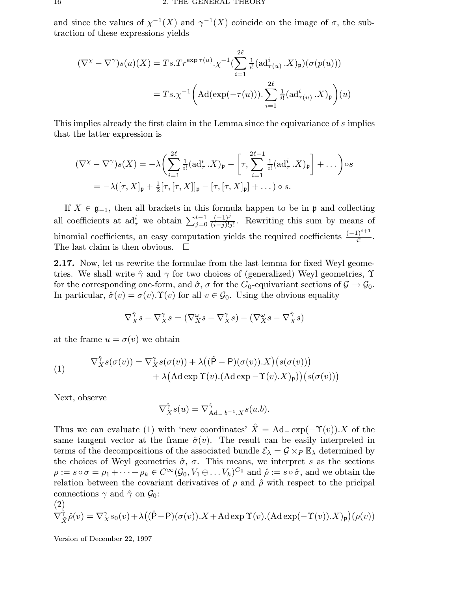and since the values of  $\chi^{-1}(X)$  and  $\gamma^{-1}(X)$  coincide on the image of  $\sigma$ , the subtraction of these expressions yields

$$
(\nabla^{\chi} - \nabla^{\gamma})s(u)(X) = Ts.Tr^{\exp \tau(u)} \cdot \chi^{-1} \left( \sum_{i=1}^{2\ell} \frac{1}{i!} (\mathrm{ad}^{i}_{\tau(u)} \cdot X)_{\mathfrak{p}}\right) (\sigma(p(u)))
$$

$$
= Ts.\chi^{-1}\left( \mathrm{Ad}(\exp(-\tau(u))). \sum_{i=1}^{2\ell} \frac{1}{i!} (\mathrm{ad}^{i}_{\tau(u)} \cdot X)_{\mathfrak{p}}\right)(u)
$$

This implies already the first claim in the Lemma since the equivariance of s implies that the latter expression is

$$
(\nabla^{\chi} - \nabla^{\gamma})s(X) = -\lambda \left( \sum_{i=1}^{2\ell} \frac{1}{i!} (\mathrm{ad}^{i}_{\tau} \cdot X)_{\mathfrak{p}} - \left[ \tau, \sum_{i=1}^{2\ell-1} \frac{1}{i!} (\mathrm{ad}^{i}_{\tau} \cdot X)_{\mathfrak{p}} \right] + \dots \right) \circ s
$$
  
=  $-\lambda([\tau, X]_{\mathfrak{p}} + \frac{1}{2} [\tau, [\tau, X]]_{\mathfrak{p}} - [\tau, [\tau, X]_{\mathfrak{p}}] + \dots) \circ s.$ 

If  $X \in \mathfrak{g}_{-1}$ , then all brackets in this formula happen to be in  $\mathfrak{p}$  and collecting all coefficients at  $\mathrm{ad}^i_\tau$  we obtain  $\sum_{j=0}^{i-1}$  $(-1)^{j}$  $\frac{(-1)^{i}}{(i-j)!j!}$ . Rewriting this sum by means of binomial coefficients, an easy computation yields the required coefficients  $\frac{(-1)^{i+1}}{i!}$ . The last claim is then obvious.  $\Box$ 

2.17. Now, let us rewrite the formulae from the last lemma for fixed Weyl geometries. We shall write  $\hat{\gamma}$  and  $\gamma$  for two choices of (generalized) Weyl geometries,  $\hat{\gamma}$ for the corresponding one-form, and  $\hat{\sigma}$ ,  $\sigma$  for the  $G_0$ -equivariant sections of  $\mathcal{G} \to \mathcal{G}_0$ . In particular,  $\hat{\sigma}(v) = \sigma(v) \cdot \Upsilon(v)$  for all  $v \in \mathcal{G}_0$ . Using the obvious equality

$$
\nabla_X^{\hat{\gamma}} s - \nabla_X^{\gamma} s = (\nabla_X^{\omega} s - \nabla_X^{\gamma} s) - (\nabla_X^{\omega} s - \nabla_X^{\hat{\gamma}} s)
$$

at the frame  $u = \sigma(v)$  we obtain

(1) 
$$
\nabla_X^{\hat{\gamma}} s(\sigma(v)) = \nabla_X^{\gamma} s(\sigma(v)) + \lambda \big( (\hat{P} - P)(\sigma(v)).X \big) \big( s(\sigma(v)) \big) + \lambda \big( \text{Ad} \exp \Upsilon(v).(\text{Ad} \exp - \Upsilon(v).X)_\mathfrak{p} \big) \big) \big( s(\sigma(v)) \big)
$$

Next, observe

$$
\nabla_X^{\hat{\gamma}} s(u) = \nabla_{\mathrm{Ad}_{-}b^{-1}.X}^{\hat{\gamma}} s(u.b).
$$

Thus we can evaluate (1) with 'new coordinates'  $\hat{X} = \text{Ad}_{-} \exp(-\Upsilon(v))$ . X of the same tangent vector at the frame  $\hat{\sigma}(v)$ . The result can be easily interpreted in terms of the decompositions of the associated bundle  $\mathcal{E}_{\lambda} = \mathcal{G} \times_{P} \mathbb{E}_{\lambda}$  determined by the choices of Weyl geometries  $\hat{\sigma}$ ,  $\sigma$ . This means, we interpret s as the sections  $\rho:=s\circ\sigma=\rho_1+\cdots+\rho_k\in C^\infty(\mathcal{G}_0,V_1\oplus\ldots V_k)^{G_0} \text{ and } \hat{\rho}:=s\circ\hat{\sigma}, \text{ and we obtain the }$ relation between the covariant derivatives of  $\rho$  and  $\hat{\rho}$  with respect to the pricipal connections  $\gamma$  and  $\hat{\gamma}$  on  $\mathcal{G}_0$ :

(2)  
\n
$$
\nabla_{\hat{X}}^{\hat{\gamma}} \hat{\rho}(v) = \nabla_X^{\gamma} s_0(v) + \lambda \big( (\hat{P} - P)(\sigma(v)).X + \text{Ad} \exp \Upsilon(v).(\text{Ad} \exp(-\Upsilon(v)).X)_{\mathfrak{p}} \big) (\rho(v))
$$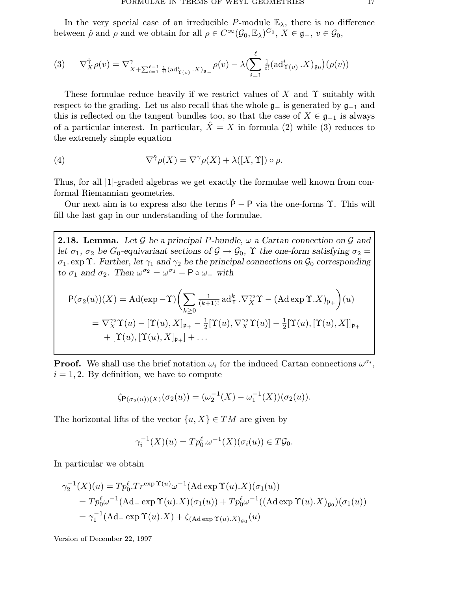In the very special case of an irreducible P-module  $\mathbb{E}_{\lambda}$ , there is no difference between  $\hat{\rho}$  and  $\rho$  and we obtain for all  $\rho \in C^{\infty}(\mathcal{G}_0, \mathbb{E}_{\lambda})^{G_0}$ ,  $X \in \mathfrak{g}_-, v \in \mathcal{G}_0$ ,

$$
(3) \qquad \nabla^{\hat{\gamma}}_{X}\rho(v) = \nabla^{\gamma}_{X+\sum_{i=1}^{\ell-1}\frac{1}{i!}(\mathrm{ad}^{i}_{\Upsilon(v)}\cdot X)_{\mathfrak{g}_{-}}}\rho(v) - \lambda \bigl(\sum_{i=1}^{\ell}\frac{1}{i!}(\mathrm{ad}^{i}_{\Upsilon(v)}\cdot X)_{\mathfrak{g}_{0}}\bigr)(\rho(v))
$$

These formulae reduce heavily if we restrict values of X and  $\Upsilon$  suitably with respect to the grading. Let us also recall that the whole  $\mathfrak{g}_-$  is generated by  $\mathfrak{g}_{-1}$  and this is reflected on the tangent bundles too, so that the case of  $X \in \mathfrak{g}_{-1}$  is always of a particular interest. In particular,  $\hat{X} = X$  in formula (2) while (3) reduces to the extremely simple equation

(4) 
$$
\nabla^{\hat{\gamma}} \rho(X) = \nabla^{\gamma} \rho(X) + \lambda([X, \Upsilon]) \circ \rho.
$$

Thus, for all |1|-graded algebras we get exactly the formulae well known from conformal Riemannian geometries.

Our next aim is to express also the terms  $\hat{P} - P$  via the one-forms  $\hat{T}$ . This will fill the last gap in our understanding of the formulae.

**2.18. Lemma.** Let G be a principal P-bundle,  $\omega$  a Cartan connection on G and let  $\sigma_1$ ,  $\sigma_2$  be G<sub>0</sub>-equivariant sections of  $\mathcal{G} \to \mathcal{G}_0$ ,  $\Upsilon$  the one-form satisfying  $\sigma_2 =$  $\sigma_1$ . exp  $\Upsilon$ . Further, let  $\gamma_1$  and  $\gamma_2$  be the principal connections on  $\mathcal{G}_0$  corresponding to  $\sigma_1$  and  $\sigma_2$ . Then  $\omega^{\sigma_2} = \omega^{\sigma_1} - \mathsf{P} \circ \omega$  with

$$
P(\sigma_2(u))(X) = \mathrm{Ad}(\exp - \Upsilon) \bigg( \sum_{k \ge 0} \frac{1}{(k+1)!} \mathrm{ad}_\Upsilon^k \cdot \nabla_X^{\gamma_2} \Upsilon - (\mathrm{Ad}\exp \Upsilon \cdot X)_{\mathfrak{p}_+} \bigg)(u)
$$
  
=  $\nabla_X^{\gamma_2} \Upsilon(u) - [\Upsilon(u), X]_{\mathfrak{p}_+} - \frac{1}{2} [\Upsilon(u), \nabla_X^{\gamma_2} \Upsilon(u)] - \frac{1}{2} [\Upsilon(u), [\Upsilon(u), X]]_{\mathfrak{p}_+} + [\Upsilon(u), [\Upsilon(u), X]_{\mathfrak{p}_+}] + \dots$ 

**Proof.** We shall use the brief notation  $\omega_i$  for the induced Cartan connections  $\omega^{\sigma_i}$ ,  $i = 1, 2$ . By definition, we have to compute

$$
\zeta_{\mathsf{P}(\sigma_2(u))(X)}(\sigma_2(u)) = (\omega_2^{-1}(X) - \omega_1^{-1}(X))(\sigma_2(u)).
$$

The horizontal lifts of the vector  $\{u, X\} \in TM$  are given by

$$
\gamma_i^{-1}(X)(u) = T p_0^{\ell} \omega^{-1}(X)(\sigma_i(u)) \in T\mathcal{G}_0.
$$

In particular we obtain

$$
\gamma_2^{-1}(X)(u) = T p_0^{\ell} \cdot T r^{\exp \Upsilon(u)} \omega^{-1} (\text{Ad} \exp \Upsilon(u) \cdot X)(\sigma_1(u))
$$
  
=  $T p_0^{\ell} \omega^{-1} (\text{Ad}_{-} \exp \Upsilon(u) \cdot X)(\sigma_1(u)) + T p_0^{\ell} \omega^{-1} ((\text{Ad} \exp \Upsilon(u) \cdot X)_{\mathfrak{g}_0})(\sigma_1(u))$   
=  $\gamma_1^{-1} (\text{Ad}_{-} \exp \Upsilon(u) \cdot X) + \zeta_{(\text{Ad} \exp \Upsilon(u) \cdot X)_{\mathfrak{g}_0}}(u)$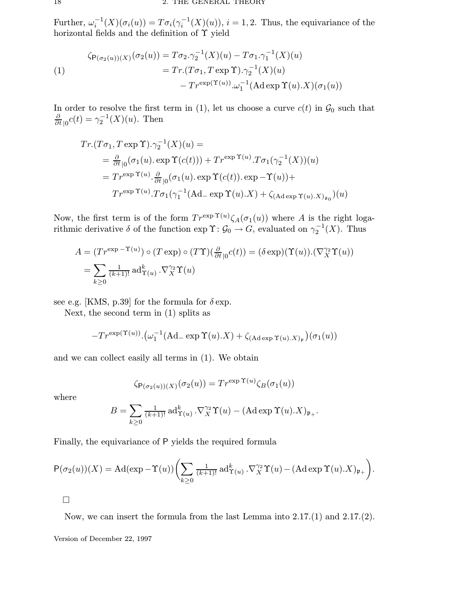Further,  $\omega_i^{-1}$  $i^{-1}(X)(\sigma_i(u)) = T\sigma_i(\gamma_i^{-1})$  $i_i^{-1}(X)(u)$ ,  $i = 1, 2$ . Thus, the equivariance of the horizontal fields and the definition of  $\Upsilon$  yield

(1)  
\n
$$
\zeta_{\mathsf{P}(\sigma_2(u))(X)}(\sigma_2(u)) = T\sigma_2.\gamma_2^{-1}(X)(u) - T\sigma_1.\gamma_1^{-1}(X)(u)
$$
\n
$$
= Tr.(T\sigma_1, T \exp \Upsilon).\gamma_2^{-1}(X)(u)
$$
\n
$$
- Tr^{\exp(\Upsilon(u))}.\omega_1^{-1}(\text{Ad} \exp \Upsilon(u).X)(\sigma_1(u))
$$

In order to resolve the first term in (1), let us choose a curve  $c(t)$  in  $\mathcal{G}_0$  such that ∂  $\frac{\partial}{\partial t}\vert_0 c(t)=\gamma_2^{-1}$  $a_2^{-1}(X)(u)$ . Then

$$
Tr.(T\sigma_1, T \exp \Upsilon) . \gamma_2^{-1}(X)(u) =
$$
  
=  $\frac{\partial}{\partial t}|_{0} (\sigma_1(u) . \exp \Upsilon(c(t))) + Tr^{\exp \Upsilon(u)} . T\sigma_1(\gamma_2^{-1}(X))(u)$   
=  $Tr^{\exp \Upsilon(u)} . \frac{\partial}{\partial t}|_{0} (\sigma_1(u) . \exp \Upsilon(c(t)) . \exp -\Upsilon(u)) +$   
 $Tr^{\exp \Upsilon(u)} . T\sigma_1(\gamma_1^{-1}(Ad - \exp \Upsilon(u) . X) + \zeta_{(Ad \exp \Upsilon(u) . X)_{\mathfrak{g}_0}})(u)$ 

Now, the first term is of the form  $Tr^{\exp \Upsilon(u)} \zeta_A(\sigma_1(u))$  where A is the right logarithmic derivative  $\delta$  of the function  $\exp \Upsilon : \mathcal{G}_0 \to G,$  evaluated on  $\gamma_2^{-1}$  $_{2}^{-1}(X)$ . Thus

$$
A = (Tr^{\exp - \Upsilon(u)}) \circ (T \exp) \circ (T\Upsilon)(\frac{\partial}{\partial t_{|0}} c(t)) = (\delta \exp)(\Upsilon(u)).(\nabla_X^{\gamma_2} \Upsilon(u))
$$
  
= 
$$
\sum_{k \ge 0} \frac{1}{(k+1)!} \operatorname{ad}_{\Upsilon(u)}^k \cdot \nabla_X^{\gamma_2} \Upsilon(u)
$$

see e.g. [KMS, p.39] for the formula for  $\delta$  exp.

Next, the second term in (1) splits as

$$
-Tr^{\exp(\Upsilon(u))}.(\omega_1^{-1}(\mathrm{Ad}\,\underline{\hspace{1pt}}\exp\Upsilon(u).X)+\zeta_{(\mathrm{Ad}\exp\Upsilon(u).X)_{\mathfrak{p}}})(\sigma_1(u))
$$

and we can collect easily all terms in (1). We obtain

$$
\zeta_{\mathsf{P}(\sigma_2(u))(X)}(\sigma_2(u)) = Tr^{\exp \Upsilon(u)} \zeta_B(\sigma_1(u))
$$

where

$$
B = \sum_{k \geq 0} \frac{1}{(k+1)!} \operatorname{ad}_{\Upsilon(u)}^k \cdot \nabla_X^{\gamma_2} \Upsilon(u) - (\operatorname{Ad} \exp \Upsilon(u) . X)_{\mathfrak{p}_+}.
$$

Finally, the equivariance of P yields the required formula

$$
P(\sigma_2(u))(X) = \mathrm{Ad}(\exp-\Upsilon(u))\bigg(\sum_{k\geq 0} \frac{1}{(k+1)!} \mathrm{ad}_{\Upsilon(u)}^k \cdot \nabla_X^{\gamma_2} \Upsilon(u) - (\mathrm{Ad}\exp\Upsilon(u).X)_{\mathfrak{p}_+}\bigg).
$$

 $\Box$ 

Now, we can insert the formula from the last Lemma into 2.17.(1) and 2.17.(2).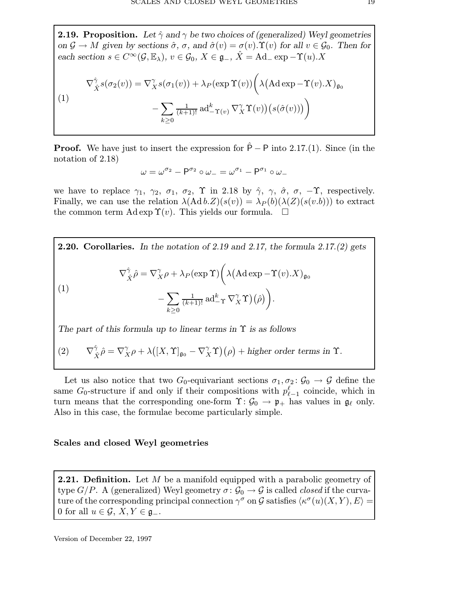**2.19. Proposition.** Let  $\hat{\gamma}$  and  $\gamma$  be two choices of (generalized) Weyl geometries on  $\mathcal{G} \to M$  given by sections  $\hat{\sigma}$ ,  $\sigma$ , and  $\hat{\sigma}(v) = \sigma(v)$ .  $\Upsilon(v)$  for all  $v \in \mathcal{G}_0$ . Then for each section  $s \in C^{\infty}(\mathcal{G}, \mathbb{E}_{\lambda}), v \in \mathcal{G}_0, X \in \mathfrak{g}_-, \hat{X} = \text{Ad}_{-} \exp{\text{-}\Upsilon(u)}X$ 

$$
\nabla_{\hat{X}}^{\hat{\gamma}} s(\sigma_2(v)) = \nabla_X^{\gamma} s(\sigma_1(v)) + \lambda_P(\exp \Upsilon(v)) \left( \lambda \left( \operatorname{Ad} \exp - \Upsilon(v) . X \right)_{\mathfrak{g}_0} - \sum_{k \ge 0} \frac{1}{(k+1)!} \operatorname{ad}_{-\Upsilon(v)}^k \nabla_X^{\gamma} \Upsilon(v) \left( s(\hat{\sigma}(v)) \right) \right)
$$

**Proof.** We have just to insert the expression for  $\hat{P} - P$  into 2.17.(1). Since (in the notation of 2.18)

$$
\omega = \omega^{\sigma_2} - P^{\sigma_2} \circ \omega_- = \omega^{\sigma_1} - P^{\sigma_1} \circ \omega_-
$$

we have to replace  $\gamma_1$ ,  $\gamma_2$ ,  $\sigma_1$ ,  $\sigma_2$ ,  $\Upsilon$  in 2.18 by  $\hat{\gamma}$ ,  $\gamma$ ,  $\hat{\sigma}$ ,  $\sigma$ ,  $-\Upsilon$ , respectively. Finally, we can use the relation  $\lambda(Ad b.Z)(s(v)) = \lambda_P(b)(\lambda(Z)(s(v.b)))$  to extract the common term Ad exp  $\Upsilon(v)$ . This yields our formula.  $\square$ 

\n- **2.20. Corollaries.** In the notation of 2.19 and 2.17, the formula 2.17.(2) gets 
$$
\nabla^{\hat{\gamma}}_{\hat{X}} \hat{\rho} = \nabla^{\gamma}_{X} \rho + \lambda_{P} (\exp \Upsilon) \left( \lambda (\text{Ad} \exp - \Upsilon(v).X)_{\mathfrak{g}_{0}} - \sum_{k \geq 0} \frac{1}{(k+1)!} \operatorname{ad}^{k}_{-\Upsilon} \nabla^{\gamma}_{X} \Upsilon \right) (\hat{\rho})
$$
.
\n

The part of this formula up to linear terms in  $\Upsilon$  is as follows

(2) 
$$
\nabla_{\hat{X}}^{\hat{\gamma}} \hat{\rho} = \nabla_{X}^{\gamma} \rho + \lambda \big( [X, \Upsilon]_{\mathfrak{g}_0} - \nabla_{X}^{\gamma} \Upsilon \big) \big( \rho \big) + \text{higher order terms in } \Upsilon.
$$

Let us also notice that two G<sub>0</sub>-equivariant sections  $\sigma_1, \sigma_2 \colon \mathcal{G}_0 \to \mathcal{G}$  define the same  $G_0$ -structure if and only if their compositions with  $p_{\ell-1}^{\ell}$  coincide, which in turn means that the corresponding one-form  $\Upsilon: \mathcal{G}_0 \to \mathfrak{p}_+$  has values in  $\mathfrak{g}_{\ell}$  only. Also in this case, the formulae become particularly simple.

## Scales and closed Weyl geometries

**2.21. Definition.** Let  $M$  be a manifold equipped with a parabolic geometry of type  $G/P$ . A (generalized) Weyl geometry  $\sigma: \mathcal{G}_0 \to \mathcal{G}$  is called *closed* if the curvature of the corresponding principal connection  $\gamma^{\sigma}$  on G satisfies  $\langle \kappa^{\sigma}(u)(X,Y),E\rangle =$ 0 for all  $u \in \mathcal{G}, X, Y \in \mathfrak{g}_-.$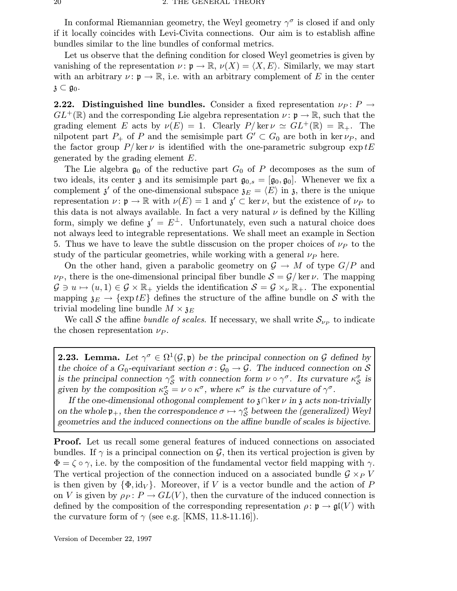In conformal Riemannian geometry, the Weyl geometry  $\gamma^{\sigma}$  is closed if and only if it locally coincides with Levi-Civita connections. Our aim is to establish affine bundles similar to the line bundles of conformal metrics.

Let us observe that the defining condition for closed Weyl geometries is given by vanishing of the representation  $\nu : \mathfrak{p} \to \mathbb{R}, \nu(X) = \langle X, E \rangle$ . Similarly, we may start with an arbitrary  $\nu : \mathfrak{p} \to \mathbb{R}$ , i.e. with an arbitrary complement of E in the center  $\mathfrak{z}\subset\mathfrak{g}_0.$ 

**2.22.** Distinguished line bundles. Consider a fixed representation  $\nu_P$ :  $P \rightarrow$  $GL^+(\mathbb{R})$  and the corresponding Lie algebra representation  $\nu : \mathfrak{p} \to \mathbb{R}$ , such that the grading element E acts by  $\nu(E) = 1$ . Clearly  $P/\ker \nu \simeq GL^+(\mathbb{R}) = \mathbb{R}_+$ . The nilpotent part  $P_+$  of P and the semisimple part  $G' \subset G_0$  are both in ker  $\nu_P$ , and the factor group  $P/\ker \nu$  is identified with the one-parametric subgroup  $\exp tE$ generated by the grading element E.

The Lie algebra  $\mathfrak{g}_0$  of the reductive part  $G_0$  of P decomposes as the sum of two ideals, its center  $\chi$  and its semisimple part  $\mathfrak{g}_{0,s} = [\mathfrak{g}_0, \mathfrak{g}_0]$ . Whenever we fix a complement  $\mathfrak{z}'$  of the one-dimensional subspace  $\mathfrak{z}_E = \langle E \rangle$  in  $\mathfrak{z}$ , there is the unique representation  $\nu : \mathfrak{p} \to \mathbb{R}$  with  $\nu(E) = 1$  and  $\mathfrak{z}' \subset \text{ker } \nu$ , but the existence of  $\nu_P$  to this data is not always available. In fact a very natural  $\nu$  is defined by the Killing form, simply we define  $\mathfrak{z}' = E^{\perp}$ . Unfortunately, even such a natural choice does not always leed to integrable representations. We shall meet an example in Section 5. Thus we have to leave the subtle disscusion on the proper choices of  $\nu_P$  to the study of the particular geometries, while working with a general  $\nu_P$  here.

On the other hand, given a parabolic geometry on  $\mathcal{G} \to M$  of type  $G/P$  and  $\nu_P$ , there is the one-dimensional principal fiber bundle  $S = \mathcal{G}/\ker \nu$ . The mapping  $\mathcal{G} \ni u \mapsto (u, 1) \in \mathcal{G} \times \mathbb{R}_+$  yields the identification  $\mathcal{S} = \mathcal{G} \times_{\nu} \mathbb{R}_+$ . The exponential mapping  $\mathfrak{z}_E \to {\exp tE}$  defines the structure of the affine bundle on S with the trivial modeling line bundle  $M \times \mathfrak{z}_E$ 

We call S the affine *bundle of scales*. If necessary, we shall write  $\mathcal{S}_{\nu_P}$  to indicate the chosen representation  $\nu_P$ .

**2.23. Lemma.** Let  $\gamma^{\sigma} \in \Omega^1(\mathcal{G}, \mathfrak{p})$  be the principal connection on G defined by the choice of a  $G_0$ -equivariant section  $\sigma: \mathcal{G}_0 \to \mathcal{G}$ . The induced connection on S is the principal connection  $\gamma_S^{\sigma}$  with connection form  $\nu \circ \gamma^{\sigma}$ . Its curvature  $\kappa_S^{\sigma}$  is given by the composition  $\kappa_S^{\sigma} = \nu \circ \kappa^{\sigma}$ , where  $\kappa^{\sigma}$  is the curvature of  $\gamma^{\sigma}$ .

If the one-dimensional othogonal complement to  $\lambda \cap \ker \nu$  in  $\lambda$  acts non-trivially on the whole  $\mathfrak{p}_+$ , then the correspondence  $\sigma \mapsto \gamma_{\mathcal{S}}^{\sigma}$  between the (generalized) Weyl geometries and the induced connections on the affine bundle of scales is bijective.

Proof. Let us recall some general features of induced connections on associated bundles. If  $\gamma$  is a principal connection on  $\mathcal{G}$ , then its vertical projection is given by  $\Phi = \zeta \circ \gamma$ , i.e. by the composition of the fundamental vector field mapping with  $\gamma$ . The vertical projection of the connection induced on a associated bundle  $\mathcal{G} \times_{P} V$ is then given by  $\{\Phi, id_V\}$ . Moreover, if V is a vector bundle and the action of P on V is given by  $\rho_P: P \to GL(V)$ , then the curvature of the induced connection is defined by the composition of the corresponding representation  $\rho: \mathfrak{p} \to \mathfrak{gl}(V)$  with the curvature form of  $\gamma$  (see e.g. [KMS, 11.8-11.16]).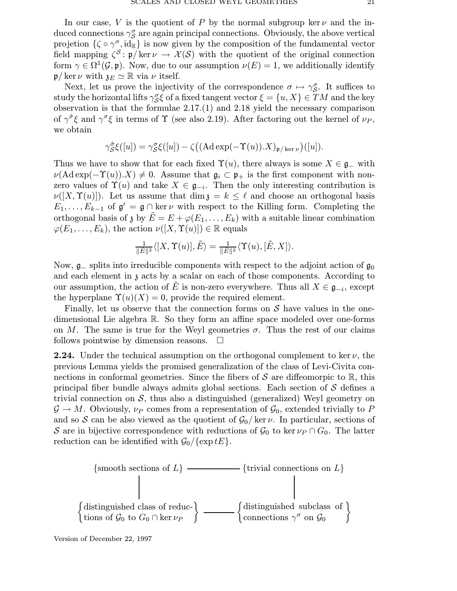In our case, V is the quotient of P by the normal subgroup ker  $\nu$  and the induced connections  $\gamma_S^{\sigma}$  are again principal connections. Obviously, the above vertical projetion  $\{\zeta \circ \gamma^{\sigma}, \text{id}_{\mathbb{R}}\}$  is now given by the composition of the fundamental vector field mapping  $\zeta^{\mathcal{S}}\colon \mathfrak{p}/\ker \nu \to \mathcal{X}(\mathcal{S})$  with the quotient of the original connection form  $\gamma \in \Omega^1(\mathcal{G}, \mathfrak{p})$ . Now, due to our assumption  $\nu(E) = 1$ , we additionally identify  $\mathfrak{p}/\ker \nu$  with  $\mathfrak{z}_E \simeq \mathbb{R}$  via  $\nu$  itself.

Next, let us prove the injectivity of the correspondence  $\sigma \mapsto \gamma_{\mathcal{S}}^{\sigma}$ . It suffices to study the horizontal lifts  $\gamma_S^{\sigma} \xi$  of a fixed tangent vector  $\xi = \{u, X\} \in TM$  and the key observation is that the formulae 2.17.(1) and 2.18 yield the necessary comparison of  $\gamma^{\hat{\sigma}} \xi$  and  $\gamma^{\sigma} \xi$  in terms of  $\Upsilon$  (see also 2.19). After factoring out the kernel of  $\nu_P$ , we obtain

$$
\gamma_{\mathcal{S}}^{\hat{\sigma}} \xi([u]) = \gamma_{\mathcal{S}}^{\sigma} \xi([u]) - \zeta((\mathrm{Ad}\exp(-\Upsilon(u)).X)_{\mathfrak{p}/\ker\nu})([u]).
$$

Thus we have to show that for each fixed  $\Upsilon(u)$ , there always is some  $X \in \mathfrak{g}_-$  with  $\nu(\text{Ad} \exp(-\Upsilon(u)).X) \neq 0.$  Assume that  $\mathfrak{g}_i \subset \mathfrak{p}_+$  is the first component with nonzero values of  $\Upsilon(u)$  and take  $X \in \mathfrak{g}_{-i}$ . Then the only interesting contribution is  $\nu([X,\Upsilon(u)])$ . Let us assume that  $\dim \mathfrak{z} = k \leq \ell$  and choose an orthogonal basis  $E_1, \ldots, E_{k-1}$  of  $\mathfrak{g}' = \mathfrak{g} \cap \ker \nu$  with respect to the Killing form. Completing the orthogonal basis of  $\mathfrak{z}$  by  $\tilde{E} = E + \varphi(E_1, \ldots, E_k)$  with a suitable linear combination  $\varphi(E_1,\ldots,E_k)$ , the action  $\nu([X,\Upsilon(u)]) \in \mathbb{R}$  equals

$$
\frac{1}{\|\tilde{E}\|^2} \langle [X, \Upsilon(u)], \tilde{E} \rangle = \frac{1}{\|\tilde{E}\|^2} \langle \Upsilon(u), [\tilde{E}, X] \rangle.
$$

Now,  $\mathfrak{g}_-$  splits into irreducible components with respect to the adjoint action of  $\mathfrak{g}_0$ and each element in  $\chi$  acts by a scalar on each of those components. According to our assumption, the action of  $\tilde{E}$  is non-zero everywhere. Thus all  $X \in \mathfrak{g}_{-i}$ , except the hyperplane  $\Upsilon(u)(X) = 0$ , provide the required element.

Finally, let us observe that the connection forms on  $S$  have values in the onedimensional Lie algebra R. So they form an affine space modeled over one-forms on M. The same is true for the Weyl geometries  $\sigma$ . Thus the rest of our claims follows pointwise by dimension reasons.  $\Box$ 

**2.24.** Under the technical assumption on the orthogonal complement to ker  $\nu$ , the previous Lemma yields the promised generalization of the class of Levi-Civita connections in conformal geometries. Since the fibers of  $S$  are diffeomorpic to  $\mathbb{R}$ , this principal fiber bundle always admits global sections. Each section of S defines a trivial connection on  $S$ , thus also a distinguished (generalized) Weyl geometry on  $\mathcal{G} \to M$ . Obviously,  $\nu_P$  comes from a representation of  $\mathcal{G}_0$ , extended trivially to P and so S can be also viewed as the quotient of  $\mathcal{G}_0$  ker  $\nu$ . In particular, sections of S are in bijective correspondence with reductions of  $\mathcal{G}_0$  to ker  $\nu_P \cap G_0$ . The latter reduction can be identified with  $\mathcal{G}_0/\{\exp tE\}$ .

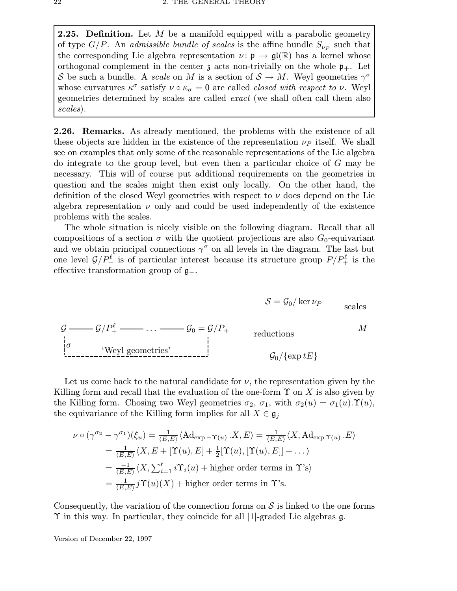**2.25. Definition.** Let  $M$  be a manifold equipped with a parabolic geometry of type  $G/P$ . An *admissible bundle of scales* is the affine bundle  $S_{\nu_P}$  such that the corresponding Lie algebra representation  $\nu : \mathfrak{p} \to \mathfrak{gl}(\mathbb{R})$  has a kernel whose orthogonal complement in the center  $\lambda$  acts non-trivially on the whole  $\mathfrak{p}_+$ . Let S be such a bundle. A scale on M is a section of  $S \to M$ . Weyl geometries  $\gamma^{\sigma}$ whose curvatures  $\kappa^{\sigma}$  satisfy  $\nu \circ \kappa_{\sigma} = 0$  are called *closed with respect to v*. Weyl geometries determined by scales are called exact (we shall often call them also scales).

2.26. Remarks. As already mentioned, the problems with the existence of all these objects are hidden in the existence of the representation  $\nu_P$  itself. We shall see on examples that only some of the reasonable representations of the Lie algebra do integrate to the group level, but even then a particular choice of G may be necessary. This will of course put additional requirements on the geometries in question and the scales might then exist only locally. On the other hand, the definition of the closed Weyl geometries with respect to  $\nu$  does depend on the Lie algebra representation  $\nu$  only and could be used independently of the existence problems with the scales.

The whole situation is nicely visible on the following diagram. Recall that all compositions of a section  $\sigma$  with the quotient projections are also  $G_0$ -equivariant and we obtain principal connections  $\gamma^{\sigma}$  on all levels in the diagram. The last but one level  $\mathcal{G}/P_+^{\ell}$  is of particular interest because its structure group  $P/P_+^{\ell}$  is the effective transformation group of g−.

$$
S = \mathcal{G}_0 / \ker \nu_P
$$
 scales

$$
\mathcal{G} \longrightarrow \mathcal{G}/P_{+}^{\ell} \longrightarrow \dots \longrightarrow \mathcal{G}_{0} = \mathcal{G}/P_{+}
$$
 reductions  
\n
$$
\downarrow \sigma \qquad \qquad \downarrow \qquad \qquad \downarrow
$$
reductions  
\n
$$
\downarrow \qquad \qquad \mathcal{G}_{0}/\{\exp tE\}
$$

Let us come back to the natural candidate for  $\nu$ , the representation given by the Killing form and recall that the evaluation of the one-form  $\Upsilon$  on X is also given by the Killing form. Chosing two Weyl geometries  $\sigma_2$ ,  $\sigma_1$ , with  $\sigma_2(u) = \sigma_1(u)$ .  $\Upsilon(u)$ , the equivariance of the Killing form implies for all  $X \in \mathfrak{g}_j$ 

$$
\nu \circ (\gamma^{\sigma_2} - \gamma^{\sigma_1})(\xi_u) = \frac{1}{\langle E, E \rangle} \langle \mathrm{Ad}_{\exp - \Upsilon(u)} \cdot X, E \rangle = \frac{1}{\langle E, E \rangle} \langle X, \mathrm{Ad}_{\exp \Upsilon(u)} \cdot E \rangle
$$
  
\n
$$
= \frac{1}{\langle E, E \rangle} \langle X, E + [\Upsilon(u), E] + \frac{1}{2} [\Upsilon(u), [\Upsilon(u), E]] + \dots \rangle
$$
  
\n
$$
= \frac{-1}{\langle E, E \rangle} \langle X, \sum_{i=1}^{\ell} i \Upsilon_i(u) + \text{higher order terms in } \Upsilon \text{'s} \rangle
$$
  
\n
$$
= \frac{1}{\langle E, E \rangle} \tilde{\jmath} \Upsilon(u)(X) + \text{higher order terms in } \Upsilon \text{'s}.
$$

Consequently, the variation of the connection forms on  $\mathcal S$  is linked to the one forms Υ in this way. In particular, they coincide for all |1|-graded Lie algebras g.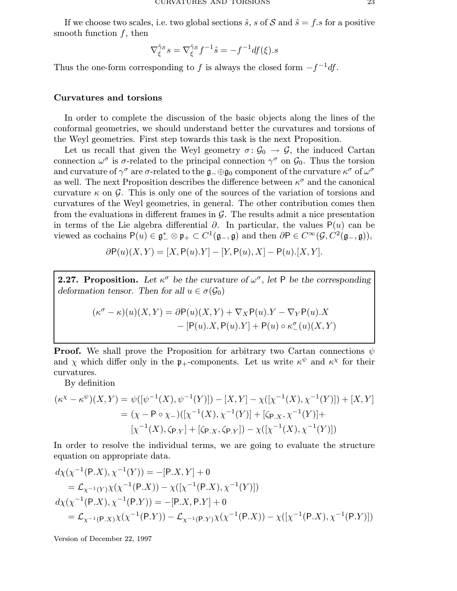If we choose two scales, i.e. two global sections  $\hat{s}$ , s of S and  $\hat{s} = f$  s for a positive smooth function  $f$ , then

$$
\nabla_{\xi}^{\hat{\gamma}s} s = \nabla_{\xi}^{\hat{\gamma}s} f^{-1}\hat{s} = -f^{-1}df(\xi).s
$$

Thus the one-form corresponding to f is always the closed form  $-f^{-1}df$ .

## Curvatures and torsions

In order to complete the discussion of the basic objects along the lines of the conformal geometries, we should understand better the curvatures and torsions of the Weyl geometries. First step towards this task is the next Proposition.

Let us recall that given the Weyl geometry  $\sigma: \mathcal{G}_0 \to \mathcal{G}$ , the induced Cartan connection  $\omega^{\sigma}$  is  $\sigma$ -related to the principal connection  $\gamma^{\sigma}$  on  $\mathcal{G}_0$ . Thus the torsion and curvature of  $\gamma^\sigma$  are  $\sigma$ -related to the  $\mathfrak{g}_-\oplus\mathfrak{g}_0$  component of the curvature  $\kappa^\sigma$  of  $\omega^\sigma$ as well. The next Proposition describes the difference between  $\kappa^{\sigma}$  and the canonical curvature  $\kappa$  on  $\mathcal{G}$ . This is only one of the sources of the variation of torsions and curvatures of the Weyl geometries, in general. The other contribution comes then from the evaluations in different frames in  $\mathcal{G}$ . The results admit a nice presentation in terms of the Lie algebra differential  $\partial$ . In particular, the values P(u) can be viewed as cochains  $P(u) \in \mathfrak{g}_-^* \otimes \mathfrak{p}_+ \subset C^1(\mathfrak{g}_-,\mathfrak{g})$  and then  $\partial P \in C^\infty(\mathcal{G}, C^2(\mathfrak{g}_-,\mathfrak{g})),$ 

$$
\partial P(u)(X,Y) = [X, P(u).Y] - [Y, P(u), X] - P(u).[X, Y].
$$

**2.27. Proposition.** Let  $\kappa^{\sigma}$  be the curvature of  $\omega^{\sigma}$ , let P be the corresponding deformation tensor. Then for all  $u \in \sigma(\mathcal{G}_0)$ 

$$
(\kappa^{\sigma} - \kappa)(u)(X, Y) = \partial P(u)(X, Y) + \nabla_X P(u).Y - \nabla_Y P(u).X
$$

$$
- [P(u).X, P(u).Y] + P(u) \circ \kappa_-^{\sigma}(u)(X, Y)
$$

**Proof.** We shall prove the Proposition for arbitrary two Cartan connections  $\psi$ and  $\chi$  which differ only in the  $\mathfrak{p}_+$ -components. Let us write  $\kappa^{\psi}$  and  $\kappa^{\chi}$  for their curvatures.

By definition

$$
(\kappa^{\chi} - \kappa^{\psi})(X, Y) = \psi([\psi^{-1}(X), \psi^{-1}(Y)]) - [X, Y] - \chi([\chi^{-1}(X), \chi^{-1}(Y)]) + [X, Y]
$$
  
=  $(\chi - P \circ \chi_{-})([\chi^{-1}(X), \chi^{-1}(Y)] + [\zeta_{P,X}, \chi^{-1}(Y)] + [\zeta_{P,X}^{-1}(X), \zeta_{P,Y}] + [\zeta_{P,X}, \zeta_{P,Y}] - \chi([\chi^{-1}(X), \chi^{-1}(Y)])$ 

In order to resolve the individual terms, we are going to evaluate the structure equation on appropriate data.

$$
d\chi(\chi^{-1}(P.X), \chi^{-1}(Y)) = -[P.X, Y] + 0
$$
  
=  $\mathcal{L}_{\chi^{-1}(Y)}\chi(\chi^{-1}(P.X)) - \chi([\chi^{-1}(P.X), \chi^{-1}(Y)])$   

$$
d\chi(\chi^{-1}(P.X), \chi^{-1}(P.Y)) = -[P.X, P.Y] + 0
$$
  
=  $\mathcal{L}_{\chi^{-1}(P.X)}\chi(\chi^{-1}(P.Y)) - \mathcal{L}_{\chi^{-1}(P.Y)}\chi(\chi^{-1}(P.X)) - \chi([\chi^{-1}(P.X), \chi^{-1}(P.Y)])$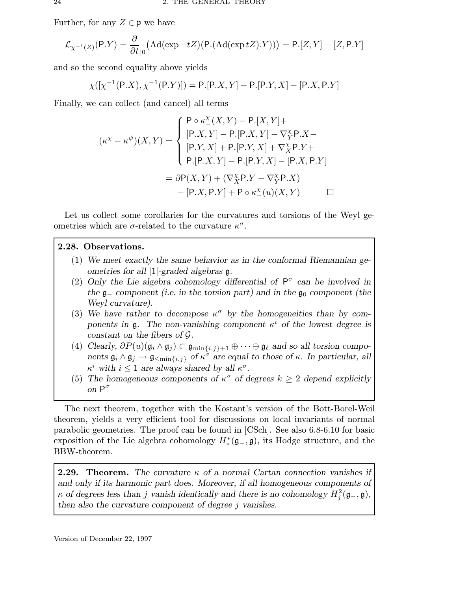Further, for any  $Z \in \mathfrak{p}$  we have

$$
\mathcal{L}_{\chi^{-1}(Z)}(\mathsf{P}.Y) = \frac{\partial}{\partial t}_{|0} \big( \mathrm{Ad}(\exp - tZ)(\mathsf{P}.(\mathrm{Ad}(\exp tZ).Y)) \big) = \mathsf{P}.[Z,Y] - [Z,\mathsf{P}.Y]
$$

and so the second equality above yields

$$
\chi([ \chi^{-1}(P.X), \chi^{-1}(P.Y)]) = P.[P.X, Y] - P.[P.Y, X] - [P.X, P.Y]
$$

Finally, we can collect (and cancel) all terms

$$
(\kappa^{\chi} - \kappa^{\psi})(X, Y) = \begin{cases} P \circ \kappa^{\chi}_{-}(X, Y) - P.[X, Y] + \\ [P.X, Y] - P.[P.X, Y] - \nabla^{\chi}_{Y}P.X - \\ [P.Y, X] + P.[P.Y, X] + \nabla^{\chi}_{X}P.Y + \\ P.[P.X, Y] - P.[P.Y, X] - [P.X, P.Y] \\ \n= \partial P(X, Y) + (\nabla^{\chi}_{X}P.Y - \nabla^{\chi}_{Y}P.X) \\ \n- [P.X, P.Y] + P \circ \kappa^{\chi}_{-}(u)(X, Y) \n\end{cases}
$$

Let us collect some corollaries for the curvatures and torsions of the Weyl geometries which are  $\sigma$ -related to the curvature  $\kappa^{\sigma}$ .

## 2.28. Observations.

- (1) We meet exactly the same behavior as in the conformal Riemannian geometries for all  $|1|$ -graded algebras  $\mathfrak{g}$ .
- (2) Only the Lie algebra cohomology differential of  $P^{\sigma}$  can be involved in the  $\mathfrak{g}_-$  component (i.e. in the torsion part) and in the  $\mathfrak{g}_0$  component (the Weyl curvature).
- (3) We have rather to decompose  $\kappa^{\sigma}$  by the homogeneities than by components in  $\mathfrak g$ . The non-vanishing component  $\kappa^i$  of the lowest degree is constant on the fibers of G.
- (4) Clearly,  $\partial P(u)(\mathfrak{g}_i \wedge \mathfrak{g}_j) \subset \mathfrak{g}_{\min\{i,j\}+1} \oplus \cdots \oplus \mathfrak{g}_\ell$  and so all torsion components  $\mathfrak{g}_i \wedge \mathfrak{g}_j \to \mathfrak{g}_{\leq \min\{i,j\}}$  of  $\kappa^{\sigma}$  are equal to those of  $\kappa$ . In particular, all  $\kappa^i$  with  $i \leq 1$  are always shared by all  $\kappa^{\sigma}$ .
- (5) The homogeneous components of  $\kappa^{\sigma}$  of degrees  $k \geq 2$  depend explicitly on  $P^{\sigma}$

The next theorem, together with the Kostant's version of the Bott-Borel-Weil theorem, yields a very efficient tool for discussions on local invariants of normal parabolic geometries. The proof can be found in [CSch]. See also 6.8-6.10 for basic exposition of the Lie algebra cohomology  $H^*_{*}(\mathfrak{g}_-,\mathfrak{g})$ , its Hodge structure, and the BBW-theorem.

**2.29. Theorem.** The curvature  $\kappa$  of a normal Cartan connection vanishes if and only if its harmonic part does. Moreover, if all homogeneous components of  $\kappa$  of degrees less than j vanish identically and there is no cohomology  $H_j^2(\mathfrak{g}_-,\mathfrak{g}),$ then also the curvature component of degree  $j$  vanishes.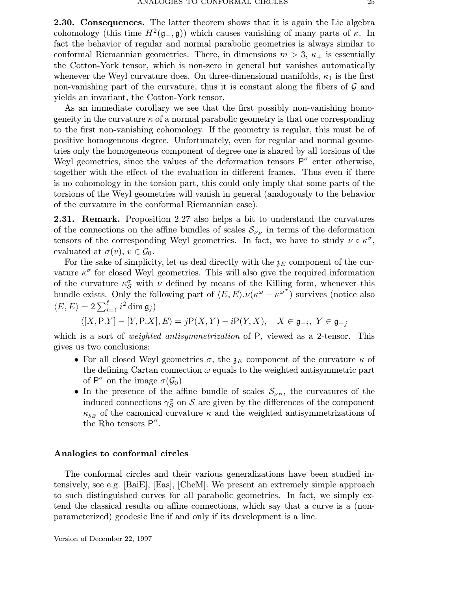2.30. Consequences. The latter theorem shows that it is again the Lie algebra cohomology (this time  $H^2(\mathfrak{g}_-, \mathfrak{g})$ ) which causes vanishing of many parts of  $\kappa$ . In fact the behavior of regular and normal parabolic geometries is always similar to conformal Riemannian geometries. There, in dimensions  $m > 3$ ,  $\kappa_{+}$  is essentially the Cotton-York tensor, which is non-zero in general but vanishes automatically whenever the Weyl curvature does. On three-dimensional manifolds,  $\kappa_1$  is the first non-vanishing part of the curvature, thus it is constant along the fibers of  $\mathcal G$  and yields an invariant, the Cotton-York tensor.

As an immediate corollary we see that the first possibly non-vanishing homogeneity in the curvature  $\kappa$  of a normal parabolic geometry is that one corresponding to the first non-vanishing cohomology. If the geometry is regular, this must be of positive homogeneous degree. Unfortunately, even for regular and normal geometries only the homogeneous component of degree one is shared by all torsions of the Weyl geometries, since the values of the deformation tensors  $P^{\sigma}$  enter otherwise, together with the effect of the evaluation in different frames. Thus even if there is no cohomology in the torsion part, this could only imply that some parts of the torsions of the Weyl geometries will vanish in general (analogously to the behavior of the curvature in the conformal Riemannian case).

2.31. Remark. Proposition 2.27 also helps a bit to understand the curvatures of the connections on the affine bundles of scales  $\mathcal{S}_{\nu_P}$  in terms of the deformation tensors of the corresponding Weyl geometries. In fact, we have to study  $\nu \circ \kappa^{\sigma}$ , evaluated at  $\sigma(v)$ ,  $v \in \mathcal{G}_0$ .

For the sake of simplicity, let us deal directly with the  $\mathfrak{z}_E$  component of the curvature  $\kappa^{\sigma}$  for closed Weyl geometries. This will also give the required information of the curvature  $\kappa_{\mathcal{S}}^{\sigma}$  with  $\nu$  defined by means of the Killing form, whenever this bundle exists. Only the following part of  $\langle E, E \rangle \cdot \nu(\kappa^{\omega} - {\kappa^{\omega}}^{\sigma})$  survives (notice also  $\langle E, E \rangle = 2 \sum_{i=1}^{\ell} i^2 \dim \mathfrak{g}_j$ 

$$
\langle [X, \mathsf{P}.Y] - [Y, \mathsf{P}.X], E \rangle = j \mathsf{P}(X, Y) - i \mathsf{P}(Y, X), \quad X \in \mathfrak{g}_{-i}, \ Y \in \mathfrak{g}_{-j}
$$

which is a sort of *weighted antisymmetrization* of P, viewed as a 2-tensor. This gives us two conclusions:

- For all closed Weyl geometries  $\sigma$ , the  $\delta_E$  component of the curvature  $\kappa$  of the defining Cartan connection  $\omega$  equals to the weighted antisymmetric part of  $P^{\sigma}$  on the image  $\sigma(\mathcal{G}_0)$
- In the presence of the affine bundle of scales  $\mathcal{S}_{\nu_P}$ , the curvatures of the induced connections  $\gamma_{\mathcal{S}}^{\sigma}$  on  $\mathcal{S}$  are given by the differences of the component  $\kappa_{3E}$  of the canonical curvature  $\kappa$  and the weighted antisymmetrizations of the Rho tensors  $P^{\sigma}$ .

## Analogies to conformal circles

The conformal circles and their various generalizations have been studied intensively, see e.g. [BaiE], [Eas], [CheM]. We present an extremely simple approach to such distinguished curves for all parabolic geometries. In fact, we simply extend the classical results on affine connections, which say that a curve is a (nonparameterized) geodesic line if and only if its development is a line.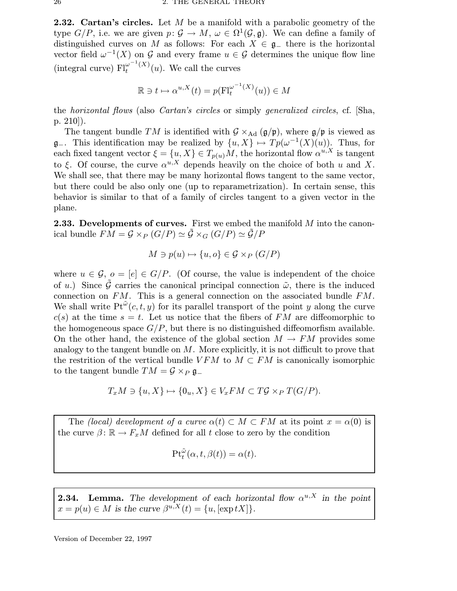**2.32. Cartan's circles.** Let  $M$  be a manifold with a parabolic geometry of the type  $G/P$ , i.e. we are given  $p: \mathcal{G} \to M$ ,  $\omega \in \Omega^1(\mathcal{G}, \mathfrak{g})$ . We can define a family of distinguished curves on M as follows: For each  $X \in \mathfrak{g}_{-}$  there is the horizontal vector field  $\omega^{-1}(X)$  on G and every frame  $u \in \mathcal{G}$  determines the unique flow line (integral curve)  $\operatorname{Fl}^{\omega^{-1}(X)}_t$  $\int_t^{\omega}$  (x)(*u*). We call the curves

$$
\mathbb{R} \ni t \mapsto \alpha^{u,X}(t) = p(\mathrm{Fl}_t^{\omega^{-1}(X)}(u)) \in M
$$

the horizontal flows (also Cartan's circles or simply generalized circles, cf. [Sha, p. 210]).

The tangent bundle TM is identified with  $\mathcal{G} \times_{\text{Ad}} (\mathfrak{g}/\mathfrak{p})$ , where  $\mathfrak{g}/\mathfrak{p}$  is viewed as g<sup>-1</sup>. This identification may be realized by  $\{u, X\}$   $\mapsto$   $Tp(\omega^{-1}(X)(u))$ . Thus, for each fixed tangent vector  $\xi = \{u, X\} \in T_{p(u)}M$ , the horizontal flow  $\alpha^{u,X}$  is tangent to  $\xi$ . Of course, the curve  $\alpha^{u,X}$  depends heavily on the choice of both u and X. We shall see, that there may be many horizontal flows tangent to the same vector, but there could be also only one (up to reparametrization). In certain sense, this behavior is similar to that of a family of circles tangent to a given vector in the plane.

**2.33. Developments of curves.** First we embed the manifold  $M$  into the canonical bundle  $FM = \mathcal{G} \times_P (G/P) \simeq \tilde{\mathcal{G}} \times_G (G/P) \simeq \tilde{\mathcal{G}}/P$ 

$$
M \ni p(u) \mapsto \{u, o\} \in \mathcal{G} \times_P (G/P)
$$

where  $u \in \mathcal{G}$ ,  $o = [e] \in G/P$ . (Of course, the value is independent of the choice of u.) Since G carries the canonical principal connection  $\tilde{\omega}$ , there is the induced connection on  $FM$ . This is a general connection on the associated bundle  $FM$ . We shall write  $\mathrm{Pt}^{\tilde{\omega}}(c, t, y)$  for its parallel transport of the point y along the curve  $c(s)$  at the time  $s = t$ . Let us notice that the fibers of FM are diffeomorphic to the homogeneous space  $G/P$ , but there is no distinguished diffeomorfism available. On the other hand, the existence of the global section  $M \to FM$  provides some analogy to the tangent bundle on  $M$ . More explicitly, it is not difficult to prove that the restrition of the vertical bundle  $VFM$  to  $M\subset FM$  is canonically isomorphic to the tangent bundle  $TM = \mathcal{G} \times_{P} \mathfrak{g}_{-}$ 

$$
T_xM \ni \{u, X\} \mapsto \{0_u, X\} \in V_xFM \subset T\mathcal{G} \times_P T(G/P).
$$

The (local) development of a curve  $\alpha(t) \subset M \subset FM$  at its point  $x = \alpha(0)$  is the curve  $\beta \colon \mathbb{R} \to F_xM$  defined for all t close to zero by the condition

$$
\mathrm{Pt}^{\tilde{\omega}}_t(\alpha, t, \beta(t)) = \alpha(t).
$$

**2.34. Lemma.** The development of each horizontal flow  $\alpha^{u,X}$  in the point  $x = p(u) \in M$  is the curve  $\beta^{u,X}(t) = \{u, [\exp tX]\}.$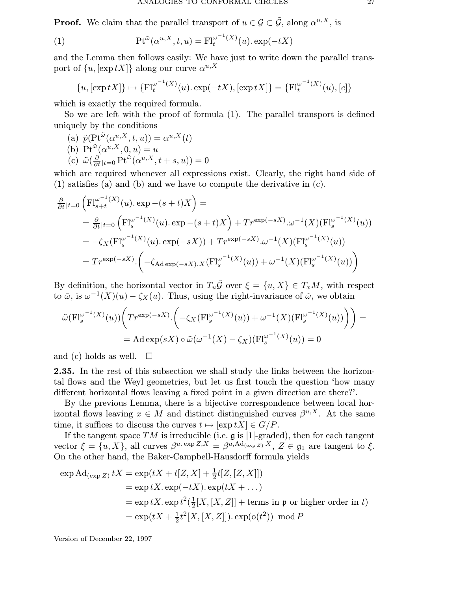**Proof.** We claim that the parallel transport of  $u \in \mathcal{G} \subset \tilde{\mathcal{G}}$ , along  $\alpha^{u,X}$ , is

(1) 
$$
\mathrm{Pt}^{\tilde{\omega}}(\alpha^{u,X},t,u) = \mathrm{Fl}^{\omega^{-1}(X)}_t(u).\exp(-tX)
$$

and the Lemma then follows easily: We have just to write down the parallel transport of  $\{u, [\exp tX]\}$  along our curve  $\alpha^{u,X}$ 

$$
\{u, [\exp tX]\} \mapsto \{ \mathrm{Fl}_t^{\omega^{-1}(X)}(u). \exp(-tX), [\exp tX] \} = \{ \mathrm{Fl}_t^{\omega^{-1}(X)}(u), [e] \}
$$

which is exactly the required formula.

So we are left with the proof of formula (1). The parallel transport is defined uniquely by the conditions

(a)  $\tilde{p}(\text{Pt}^{\tilde{\omega}}(\alpha^{u,X},t,u)) = \alpha^{u,X}(t)$ 

(b) 
$$
\mathrm{Pt}^{\tilde{\omega}}(\alpha^{u,X},0,u) = u
$$

(c)  $\tilde{\omega}(\frac{\partial}{\partial t}|_{t=0} \operatorname{Pt}^{\tilde{\omega}}(\alpha^{u,X},t+s,u)) = 0$ 

which are required whenever all expressions exist. Clearly, the right hand side of (1) satisfies (a) and (b) and we have to compute the derivative in (c).

$$
\frac{\partial}{\partial t}|_{t=0} \left( \mathbf{F} \mathbf{1}_{s+t}^{\omega^{-1}(X)}(u) \cdot \exp(-(s+t)X) \right) =
$$
\n
$$
= \frac{\partial}{\partial t}|_{t=0} \left( \mathbf{F} \mathbf{1}_{s}^{\omega^{-1}(X)}(u) \cdot \exp(-(s+t)X) \right) + Tr^{\exp(-sX)} \cdot \omega^{-1}(X) (\mathbf{F} \mathbf{1}_{s}^{\omega^{-1}(X)}(u))
$$
\n
$$
= -\zeta_{X} (\mathbf{F} \mathbf{1}_{s}^{\omega^{-1}(X)}(u) \cdot \exp(-sX)) + Tr^{\exp(-sX)} \cdot \omega^{-1}(X) (\mathbf{F} \mathbf{1}_{s}^{\omega^{-1}(X)}(u))
$$
\n
$$
= Tr^{\exp(-sX)} \cdot \left( -\zeta_{\text{Ad} \exp(-sX)} \cdot \mathbf{F} \mathbf{1}_{s}^{\omega^{-1}(X)}(u) + \omega^{-1}(X) (\mathbf{F} \mathbf{1}_{s}^{\omega^{-1}(X)}(u)) \right)
$$

By definition, the horizontal vector in  $T_u\tilde{\mathcal{G}}$  over  $\xi = \{u, X\} \in T_xM$ , with respect to  $\tilde{\omega}$ , is  $\omega^{-1}(X)(u) - \zeta_X(u)$ . Thus, using the right-invariance of  $\tilde{\omega}$ , we obtain

$$
\tilde{\omega}(\mathrm{Fl}_{s}^{\omega^{-1}(X)}(u))\bigg(Tr^{\exp(-sX)}\cdot\bigg(-\zeta_{X}(\mathrm{Fl}_{s}^{\omega^{-1}(X)}(u))+\omega^{-1}(X)(\mathrm{Fl}_{s}^{\omega^{-1}(X)}(u))\bigg)\bigg)=
$$

$$
=\mathrm{Ad}\exp(sX)\circ\tilde{\omega}(\omega^{-1}(X)-\zeta_{X})(\mathrm{Fl}_{s}^{\omega^{-1}(X)}(u))=0
$$

and (c) holds as well.  $\square$ 

2.35. In the rest of this subsection we shall study the links between the horizontal flows and the Weyl geometries, but let us first touch the question 'how many different horizontal flows leaving a fixed point in a given direction are there?'.

By the previous Lemma, there is a bijective correspondence between local horizontal flows leaving  $x \in M$  and distinct distinguished curves  $\beta^{u,X}$ . At the same time, it suffices to discuss the curves  $t \mapsto [\exp tX] \in G/P$ .

If the tangent space  $TM$  is irreducible (i.e.  $\frak{g}$  is [1]-graded), then for each tangent vector  $\xi = \{u, X\}$ , all curves  $\beta^{u. \exp Z, X} = \beta^{u, \text{Ad}_{(\exp Z)} X}, Z \in \mathfrak{g}_1$  are tangent to  $\xi$ . On the other hand, the Baker-Campbell-Hausdorff formula yields

$$
\exp \text{Ad}_{(\exp Z)} tX = \exp(tX + t[Z, X] + \frac{1}{2}t[Z, [Z, X]])
$$
  
=  $\exp tX \cdot \exp(-tX) \cdot \exp(tX + \dots)$   
=  $\exp tX \cdot \exp t^2(\frac{1}{2}[X, [X, Z]] + \text{terms in } \mathfrak{p} \text{ or higher order in } t)$   
=  $\exp(tX + \frac{1}{2}t^2[X, [X, Z]]) \cdot \exp(o(t^2)) \mod P$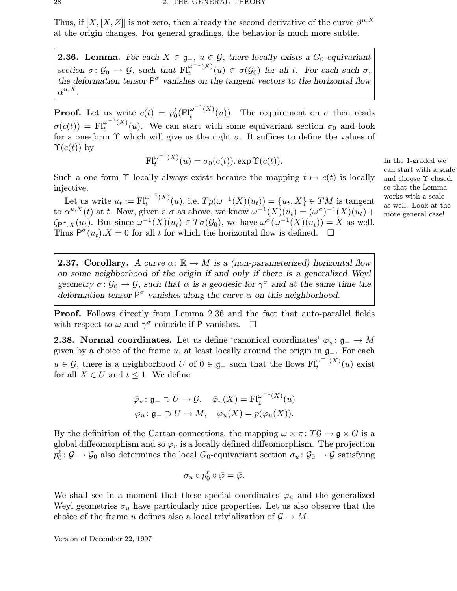Thus, if  $[X, [X, Z]]$  is not zero, then already the second derivative of the curve  $\beta^{u, X}$ at the origin changes. For general gradings, the behavior is much more subtle.

**2.36. Lemma.** For each  $X \in \mathfrak{g}_-, u \in \mathcal{G}$ , there locally exists a  $G_0$ -equivariant section  $\sigma: \mathcal{G}_0 \to \mathcal{G}$ , such that  $\overline{\mathrm{Fl}^{\omega^{-1}}_t(X)}$  $\sigma_t^{\omega}$  (x)  $(u) \in \sigma(\mathcal{G}_0)$  for all t. For each such  $\sigma$ , the deformation tensor  $P^{\sigma}$  vanishes on the tangent vectors to the horizontal flow  $\alpha^{u,X}.$ 

**Proof.** Let us write  $c(t) = p_0^{\ell}(\text{Fl}_t^{\omega^{-1}(X)})$  $\frac{d}{dt}$  (x)(u)). The requirement on  $\sigma$  then reads  $\sigma(c(t)) = \mathrm{Fl}^{\omega^{-1}(X)}_t$  $\int_t^{\omega}$  (x) (u). We can start with some equivariant section  $\sigma_0$  and look for a one-form  $\Upsilon$  which will give us the right  $\sigma$ . It suffices to define the values of  $\Upsilon(c(t))$  by

$$
\mathrm{Fl}^{\omega^{-1}(X)}_t(u) = \sigma_0(c(t)). \exp \Upsilon(c(t)).
$$

Such a one form  $\Upsilon$  locally always exists because the mapping  $t \mapsto c(t)$  is locally injective.

Let us write  $u_t := \mathrm{Fl}_t^{\omega^{-1}(X)}$  $\mathcal{H}_t^{\omega^{-1}(X)}(u), \text{ i.e. }Tp(\omega^{-1}(X)(u_t))=\{u_t,X\}\in TM \text{ is tangent}$ to  $\alpha^{u,X}(t)$  at t. Now, given a  $\sigma$  as above, we know  $\omega^{-1}(X)(u_t) = (\omega^{\sigma})^{-1}(X)(u_t) +$  $\zeta_{\mathsf{P}^\sigma.X}(u_t)$ . But since  $\omega^{-1}(X)(u_t) \in T\sigma(\mathcal{G}_0)$ , we have  $\omega^\sigma(\omega^{-1}(X)(u_t)) = X$  as well. Thus  $P^{\sigma}(u_t)$ .  $X = 0$  for all t for which the horizontal flow is defined.  $\square$ 

**2.37. Corollary.** A curve  $\alpha: \mathbb{R} \to M$  is a (non-parameterized) horizontal flow on some neighborhood of the origin if and only if there is a generalized Weyl geometry  $\sigma: \mathcal{G}_0 \to \mathcal{G}$ , such that  $\alpha$  is a geodesic for  $\gamma^{\sigma}$  and at the same time the deformation tensor  $P^{\sigma}$  vanishes along the curve  $\alpha$  on this neighborhood.

Proof. Follows directly from Lemma 2.36 and the fact that auto-parallel fields with respect to  $\omega$  and  $\gamma^{\sigma}$  coincide if P vanishes.  $\Box$ 

**2.38. Normal coordinates.** Let us define 'canonical coordinates'  $\varphi_u : \mathfrak{g}_- \to M$ given by a choice of the frame u, at least locally around the origin in  $\mathfrak{g}_-$ . For each  $u \in \mathcal{G}$ , there is a neighborhood U of  $0 \in \mathfrak{g}_-$  such that the flows  $\mathrm{Fl}^{\omega^{-1}(X)}_t$  $\int_t^{\omega}$  (*A*) (*u*) exist for all  $X \in U$  and  $t \leq 1$ . We define

$$
\overline{\varphi}_u \colon \mathfrak{g}_- \supset U \to \mathcal{G}, \quad \overline{\varphi}_u(X) = \mathrm{Fl}_1^{\omega^{-1}(X)}(u)
$$

$$
\varphi_u \colon \mathfrak{g}_- \supset U \to M, \quad \varphi_u(X) = p(\overline{\varphi}_u(X)).
$$

By the definition of the Cartan connections, the mapping  $\omega \times \pi : T \mathcal{G} \to \mathfrak{g} \times G$  is a global diffeomorphism and so  $\varphi_u$  is a locally defined diffeomorphism. The projection  $p_0^{\ell} \colon \mathcal{G} \to \mathcal{G}_0$  also determines the local  $G_0$ -equivariant section  $\sigma_u \colon \mathcal{G}_0 \to \mathcal{G}$  satisfying

$$
\sigma_u \circ p_0^{\ell} \circ \bar{\varphi} = \bar{\varphi}.
$$

We shall see in a moment that these special coordinates  $\varphi_u$  and the generalized Weyl geometries  $\sigma_u$  have particularly nice properties. Let us also observe that the choice of the frame u defines also a local trivialization of  $\mathcal{G} \to M$ .

Version of December 22, 1997

In the 1-graded we can start with a scale and choose Υ closed, so that the Lemma works with a scale as well. Look at the more general case!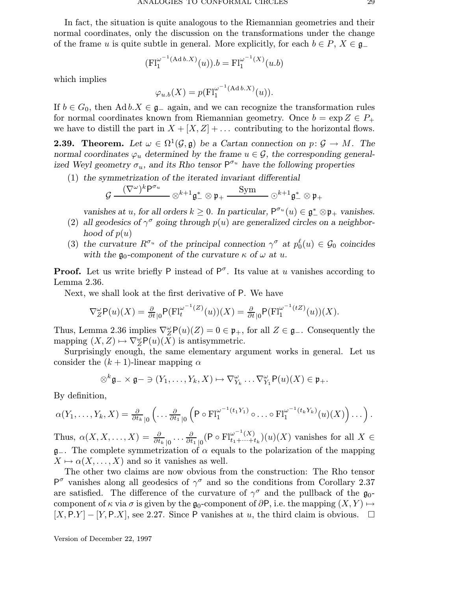In fact, the situation is quite analogous to the Riemannian geometries and their normal coordinates, only the discussion on the transformations under the change of the frame u is quite subtle in general. More explicitly, for each  $b \in P$ ,  $X \in \mathfrak{g}_-$ 

$$
(\mathrm{Fl}_1^{\omega^{-1}(\mathrm{Ad}\,b.X)}(u)).b = \mathrm{Fl}_1^{\omega^{-1}(X)}(u.b)
$$

which implies

$$
\varphi_{u,b}(X) = p(\mathrm{Fl}_1^{\omega^{-1}(\mathrm{Ad}\,b.X)}(u)).
$$

If  $b \in G_0$ , then Ad  $b.X \in \mathfrak{g}_-$  again, and we can recognize the transformation rules for normal coordinates known from Riemannian geometry. Once  $b = \exp Z \in P_+$ we have to distill the part in  $X + [X, Z] + \ldots$  contributing to the horizontal flows.

**2.39. Theorem.** Let  $\omega \in \Omega^1(\mathcal{G}, \mathfrak{g})$  be a Cartan connection on  $p: \mathcal{G} \to M$ . The normal coordinates  $\varphi_u$  determined by the frame  $u \in \mathcal{G}$ , the corresponding generalized Weyl geometry  $\sigma_u$ , and its Rho tensor  $P^{\sigma_u}$  have the following properties

(1) the symmetrization of the iterated invariant differential

$$
\mathcal{G}\stackrel{(\nabla^\omega)^k\mathsf{P}^{\sigma_u}}{\xrightarrow{\hspace*{1cm}}} \otimes^{k+1}\mathfrak{g}_-^*\otimes \mathfrak{p}_+ \stackrel{\text{Sym}}{\xrightarrow{\hspace*{1cm}}} \odot^{k+1}\mathfrak{g}_-^*\otimes \mathfrak{p}_+
$$

vanishes at u, for all orders  $k \geq 0$ . In particular,  $P^{\sigma_u}(u) \in \mathfrak{g}_-^* \otimes \mathfrak{p}_+$  vanishes.

- (2) all geodesics of  $\gamma^{\sigma}$  going through  $p(u)$  are generalized circles on a neighborhood of  $p(u)$
- (3) the curvature  $R^{\sigma_u}$  of the principal connection  $\gamma^{\sigma}$  at  $p_0^{\ell}(u) \in \mathcal{G}_0$  coincides with the  $\mathfrak{g}_0$ -component of the curvature  $\kappa$  of  $\omega$  at  $u$ .

**Proof.** Let us write briefly P instead of  $P^{\sigma}$ . Its value at u vanishes according to Lemma 2.36.

Next, we shall look at the first derivative of P. We have

$$
\nabla_Z^{\omega} \mathsf{P}(u)(X) = \frac{\partial}{\partial t}_{|0} \mathsf{P}(\mathsf{Fl}_t^{\omega^{-1}(Z)}(u))(X) = \frac{\partial}{\partial t}_{|0} \mathsf{P}(\mathsf{Fl}_1^{\omega^{-1}(tZ)}(u))(X).
$$

Thus, Lemma 2.36 implies  $\nabla_Z^{\omega}P(u)(Z) = 0 \in \mathfrak{p}_+$ , for all  $Z \in \mathfrak{g}_-$ . Consequently the mapping  $(X, Z) \mapsto \nabla_Z^{\omega} \mathsf{P}(u)(\tilde{X})$  is antisymmetric.

Surprisingly enough, the same elementary argument works in general. Let us consider the  $(k+1)$ -linear mapping  $\alpha$ 

$$
\otimes^k \mathfrak{g}_-\times \mathfrak{g}_-\ni(Y_1,\ldots,Y_k,X)\mapsto \nabla_{Y_k}^{\omega}\ldots \nabla_{Y_1}^{\omega}\mathsf{P}(u)(X)\in\mathfrak{p}_+.
$$

By definition,

$$
\alpha(Y_1,\ldots,Y_k,X)=\frac{\partial}{\partial t_k}_{|0}\left(\ldots\frac{\partial}{\partial t_1}_{|0}\left(P\circ \mathrm{Fl}_1^{\omega^{-1}(t_1Y_1)}\circ\ldots\circ \mathrm{Fl}_1^{\omega^{-1}(t_kY_k)}(u)(X)\right)\ldots\right).
$$

Thus,  $\alpha(X, X, \ldots, X) = \frac{\partial}{\partial t_k}_{|0} \ldots \frac{\partial}{\partial t}$  $\frac{\partial}{\partial t_1}_{|0}(\mathsf{P} \circ \mathrm{Fl}_{t_1+\cdots+t}^{\omega^{-1}(X)})$  $_{t_1+\cdots+t_k}^{\omega}$  $(u)(X)$  vanishes for all  $X \in$  $\mathfrak{g}_-$ . The complete symmetrization of  $\alpha$  equals to the polarization of the mapping  $X \mapsto \alpha(X, \ldots, X)$  and so it vanishes as well.

The other two claims are now obvious from the construction: The Rho tensor  $P^{\sigma}$  vanishes along all geodesics of  $\gamma^{\sigma}$  and so the conditions from Corollary 2.37 are satisfied. The difference of the curvature of  $\gamma^{\sigma}$  and the pullback of the  $\mathfrak{g}_0$ component of  $\kappa$  via  $\sigma$  is given by the  $\mathfrak{g}_0$ -component of  $\partial P$ , i.e. the mapping  $(X, Y) \mapsto$  $[X, P.Y] - [Y, P.X]$ , see 2.27. Since P vanishes at u, the third claim is obvious.  $\square$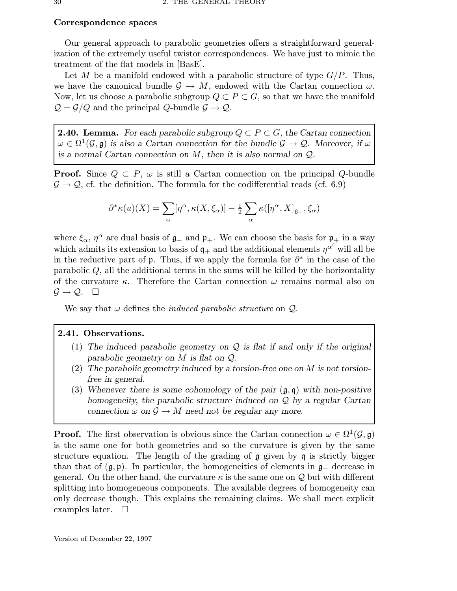## Correspondence spaces

Our general approach to parabolic geometries offers a straightforward generalization of the extremely useful twistor correspondences. We have just to mimic the treatment of the flat models in [BasE].

Let M be a manifold endowed with a parabolic structure of type  $G/P$ . Thus, we have the canonical bundle  $\mathcal{G} \to M$ , endowed with the Cartan connection  $\omega$ . Now, let us choose a parabolic subgroup  $Q \subset P \subset G$ , so that we have the manifold  $\mathcal{Q} = \mathcal{G}/Q$  and the principal Q-bundle  $\mathcal{G} \to \mathcal{Q}$ .

**2.40. Lemma.** For each parabolic subgroup  $Q \subset P \subset G$ , the Cartan connection  $\omega \in \Omega^1(\mathcal{G}, \mathfrak{g})$  is also a Cartan connection for the bundle  $\mathcal{G} \to \mathcal{Q}$ . Moreover, if  $\omega$ is a normal Cartan connection on  $M$ , then it is also normal on  $\mathcal{Q}$ .

**Proof.** Since  $Q \subset P$ ,  $\omega$  is still a Cartan connection on the principal Q-bundle  $\mathcal{G} \rightarrow \mathcal{Q}$ , cf. the definition. The formula for the codifferential reads (cf. 6.9)

$$
\partial^* \kappa(u)(X) = \sum_{\alpha} [\eta^{\alpha}, \kappa(X, \xi_{\alpha})] - \frac{1}{2} \sum_{\alpha} \kappa([\eta^{\alpha}, X]_{\mathfrak{g}_{-}}, \xi_{\alpha})
$$

where  $\xi_{\alpha}$ ,  $\eta^{\alpha}$  are dual basis of  $\mathfrak{g}_{-}$  and  $\mathfrak{p}_{+}$ . We can choose the basis for  $\mathfrak{p}_{+}$  in a way which admits its extension to basis of  $q_+$  and the additional elements  $\eta^{\alpha'}$  will all be in the reductive part of  $\mathfrak p$ . Thus, if we apply the formula for  $\partial^*$  in the case of the parabolic  $Q$ , all the additional terms in the sums will be killed by the horizontality of the curvature  $\kappa$ . Therefore the Cartan connection  $\omega$  remains normal also on  $\mathcal{G} \rightarrow \mathcal{Q}$ .  $\Box$ 

We say that  $\omega$  defines the *induced parabolic structure* on  $\mathcal{Q}$ .

## 2.41. Observations.

- (1) The induced parabolic geometry on  $Q$  is flat if and only if the original parabolic geometry on  $M$  is flat on  $\mathcal{Q}$ .
- (2) The parabolic geometry induced by a torsion-free one on M is not torsionfree in general.
- (3) Whenever there is some cohomology of the pair  $(\mathfrak{g}, \mathfrak{q})$  with non-positive homogeneity, the parabolic structure induced on  $\mathcal Q$  by a regular Cartan connection  $\omega$  on  $\mathcal{G} \to M$  need not be regular any more.

**Proof.** The first observation is obvious since the Cartan connection  $\omega \in \Omega^1(\mathcal{G}, \mathfrak{g})$ is the same one for both geometries and so the curvature is given by the same structure equation. The length of the grading of  $\mathfrak g$  given by  $\mathfrak g$  is strictly bigger than that of  $(g, \mathfrak{p})$ . In particular, the homogeneities of elements in  $g_-\$  decrease in general. On the other hand, the curvature  $\kappa$  is the same one on Q but with different splitting into homogeneous components. The available degrees of homogeneity can only decrease though. This explains the remaining claims. We shall meet explicit examples later.  $\square$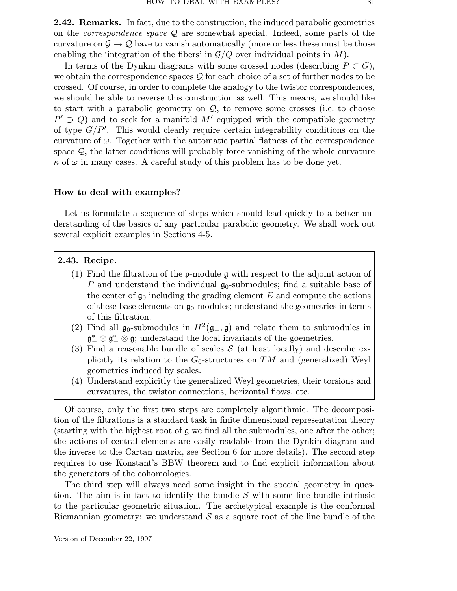2.42. Remarks. In fact, due to the construction, the induced parabolic geometries on the *correspondence space*  $Q$  are somewhat special. Indeed, some parts of the curvature on  $\mathcal{G} \to \mathcal{Q}$  have to vanish automatically (more or less these must be those enabling the 'integration of the fibers' in  $\mathcal{G}/Q$  over individual points in M).

In terms of the Dynkin diagrams with some crossed nodes (describing  $P \subset G$ ), we obtain the correspondence spaces  $\mathcal Q$  for each choice of a set of further nodes to be crossed. Of course, in order to complete the analogy to the twistor correspondences, we should be able to reverse this construction as well. This means, we should like to start with a parabolic geometry on  $\mathcal{Q}$ , to remove some crosses (i.e. to choose  $P' \supset Q$  and to seek for a manifold M' equipped with the compatible geometry of type  $G/P'$ . This would clearly require certain integrability conditions on the curvature of  $\omega$ . Together with the automatic partial flatness of the correspondence space  $Q$ , the latter conditions will probably force vanishing of the whole curvature  $\kappa$  of  $\omega$  in many cases. A careful study of this problem has to be done yet.

## How to deal with examples?

Let us formulate a sequence of steps which should lead quickly to a better understanding of the basics of any particular parabolic geometry. We shall work out several explicit examples in Sections 4-5.

## 2.43. Recipe.

- (1) Find the filtration of the p-module g with respect to the adjoint action of P and understand the individual  $\mathfrak{g}_0$ -submodules; find a suitable base of the center of  $\mathfrak{g}_0$  including the grading element E and compute the actions of these base elements on  $\mathfrak{g}_0$ -modules; understand the geometries in terms of this filtration.
- (2) Find all  $\mathfrak{g}_0$ -submodules in  $H^2(\mathfrak{g}_-,\mathfrak{g})$  and relate them to submodules in  $\mathfrak{g}_{-}^* \otimes \mathfrak{g}_{+}^* \otimes \mathfrak{g}_{+}^*$  understand the local invariants of the goemetries.
- (3) Find a reasonable bundle of scales  $S$  (at least locally) and describe explicitly its relation to the  $G_0$ -structures on TM and (generalized) Weyl geometries induced by scales.
- (4) Understand explicitly the generalized Weyl geometries, their torsions and curvatures, the twistor connections, horizontal flows, etc.

Of course, only the first two steps are completely algorithmic. The decomposition of the filtrations is a standard task in finite dimensional representation theory (starting with the highest root of  $g$  we find all the submodules, one after the other; the actions of central elements are easily readable from the Dynkin diagram and the inverse to the Cartan matrix, see Section 6 for more details). The second step requires to use Konstant's BBW theorem and to find explicit information about the generators of the cohomologies.

The third step will always need some insight in the special geometry in question. The aim is in fact to identify the bundle  $S$  with some line bundle intrinsic to the particular geometric situation. The archetypical example is the conformal Riemannian geometry: we understand  $S$  as a square root of the line bundle of the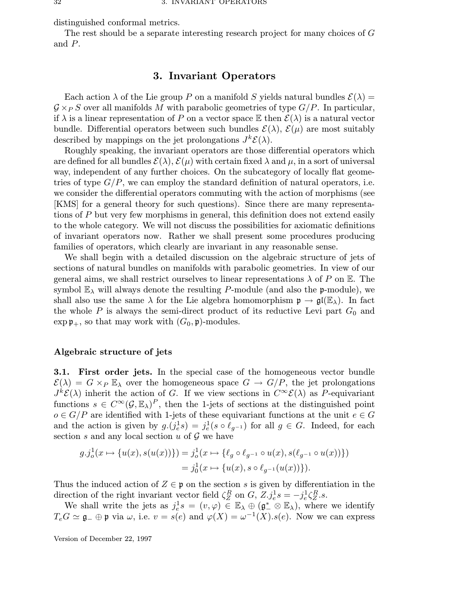distinguished conformal metrics.

The rest should be a separate interesting research project for many choices of G and P.

## 3. Invariant Operators

Each action  $\lambda$  of the Lie group P on a manifold S yields natural bundles  $\mathcal{E}(\lambda)$  =  $\mathcal{G} \times_{P} S$  over all manifolds M with parabolic geometries of type  $G/P$ . In particular, if  $\lambda$  is a linear representation of P on a vector space  $\mathbb E$  then  $\mathcal E(\lambda)$  is a natural vector bundle. Differential operators between such bundles  $\mathcal{E}(\lambda)$ ,  $\mathcal{E}(\mu)$  are most suitably described by mappings on the jet prolongations  $J^k \mathcal{E}(\lambda)$ .

Roughly speaking, the invariant operators are those differential operators which are defined for all bundles  $\mathcal{E}(\lambda), \mathcal{E}(\mu)$  with certain fixed  $\lambda$  and  $\mu$ , in a sort of universal way, independent of any further choices. On the subcategory of locally flat geometries of type  $G/P$ , we can employ the standard definition of natural operators, i.e. we consider the differential operators commuting with the action of morphisms (see [KMS] for a general theory for such questions). Since there are many representations of P but very few morphisms in general, this definition does not extend easily to the whole category. We will not discuss the possibilities for axiomatic definitions of invariant operators now. Rather we shall present some procedures producing families of operators, which clearly are invariant in any reasonable sense.

We shall begin with a detailed discussion on the algebraic structure of jets of sections of natural bundles on manifolds with parabolic geometries. In view of our general aims, we shall restrict ourselves to linear representations  $\lambda$  of P on E. The symbol  $\mathbb{E}_{\lambda}$  will always denote the resulting P-module (and also the p-module), we shall also use the same  $\lambda$  for the Lie algebra homomorphism  $\mathfrak{p} \to \mathfrak{gl}(\mathbb{E}_{\lambda})$ . In fact the whole  $P$  is always the semi-direct product of its reductive Levi part  $G_0$  and  $\exp \mathfrak{p}_+$ , so that may work with  $(G_0, \mathfrak{p})$ -modules.

## Algebraic structure of jets

3.1. First order jets. In the special case of the homogeneous vector bundle  $\mathcal{E}(\lambda) = G \times_P \mathbb{E}_{\lambda}$  over the homogeneous space  $G \to G/P$ , the jet prolongations  $J^k \mathcal{E}(\lambda)$  inherit the action of G. If we view sections in  $C^{\infty} \mathcal{E}(\lambda)$  as P-equivariant functions  $s \in C^{\infty}(\mathcal{G}, \mathbb{E}_{\lambda})^P$ , then the 1-jets of sections at the distinguished point  $o \in G/P$  are identified with 1-jets of these equivariant functions at the unit  $e \in G$ and the action is given by  $g.(j_e^1s) = j_e^1(s \circ \ell_{g^{-1}})$  for all  $g \in G$ . Indeed, for each section s and any local section  $u$  of  $\mathcal G$  we have

$$
g \cdot j_o^1(x \mapsto \{u(x), s(u(x))\}) = j_o^1(x \mapsto \{\ell_g \circ \ell_{g^{-1}} \circ u(x), s(\ell_{g^{-1}} \circ u(x))\})
$$
  
=  $j_0^1(x \mapsto \{u(x), s \circ \ell_{g^{-1}}(u(x))\}).$ 

Thus the induced action of  $Z \in \mathfrak{p}$  on the section s is given by differentiation in the direction of the right invariant vector field  $\zeta_Z^R$  on G,  $Z.j_e^1s = -j_e^1\zeta_Z^R.s$ .

We shall write the jets as  $j_e^1 s = (v, \varphi) \in \mathbb{E}_{\lambda} \oplus (\mathfrak{g}_-^* \otimes \mathbb{E}_{\lambda})$ , where we identify  $T_eG \simeq \mathfrak{g}_- \oplus \mathfrak{p}$  via  $\omega$ , i.e.  $v = s(e)$  and  $\varphi(X) = \omega^{-1}(X).s(e)$ . Now we can express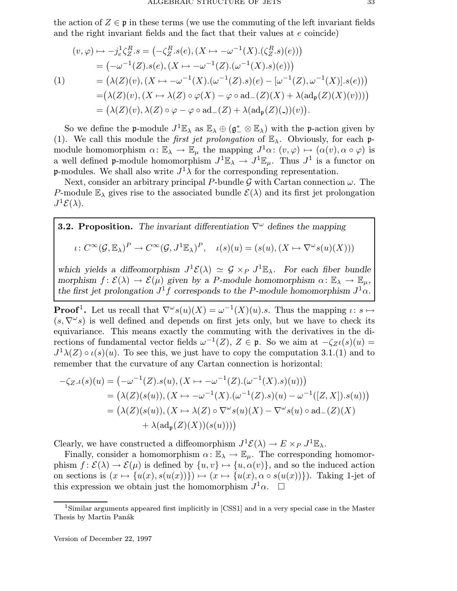the action of  $Z \in \mathfrak{p}$  in these terms (we use the commuting of the left invariant fields and the right invariant fields and the fact that their values at  $e$  coincide)

$$
(v, \varphi) \mapsto -j_e^1 \zeta_Z^R . s = \left( -\zeta_Z^R . s(e), (X \mapsto -\omega^{-1}(X).(\zeta_Z^R . s)(e)) \right)
$$
  
\n
$$
= \left( -\omega^{-1}(Z). s(e), (X \mapsto -\omega^{-1}(Z).(\omega^{-1}(X). s)(e)) \right)
$$
  
\n
$$
(1) \qquad = \left( \lambda(Z)(v), (X \mapsto -\omega^{-1}(X).(\omega^{-1}(Z). s)(e) - [\omega^{-1}(Z), \omega^{-1}(X)]. s(e)) \right)
$$
  
\n
$$
= \left( \lambda(Z)(v), (X \mapsto \lambda(Z) \circ \varphi(X) - \varphi \circ \mathrm{ad}_{-}(Z)(X) + \lambda(\mathrm{ad}_{\mathfrak{p}}(Z)(X)(v))) \right)
$$
  
\n
$$
= \left( \lambda(Z)(v), \lambda(Z) \circ \varphi - \varphi \circ \mathrm{ad}_{-}(Z) + \lambda(\mathrm{ad}_{\mathfrak{p}}(Z)(\lambda)) (v) \right).
$$

So we define the p-module  $J^1\mathbb{E}_{\lambda}$  as  $\mathbb{E}_{\lambda} \oplus (\mathfrak{g}_{-}^* \otimes \mathbb{E}_{\lambda})$  with the p-action given by (1). We call this module the *first jet prolongation* of  $\mathbb{E}_{\lambda}$ . Obviously, for each pmodule homomorphism  $\alpha \colon \mathbb{E}_{\lambda} \to \mathbb{E}_{\mu}$  the mapping  $J^1\alpha \colon (v, \varphi) \mapsto (\alpha(v), \alpha \circ \varphi)$  is a well defined p-module homomorphism  $J^1 \mathbb{E}_{\lambda} \to J^1 \mathbb{E}_{\mu}$ . Thus  $J^1$  is a functor on p-modules. We shall also write  $J^1\lambda$  for the corresponding representation.

Next, consider an arbitrary principal P-bundle G with Cartan connection  $\omega$ . The P-module  $\mathbb{E}_{\lambda}$  gives rise to the associated bundle  $\mathcal{E}(\lambda)$  and its first jet prolongation  $J^1\mathcal{E}(\lambda)$ .

## **3.2. Proposition.** The invariant differentiation  $\nabla^{\omega}$  defines the mapping

$$
\iota\colon C^\infty(\mathcal{G},\mathbb{E}_\lambda)^P\to C^\infty(\mathcal{G},J^1\mathbb{E}_\lambda)^P,\quad \iota(s)(u)=(s(u),(X\mapsto \nabla^\omega s(u)(X)))
$$

which yields a diffeomorphism  $J^1\mathcal{E}(\lambda) \simeq \mathcal{G} \times_P J^1\mathbb{E}_{\lambda}$ . For each fiber bundle morphism  $f: \mathcal{E}(\lambda) \to \mathcal{E}(\mu)$  given by a P-module homomorphism  $\alpha: \mathbb{E}_{\lambda} \to \mathbb{E}_{\mu}$ , the first jet prolongation  $J<sup>1</sup>f$  corresponds to the P-module homomorphism  $J<sup>1</sup>\alpha$ .

**Proof<sup>1</sup>**. Let us recall that  $\nabla^{\omega} s(u)(X) = \omega^{-1}(X)(u)$ .s. Thus the mapping  $\iota: s \mapsto$  $(s, \nabla^{\omega}s)$  is well defined and depends on first jets only, but we have to check its equivariance. This means exactly the commuting with the derivatives in the directions of fundamental vector fields  $\omega^{-1}(Z)$ ,  $Z \in \mathfrak{p}$ . So we aim at  $-\zeta Z(\zeta)(u) =$  $J^1\lambda(Z) \circ \iota(s)(u)$ . To see this, we just have to copy the computation 3.1.(1) and to remember that the curvature of any Cartan connection is horizontal:

$$
-\zeta_{Z}.\iota(s)(u) = (-\omega^{-1}(Z).\iota(u), (X \mapsto -\omega^{-1}(Z).\omega^{-1}(X).\iota)(u)))
$$
  
= (\lambda(Z)(s(u)), (X \mapsto -\omega^{-1}(X).\omega^{-1}(Z).\iota)(u) - \omega^{-1}([Z, X]).s(u)))  
= (\lambda(Z)(s(u)), (X \mapsto \lambda(Z) \circ \nabla^{\omega}s(u)(X) - \nabla^{\omega}s(u) \circ \mathrm{ad}\_{-}(Z)(X)   
+ \lambda(\mathrm{ad}\_{\mathfrak{p}}(Z)(X))(s(u))))

Clearly, we have constructed a diffeomorphism  $J^1 \mathcal{E}(\lambda) \to E \times_P J^1 \mathbb{E}_{\lambda}$ .

Finally, consider a homomorphism  $\alpha: \mathbb{E}_{\lambda} \to \mathbb{E}_{\mu}$ . The corresponding homomorphism  $f: \mathcal{E}(\lambda) \to \mathcal{E}(\mu)$  is defined by  $\{u, v\} \mapsto \{u, \alpha(v)\}\)$ , and so the induced action on sections is  $(x \mapsto \{u(x), s(u(x))\}) \mapsto (x \mapsto \{u(x), \alpha \circ s(u(x))\})$ . Taking 1-jet of this expression we obtain just the homomorphism  $J^1\alpha$ .  $\square$ 

<sup>1</sup>Similar arguments appeared first implicitly in [CSS1] and in a very special case in the Master Thesis by Martin Panák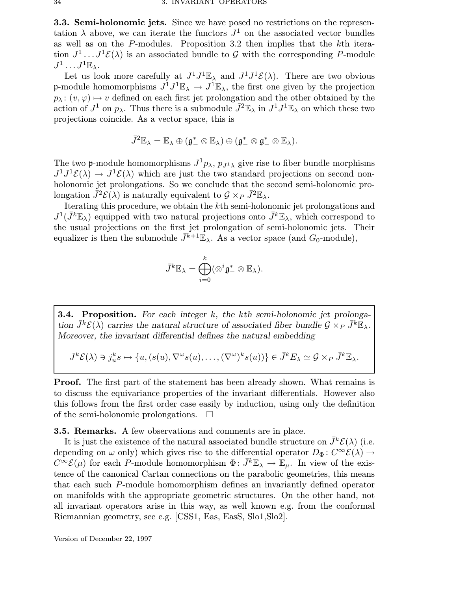3.3. Semi-holonomic jets. Since we have posed no restrictions on the representation  $\lambda$  above, we can iterate the functors  $J^1$  on the associated vector bundles as well as on the P-modules. Proposition 3.2 then implies that the kth iteration  $J^1 \dots J^1 \mathcal{E}(\lambda)$  is an associated bundle to G with the corresponding P-module  $J^1 \dots J^1 \mathbb{E}_\lambda.$ 

Let us look more carefully at  $J^1 J^1 \mathbb{E}_{\lambda}$  and  $J^1 J^1 \mathcal{E}(\lambda)$ . There are two obvious p-module homomorphisms  $J^1 J^1 \mathbb{E}_\lambda \to J^1 \mathbb{E}_\lambda$ , the first one given by the projection  $p_{\lambda}$ :  $(v, \varphi) \mapsto v$  defined on each first jet prolongation and the other obtained by the action of  $J^1$  on  $p_\lambda$ . Thus there is a submodule  $\bar{J}^2 \mathbb{E}_\lambda$  in  $J^1 J^1 \mathbb{E}_\lambda$  on which these two projections coincide. As a vector space, this is

$$
\bar{J}^{2}\mathbb{E}_{\lambda}=\mathbb{E}_{\lambda}\oplus (\mathfrak{g}_{-}^{*}\otimes \mathbb{E}_{\lambda})\oplus (\mathfrak{g}_{-}^{*}\otimes \mathfrak{g}_{-}^{*}\otimes \mathbb{E}_{\lambda}).
$$

The two p-module homomorphisms  $J^1p_{\lambda}, p_{J^1\lambda}$  give rise to fiber bundle morphisms  $J^1J^1{\mathcal{E}}(\lambda) \to J^1{\mathcal{E}}(\lambda)$  which are just the two standard projections on second nonholonomic jet prolongations. So we conclude that the second semi-holonomic prolongation  $\bar{J}^2 \mathcal{E}(\lambda)$  is naturally equivalent to  $\mathcal{G} \times_P \bar{J}^2 \mathbb{E}_{\lambda}$ .

Iterating this procedure, we obtain the kth semi-holonomic jet prolongations and  $J^1(\bar{J}^k\mathbb{E}_{\lambda})$  equipped with two natural projections onto  $\bar{J}^k\mathbb{E}_{\lambda}$ , which correspond to the usual projections on the first jet prolongation of semi-holonomic jets. Their equalizer is then the submodule  $\bar{J}^{k+1}\mathbb{E}_{\lambda}$ . As a vector space (and  $G_0$ -module),

$$
\bar{J}^k \mathbb{E}_\lambda = \bigoplus_{i=0}^k (\otimes^i \mathfrak{g}_-^* \otimes \mathbb{E}_\lambda).
$$

**3.4. Proposition.** For each integer  $k$ , the  $k$ th semi-holonomic jet prolongation  $\bar{J}^k \mathcal{E}(\lambda)$  carries the natural structure of associated fiber bundle  $\mathcal{G} \times_P \bar{J}^k \mathbb{E}_{\lambda}$ . Moreover, the invariant differential defines the natural embedding

$$
J^k\mathcal{E}(\lambda) \ni j_u^k s \mapsto \{u, (s(u), \nabla^\omega s(u), \dots, (\nabla^\omega)^k s(u))\} \in \bar{J}^kE_\lambda \simeq \mathcal{G} \times_P \bar{J}^k\mathbb{E}_\lambda.
$$

**Proof.** The first part of the statement has been already shown. What remains is to discuss the equivariance properties of the invariant differentials. However also this follows from the first order case easily by induction, using only the definition of the semi-holonomic prolongations.  $\Box$ 

3.5. Remarks. A few observations and comments are in place.

It is just the existence of the natural associated bundle structure on  $J^k{\mathcal{E}}(\lambda)$  (i.e. depending on  $\omega$  only) which gives rise to the differential operator  $D_{\Phi}$ :  $C^{\infty} \mathcal{E}(\lambda) \rightarrow$  $C^{\infty} \mathcal{E}(\mu)$  for each P-module homomorphism  $\Phi: \bar{J}^k \mathbb{E}_{\lambda} \to \mathbb{E}_{\mu}$ . In view of the existence of the canonical Cartan connections on the parabolic geometries, this means that each such P-module homomorphism defines an invariantly defined operator on manifolds with the appropriate geometric structures. On the other hand, not all invariant operators arise in this way, as well known e.g. from the conformal Riemannian geometry, see e.g. [CSS1, Eas, EasS, Slo1,Slo2].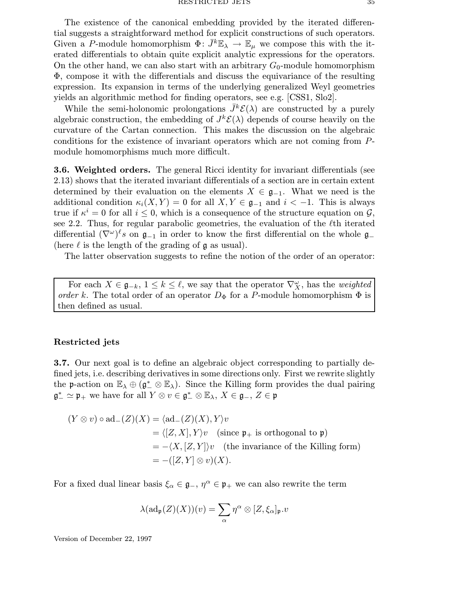The existence of the canonical embedding provided by the iterated differential suggests a straightforward method for explicit constructions of such operators. Given a P-module homomorphism  $\Phi: \bar{J}^k \mathbb{E}_{\lambda} \to \mathbb{E}_{\mu}$  we compose this with the iterated differentials to obtain quite explicit analytic expressions for the operators. On the other hand, we can also start with an arbitrary  $G_0$ -module homomorphism Φ, compose it with the differentials and discuss the equivariance of the resulting expression. Its expansion in terms of the underlying generalized Weyl geometries yields an algorithmic method for finding operators, see e.g. [CSS1, Slo2].

While the semi-holonomic prolongations  $\bar{J}^k \mathcal{E}(\lambda)$  are constructed by a purely algebraic construction, the embedding of  $J^k\mathcal{E}(\lambda)$  depends of course heavily on the curvature of the Cartan connection. This makes the discussion on the algebraic conditions for the existence of invariant operators which are not coming from Pmodule homomorphisms much more difficult.

3.6. Weighted orders. The general Ricci identity for invariant differentials (see 2.13) shows that the iterated invariant differentials of a section are in certain extent determined by their evaluation on the elements  $X \in \mathfrak{g}_{-1}$ . What we need is the additional condition  $\kappa_i(X, Y) = 0$  for all  $X, Y \in \mathfrak{g}_{-1}$  and  $i < -1$ . This is always true if  $\kappa^i = 0$  for all  $i \leq 0$ , which is a consequence of the structure equation on  $\mathcal{G}$ , see 2.2. Thus, for regular parabolic geometries, the evaluation of the  $\ell$ th iterated differential  $(\nabla^{\omega})^{\ell} s$  on  $\mathfrak{g}_{-1}$  in order to know the first differential on the whole  $\mathfrak{g}_{-}$ (here  $\ell$  is the length of the grading of  $\mathfrak g$  as usual).

The latter observation suggests to refine the notion of the order of an operator:

For each  $X \in \mathfrak{g}_{-k}$ ,  $1 \leq k \leq \ell$ , we say that the operator  $\nabla_X^{\omega}$ , has the *weighted* order k. The total order of an operator  $D_{\Phi}$  for a P-module homomorphism  $\Phi$  is then defined as usual.

#### Restricted jets

3.7. Our next goal is to define an algebraic object corresponding to partially defined jets, i.e. describing derivatives in some directions only. First we rewrite slightly the p-action on  $\mathbb{E}_{\lambda} \oplus (\mathfrak{g}_{-}^{*} \otimes \mathbb{E}_{\lambda})$ . Since the Killing form provides the dual pairing  $\mathfrak{g}_-^* \simeq \mathfrak{p}_+$  we have for all  $Y \otimes v \in \mathfrak{g}_-^* \otimes \mathbb{E}_\lambda$ ,  $X \in \mathfrak{g}_-, Z \in \mathfrak{p}$ 

$$
(Y \otimes v) \circ \mathrm{ad}_{-}(Z)(X) = \langle \mathrm{ad}_{-}(Z)(X), Y \rangle v
$$
  
=  $\langle [Z, X], Y \rangle v$  (since  $\mathfrak{p}_{+}$  is orthogonal to  $\mathfrak{p}$ )  
=  $-\langle X, [Z, Y] \rangle v$  (the invariance of the Killing form)  
=  $-([Z, Y] \otimes v)(X).$ 

For a fixed dual linear basis  $\xi_{\alpha} \in \mathfrak{g}_{-}$ ,  $\eta^{\alpha} \in \mathfrak{p}_{+}$  we can also rewrite the term

$$
\lambda(\mathrm{ad}_{\mathfrak{p}}(Z)(X))(v) = \sum_{\alpha} \eta^{\alpha} \otimes [Z, \xi_{\alpha}]_{\mathfrak{p}} v
$$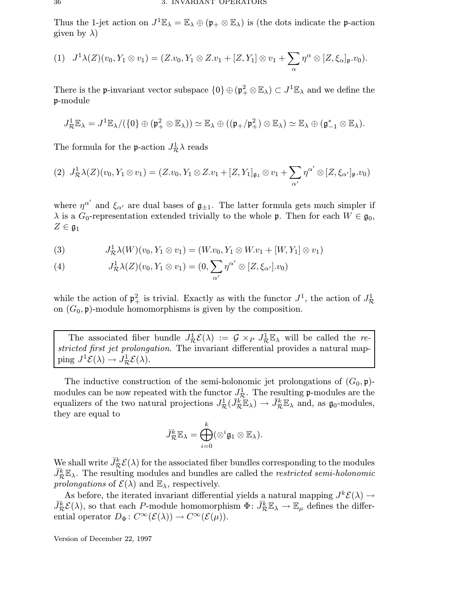Thus the 1-jet action on  $J^1\mathbb{E}_\lambda = \mathbb{E}_\lambda \oplus (\mathfrak{p}_+ \otimes \mathbb{E}_\lambda)$  is (the dots indicate the p-action given by  $\lambda$ )

$$
(1) \quad J^1 \lambda(Z)(v_0, Y_1 \otimes v_1) = (Z.v_0, Y_1 \otimes Z.v_1 + [Z, Y_1] \otimes v_1 + \sum_{\alpha} \eta^{\alpha} \otimes [Z, \xi_{\alpha}]_{\mathfrak{p}}.v_0).
$$

There is the p-invariant vector subspace  $\{0\} \oplus (\mathfrak{p}_+^2 \otimes \mathbb{E}_\lambda) \subset J^1\mathbb{E}_\lambda$  and we define the p-module

$$
J^1_{\mathcal{R}}\mathbb{E}_{\lambda}=J^1\mathbb{E}_{\lambda}/(\lbrace 0 \rbrace \oplus (\mathfrak{p}^2_+\otimes \mathbb{E}_{\lambda}))\simeq \mathbb{E}_{\lambda} \oplus ((\mathfrak{p}_+/\mathfrak{p}^2_+)\otimes \mathbb{E}_{\lambda})\simeq \mathbb{E}_{\lambda} \oplus (\mathfrak{g}_{-1}^*\otimes \mathbb{E}_{\lambda}).
$$

The formula for the p-action  $J^1_{\mathcal{R}}\lambda$  reads

$$
(2) J^1_{\mathcal{R}} \lambda(Z)(v_0, Y_1 \otimes v_1) = (Z.v_0, Y_1 \otimes Z.v_1 + [Z, Y_1]_{\mathfrak{g}_1} \otimes v_1 + \sum_{\alpha'} \eta^{\alpha'} \otimes [Z, \xi_{\alpha'}]_{\mathfrak{p}}.v_0)
$$

where  $\eta^{\alpha'}$  and  $\xi_{\alpha'}$  are dual bases of  $\mathfrak{g}_{\pm 1}$ . The latter formula gets much simpler if  $\lambda$  is a G<sub>0</sub>-representation extended trivially to the whole p. Then for each  $W \in \mathfrak{g}_0$ ,  $Z \in \mathfrak{g}_1$ 

(3) 
$$
J^1_{\mathcal{R}}\lambda(W)(v_0, Y_1 \otimes v_1) = (W.v_0, Y_1 \otimes W.v_1 + [W, Y_1] \otimes v_1)
$$

(4) 
$$
J^1_{\mathcal{R}}\lambda(Z)(v_0,Y_1\otimes v_1)=(0,\sum_{\alpha'}\eta^{\alpha'}\otimes[Z,\xi_{\alpha'}].v_0)
$$

while the action of  $\mathfrak{p}_+^2$  is trivial. Exactly as with the functor  $J^1$ , the action of  $J^1_{\mathcal{R}}$ on  $(G_0, \mathfrak{p})$ -module homomorphisms is given by the composition.

The associated fiber bundle  $J^1_{\mathcal{R}}\mathcal{E}(\lambda) := \mathcal{G} \times_{P} J^1_{\mathcal{R}}\mathbb{E}_{\lambda}$  will be called the restricted first jet prolongation. The invariant differential provides a natural mapping  $J^1\mathcal{E}(\lambda) \to J^1_{\mathcal{R}}\mathcal{E}(\lambda)$ .

The inductive construction of the semi-holonomic jet prolongations of  $(G_0, \mathfrak{p})$ modules can be now repeated with the functor  $J_{\mathcal{R}}^1$ . The resulting p-modules are the equalizers of the two natural projections  $J^1_{\mathcal{R}}(\bar{J}_{\mathcal{R}}^{\vec{k}}\mathbb{E}_{\lambda}) \to \bar{J}_{\mathcal{R}}^{\vec{k}}\mathbb{E}_{\lambda}$  and, as  $\mathfrak{g}_0$ -modules, they are equal to

$$
\bar{J}_{\mathcal{R}}^{k}\mathbb{E}_{\lambda}=\bigoplus_{i=0}^{k}(\otimes^{i}\mathfrak{g}_{1}\otimes\mathbb{E}_{\lambda}).
$$

We shall write  $\bar{J}_{\mathcal{R}}^k \mathcal{E}(\lambda)$  for the associated fiber bundles corresponding to the modules  $\bar{J}_{\mathcal{R}}^k\mathbb{E}_{\lambda}$ . The resulting modules and bundles are called the *restricted semi-holonomic* prolongations of  $\mathcal{E}(\lambda)$  and  $\mathbb{E}_{\lambda}$ , respectively.

As before, the iterated invariant differential yields a natural mapping  $J^k \mathcal{E}(\lambda) \rightarrow$  $\bar{J}_{\mathcal{R}}^k \mathcal{E}(\lambda)$ , so that each P-module homomorphism  $\Phi: \bar{J}_{\mathcal{R}}^k \mathbb{E}_{\lambda} \to \mathbb{E}_{\mu}$  defines the differential operator  $D_{\Phi}$ :  $C^{\infty}(\mathcal{E}(\lambda)) \to C^{\infty}(\mathcal{E}(\mu)).$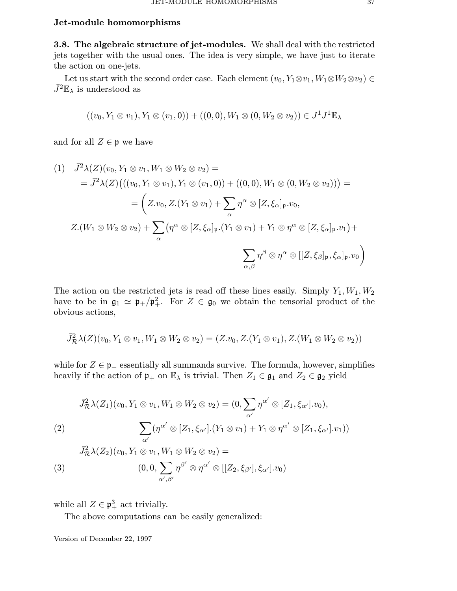## Jet-module homomorphisms

3.8. The algebraic structure of jet-modules. We shall deal with the restricted jets together with the usual ones. The idea is very simple, we have just to iterate the action on one-jets.

Let us start with the second order case. Each element  $(v_0, Y_1 \otimes v_1, W_1 \otimes W_2 \otimes v_2) \in$  $\bar{J}^2\mathbb{E}_{\lambda}$  is understood as

$$
((v_0, Y_1 \otimes v_1), Y_1 \otimes (v_1, 0)) + ((0, 0), W_1 \otimes (0, W_2 \otimes v_2)) \in J^1 J^1 \mathbb{E}_{\lambda}
$$

and for all  $Z \in \mathfrak{p}$  we have

$$
(1) \quad \bar{J}^2 \lambda(Z)(v_0, Y_1 \otimes v_1, W_1 \otimes W_2 \otimes v_2) =
$$
  
\n
$$
= \bar{J}^2 \lambda(Z) \big( ((v_0, Y_1 \otimes v_1), Y_1 \otimes (v_1, 0)) + ((0, 0), W_1 \otimes (0, W_2 \otimes v_2)) \big) =
$$
  
\n
$$
= \Big( Z.v_0, Z.(Y_1 \otimes v_1) + \sum_{\alpha} \eta^{\alpha} \otimes [Z, \xi_{\alpha}]_{\mathfrak{p}}.v_0,
$$
  
\n
$$
Z.(W_1 \otimes W_2 \otimes v_2) + \sum_{\alpha} (\eta^{\alpha} \otimes [Z, \xi_{\alpha}]_{\mathfrak{p}}.(Y_1 \otimes v_1) + Y_1 \otimes \eta^{\alpha} \otimes [Z, \xi_{\alpha}]_{\mathfrak{p}}.v_1 \big) +
$$
  
\n
$$
\sum_{\alpha, \beta} \eta^{\beta} \otimes \eta^{\alpha} \otimes [[Z, \xi_{\beta}]_{\mathfrak{p}}, \xi_{\alpha}]_{\mathfrak{p}}.v_0 \Big)
$$

The action on the restricted jets is read off these lines easily. Simply  $Y_1, W_1, W_2$ have to be in  $\mathfrak{g}_1 \simeq \mathfrak{p}_+/\mathfrak{p}_+^2$ . For  $Z \in \mathfrak{g}_0$  we obtain the tensorial product of the obvious actions,

$$
\bar{J}_{\mathcal{R}}^2\lambda(Z)(v_0,Y_1\otimes v_1,W_1\otimes W_2\otimes v_2)=(Z.v_0,Z.(Y_1\otimes v_1),Z.(W_1\otimes W_2\otimes v_2))
$$

while for  $Z \in \mathfrak{p}_+$  essentially all summands survive. The formula, however, simplifies heavily if the action of  $\mathfrak{p}_+$  on  $\mathbb{E}_{\lambda}$  is trivial. Then  $Z_1 \in \mathfrak{g}_1$  and  $Z_2 \in \mathfrak{g}_2$  yield

(2)  
\n
$$
\bar{J}_{\mathcal{R}}^2 \lambda(Z_1)(v_0, Y_1 \otimes v_1, W_1 \otimes W_2 \otimes v_2) = (0, \sum_{\alpha'} \eta^{\alpha'} \otimes [Z_1, \xi_{\alpha'}].v_0),
$$
\n
$$
\sum_{\alpha'} (\eta^{\alpha'} \otimes [Z_1, \xi_{\alpha'}].(Y_1 \otimes v_1) + Y_1 \otimes \eta^{\alpha'} \otimes [Z_1, \xi_{\alpha'}].v_1))
$$
\n
$$
\bar{J}_{\mathcal{R}}^2 \lambda(Z_2)(v_0, Y_1 \otimes v_1, W_1 \otimes W_2 \otimes v_2) =
$$
\n(3)  
\n
$$
(0, 0, \sum_{\alpha', \beta'} \eta^{\beta'} \otimes \eta^{\alpha'} \otimes [[Z_2, \xi_{\beta'}], \xi_{\alpha'}].v_0)
$$

while all  $Z \in \mathfrak{p}^3_+$  act trivially.

The above computations can be easily generalized: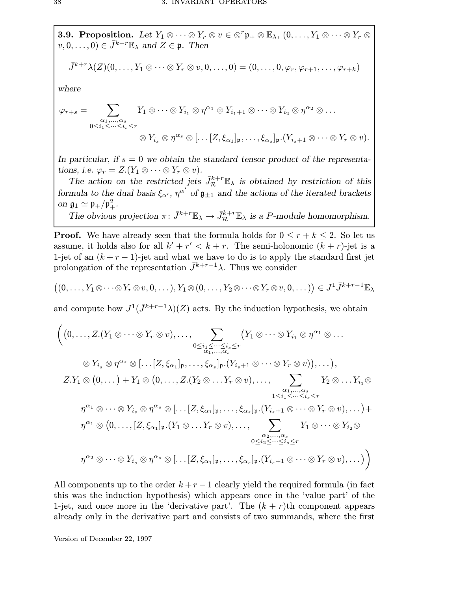3.9. Proposition. Let  $Y_1 \otimes \cdots \otimes Y_r \otimes v \in \otimes^r \mathfrak{p}_+ \otimes \mathbb{E}_{\lambda}, (0, \ldots, Y_1 \otimes \cdots \otimes Y_r \otimes v)$  $(v, 0, \ldots, 0) \in \bar{J}^{k+r} \mathbb{E}_{\lambda}$  and  $Z \in \mathfrak{p}$ . Then

$$
\bar{J}^{k+r}\lambda(Z)(0,\ldots,Y_1\otimes\cdots\otimes Y_r\otimes v,0,\ldots,0)=(0,\ldots,0,\varphi_r,\varphi_{r+1},\ldots,\varphi_{r+k})
$$

where

$$
\varphi_{r+s} = \sum_{\substack{\alpha_1,\ldots,\alpha_s \\ 0 \leq i_1 \leq \cdots \leq i_s \leq r}} Y_1 \otimes \cdots \otimes Y_{i_1} \otimes \eta^{\alpha_1} \otimes Y_{i_1+1} \otimes \cdots \otimes Y_{i_2} \otimes \eta^{\alpha_2} \otimes \ldots
$$

$$
\otimes Y_{i_s} \otimes \eta^{\alpha_s} \otimes [\ldots [Z, \xi_{\alpha_1}]_{\mathfrak{p}}, \ldots, \xi_{\alpha_s}]_{\mathfrak{p}}.(Y_{i_s+1} \otimes \cdots \otimes Y_r \otimes v).
$$

In particular, if  $s = 0$  we obtain the standard tensor product of the representations, i.e.  $\varphi_r = Z.(Y_1 \otimes \cdots \otimes Y_r \otimes v).$ 

The action on the restricted jets  $\bar{J}_{\mathcal{R}}^{k+r}\mathbb{E}_{\lambda}$  is obtained by restriction of this formula to the dual basis  $\xi_{\alpha'}$ ,  $\eta^{\alpha'}$  of  $\mathfrak{g}_{\pm 1}$  and the actions of the iterated brackets on  $\mathfrak{g}_1 \simeq \mathfrak{p}_+/\mathfrak{p}_+^2$ .

The obvious projection  $\pi: \bar{J}^{k+r}\mathbb{E}_{\lambda} \to \bar{J}_{\mathcal{R}}^{k+r}\mathbb{E}_{\lambda}$  is a P-module homomorphism.

**Proof.** We have already seen that the formula holds for  $0 \le r + k \le 2$ . So let us assume, it holds also for all  $k' + r' < k + r$ . The semi-holonomic  $(k + r)$ -jet is a 1-jet of an  $(k + r - 1)$ -jet and what we have to do is to apply the standard first jet prolongation of the representation  $\bar{J}^{k+r-1}\lambda$ . Thus we consider

$$
((0,\ldots,Y_1\otimes\cdots\otimes Y_r\otimes v,0,\ldots),Y_1\otimes(0,\ldots,Y_2\otimes\cdots\otimes Y_r\otimes v,0,\ldots))\in J^1\bar{J}^{k+r-1}\mathbb{E}_{\lambda}
$$

and compute how  $J^1(\bar{J}^{k+r-1}\lambda)(Z)$  acts. By the induction hypothesis, we obtain

 0, . . ., Z.(Y<sup>1</sup> ⊗ · · · ⊗ Y<sup>r</sup> ⊗ v), . . ., X 0≤i1≤···≤is≤r α1,...,α<sup>s</sup> Y<sup>1</sup> ⊗ · · · ⊗ Y<sup>i</sup><sup>1</sup> ⊗ η <sup>α</sup><sup>1</sup> ⊗ . . . ⊗ Y<sup>i</sup><sup>s</sup> ⊗ η <sup>α</sup><sup>s</sup> ⊗ [. . . [Z, ξ<sup>α</sup><sup>1</sup> ]p, . . ., ξ<sup>α</sup><sup>s</sup> ]p.(Y<sup>i</sup>s+1 ⊗ · · · ⊗ Y<sup>r</sup> ⊗ v) , . . . , Z.Y<sup>1</sup> ⊗ 0, . . . + Y<sup>1</sup> ⊗ 0, . . ., Z.(Y<sup>2</sup> ⊗ . . .Y<sup>r</sup> ⊗ v), . . ., X α1,...,α<sup>s</sup> 1≤i1≤···≤is≤r Y<sup>2</sup> ⊗ . . .Y<sup>i</sup>1⊗ η <sup>α</sup><sup>1</sup> ⊗ · · · ⊗ Y<sup>i</sup><sup>s</sup> ⊗ η <sup>α</sup><sup>s</sup> ⊗ [. . . [Z, ξ<sup>α</sup><sup>1</sup> ]p, . . ., ξ<sup>α</sup><sup>s</sup> ]p.(Y<sup>i</sup>s+1 ⊗ · · · ⊗ Y<sup>r</sup> ⊗ v), . . . + η <sup>α</sup><sup>1</sup> ⊗ 0, . . ., [Z, ξ<sup>α</sup><sup>1</sup> ]p.(Y<sup>1</sup> ⊗ . . .Y<sup>r</sup> ⊗ v), . . ., X α2,...,α<sup>s</sup> 0≤i2≤···≤is≤r Y<sup>1</sup> ⊗ · · · ⊗ Y<sup>i</sup>2⊗ η <sup>α</sup><sup>2</sup> ⊗ · · · ⊗ Y<sup>i</sup><sup>s</sup> ⊗ η <sup>α</sup><sup>s</sup> ⊗ [. . . [Z, ξ<sup>α</sup><sup>1</sup> ]p, . . ., ξ<sup>α</sup><sup>s</sup> ]p.(Y<sup>i</sup>s+1 ⊗ · · · ⊗ Y<sup>r</sup> ⊗ v), . . . 

All components up to the order  $k + r - 1$  clearly yield the required formula (in fact this was the induction hypothesis) which appears once in the 'value part' of the 1-jet, and once more in the 'derivative part'. The  $(k + r)$ th component appears already only in the derivative part and consists of two summands, where the first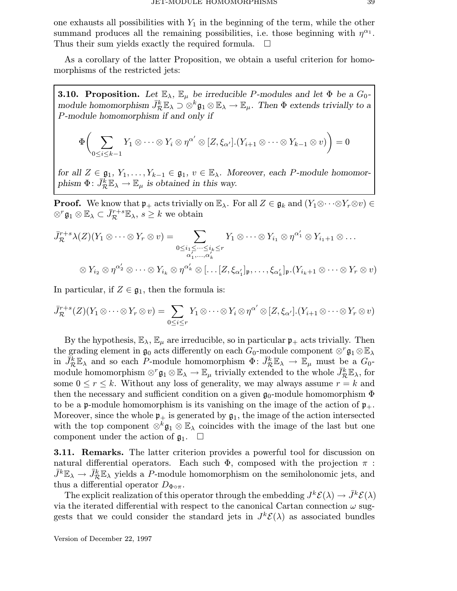one exhausts all possibilities with  $Y_1$  in the beginning of the term, while the other summand produces all the remaining possibilities, i.e. those beginning with  $\eta^{\alpha_1}$ . Thus their sum yields exactly the required formula.  $\Box$ 

As a corollary of the latter Proposition, we obtain a useful criterion for homomorphisms of the restricted jets:

**3.10. Proposition.** Let  $\mathbb{E}_{\lambda}$ ,  $\mathbb{E}_{\mu}$  be irreducible P-modules and let  $\Phi$  be a  $G_0$ - $\text{module homomorphism } \bar{J}_{\mathcal{R}}^k\mathbb{E}_\lambda \supset \otimes^k \mathfrak{g}_1 \otimes \mathbb{E}_\lambda \to \mathbb{E}_\mu. \text{ Then } \Phi \text{ extends trivially to a } \Big|$ P-module homomorphism if and only if

$$
\Phi\bigg(\sum_{0\leq i\leq k-1}Y_1\otimes\cdots\otimes Y_i\otimes\eta^{\alpha'}\otimes[Z,\xi_{\alpha'}].(Y_{i+1}\otimes\cdots\otimes Y_{k-1}\otimes v)\bigg)=0
$$

for all  $Z \in \mathfrak{g}_1, Y_1, \ldots, Y_{k-1} \in \mathfrak{g}_1, v \in \mathbb{E}_{\lambda}$ . Moreover, each P-module homomorphism  $\Phi: \bar{J}_{\mathcal{R}}^{\overline{k}} \mathbb{E}_{\lambda} \to \mathbb{E}_{\mu}$  is obtained in this way.

**Proof.** We know that  $\mathfrak{p}_+$  acts trivially on  $\mathbb{E}_{\lambda}$ . For all  $Z \in \mathfrak{g}_k$  and  $(Y_1 \otimes \cdots \otimes Y_r \otimes v) \in$  $\otimes^r \mathfrak{g}_1 \otimes \mathbb{E}_\lambda \subset \bar{J}_{\mathcal{R}}^{r+s} \mathbb{E}_\lambda, s \geq k$  we obtain

$$
\bar{J}_{\mathcal{R}}^{r+s}\lambda(Z)(Y_1 \otimes \cdots \otimes Y_r \otimes v) = \sum_{\substack{0 \leq i_1 \leq \cdots \leq i_k \leq r \\ \alpha'_1, \ldots, \alpha'_k}} Y_1 \otimes \cdots \otimes Y_{i_1} \otimes \eta^{\alpha'_1} \otimes Y_{i_1+1} \otimes \ldots
$$

$$
\otimes Y_{i_2} \otimes \eta^{\alpha'_2} \otimes \cdots \otimes Y_{i_k} \otimes \eta^{\alpha'_k} \otimes [\ldots [Z, \xi_{\alpha'_1}]_{\mathfrak{p}}, \ldots, \xi_{\alpha'_k}]_{\mathfrak{p}}.(Y_{i_k+1} \otimes \cdots \otimes Y_r \otimes v)
$$

In particular, if  $Z \in \mathfrak{g}_1$ , then the formula is:

$$
\bar{J}_{\mathcal{R}}^{r+s}(Z)(Y_1 \otimes \cdots \otimes Y_r \otimes v) = \sum_{0 \leq i \leq r} Y_1 \otimes \cdots \otimes Y_i \otimes \eta^{\alpha'} \otimes [Z, \xi_{\alpha'}].(Y_{i+1} \otimes \cdots \otimes Y_r \otimes v)
$$

By the hypothesis,  $\mathbb{E}_{\lambda}$ ,  $\mathbb{E}_{\mu}$  are irreducible, so in particular  $\mathfrak{p}_+$  acts trivially. Then the grading element in  $\mathfrak{g}_0$  acts differently on each  $G_0$ -module component  $\otimes^r \mathfrak{g}_1 \otimes \mathbb{E}_{\lambda}$ in  $\bar{J}_{\mathcal{R}}^k\mathbb{E}_{\lambda}$  and so each P-module homomorphism  $\Phi\colon \bar{J}_{\mathcal{R}}^k\mathbb{E}_{\lambda} \to \mathbb{E}_{\mu}$  must be a  $G_0$ module homomorphism  $\otimes^r \mathfrak{g}_1 \otimes \mathbb{E}_\lambda \to \mathbb{E}_\mu$  trivially extended to the whole  $\bar{J}_{\mathcal{R}}^k \mathbb{E}_\lambda$ , for some  $0 \leq r \leq k$ . Without any loss of generality, we may always assume  $r = k$  and then the necessary and sufficient condition on a given  $\mathfrak{g}_0$ -module homomorphism  $\Phi$ to be a p-module homomorphism is its vanishing on the image of the action of  $p_{+}$ . Moreover, since the whole  $\mathfrak{p}_+$  is generated by  $\mathfrak{g}_1$ , the image of the action intersected with the top component  $\otimes^k \mathfrak{g}_1 \otimes \mathbb{E}_{\lambda}$  coincides with the image of the last but one component under the action of  $\mathfrak{g}_1$ .  $\Box$ 

**3.11. Remarks.** The latter criterion provides a powerful tool for discussion on natural differential operators. Each such  $\Phi$ , composed with the projection  $\pi$ :  $\bar{J}^k \mathbb{E}_{\lambda} \to \bar{J}_{\mathcal{R}}^k \mathbb{E}_{\lambda}$  yields a P-module homomorphism on the semiholonomic jets, and thus a differential operator  $D_{\Phi \circ \pi}$ .

The explicit realization of this operator through the embedding  $J^k \mathcal{E}(\lambda) \to \bar{J}^k \mathcal{E}(\lambda)$ via the iterated differential with respect to the canonical Cartan connection  $\omega$  suggests that we could consider the standard jets in  $J^k\mathcal{E}(\lambda)$  as associated bundles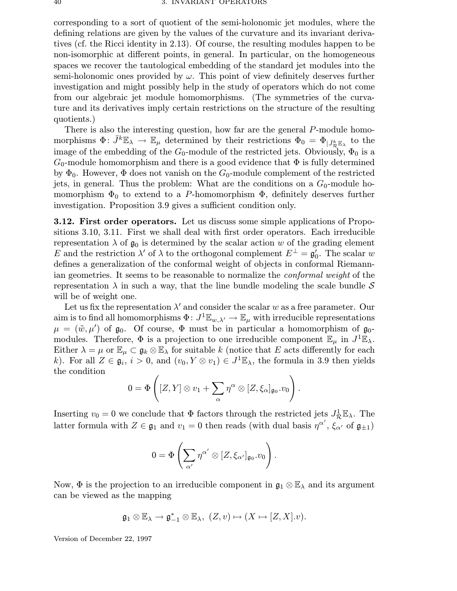corresponding to a sort of quotient of the semi-holonomic jet modules, where the defining relations are given by the values of the curvature and its invariant derivatives (cf. the Ricci identity in 2.13). Of course, the resulting modules happen to be non-isomorphic at different points, in general. In particular, on the homogeneous spaces we recover the tautological embedding of the standard jet modules into the semi-holonomic ones provided by  $\omega$ . This point of view definitely deserves further investigation and might possibly help in the study of operators which do not come from our algebraic jet module homomorphisms. (The symmetries of the curvature and its derivatives imply certain restrictions on the structure of the resulting quotients.)

There is also the interesting question, how far are the general P-module homomorphisms  $\Phi: \bar{J}^k \mathbb{E}_{\lambda} \to \mathbb{E}_{\mu}$  determined by their restrictions  $\Phi_0 = \Phi_{\vert \bar{J}^k_{\mathcal{R}} \mathbb{E}_{\lambda}}$  to the image of the embedding of the  $G_0$ -module of the restricted jets. Obviously,  $\Phi_0$  is a  $G_0$ -module homomorphism and there is a good evidence that  $\Phi$  is fully determined by  $\Phi_0$ . However,  $\Phi$  does not vanish on the  $G_0$ -module complement of the restricted jets, in general. Thus the problem: What are the conditions on a  $G_0$ -module homomorphism  $\Phi_0$  to extend to a P-homomorphism  $\Phi$ , definitely deserves further investigation. Proposition 3.9 gives a sufficient condition only.

3.12. First order operators. Let us discuss some simple applications of Propositions 3.10, 3.11. First we shall deal with first order operators. Each irreducible representation  $\lambda$  of  $\mathfrak{g}_0$  is determined by the scalar action w of the grading element E and the restriction  $\lambda'$  of  $\lambda$  to the orthogonal complement  $E^{\perp} = \mathfrak{g}'_0$ . The scalar w defines a generalization of the conformal weight of objects in conformal Riemannian geometries. It seems to be reasonable to normalize the conformal weight of the representation  $\lambda$  in such a way, that the line bundle modeling the scale bundle S will be of weight one.

Let us fix the representation  $\lambda'$  and consider the scalar w as a free parameter. Our aim is to find all homomorphisms  $\Phi\colon J^1\mathbb{E}_{w,\lambda'}\to\mathbb{E}_{\mu}$  with irreducible representations  $\mu = (\tilde{w}, \mu')$  of  $\mathfrak{g}_0$ . Of course,  $\Phi$  must be in particular a homomorphism of  $\mathfrak{g}_0$ modules. Therefore,  $\Phi$  is a projection to one irreducible component  $\mathbb{E}_{\mu}$  in  $J^1\mathbb{E}_{\lambda}$ . Either  $\lambda = \mu$  or  $\mathbb{E}_{\mu} \subset \mathfrak{g}_k \otimes \mathbb{E}_{\lambda}$  for suitable k (notice that E acts differently for each k). For all  $Z \in \mathfrak{g}_i$ ,  $i > 0$ , and  $(v_0, Y \otimes v_1) \in J^1 \mathbb{E}_{\lambda}$ , the formula in 3.9 then yields the condition

$$
0 = \Phi\left( [Z, Y] \otimes v_1 + \sum_{\alpha} \eta^{\alpha} \otimes [Z, \xi_{\alpha}]_{\mathfrak{g}_0}.v_0 \right).
$$

Inserting  $v_0 = 0$  we conclude that  $\Phi$  factors through the restricted jets  $J^1_{\mathcal{R}} \mathbb{E}_{\lambda}$ . The latter formula with  $Z \in \mathfrak{g}_1$  and  $v_1 = 0$  then reads (with dual basis  $\eta^{\alpha'}$ ,  $\xi_{\alpha'}$  of  $\mathfrak{g}_{\pm 1}$ )

$$
0=\Phi\left(\sum_{\alpha'}\eta^{\alpha'}\otimes [Z,\xi_{\alpha'}]_{\mathfrak{g}_0}.v_0\right).
$$

Now,  $\Phi$  is the projection to an irreducible component in  $\mathfrak{g}_1 \otimes \mathbb{E}_{\lambda}$  and its argument can be viewed as the mapping

$$
\mathfrak{g}_1 \otimes \mathbb{E}_{\lambda} \to \mathfrak{g}_{-1}^* \otimes \mathbb{E}_{\lambda}, \ (Z,v) \mapsto (X \mapsto [Z,X].v).
$$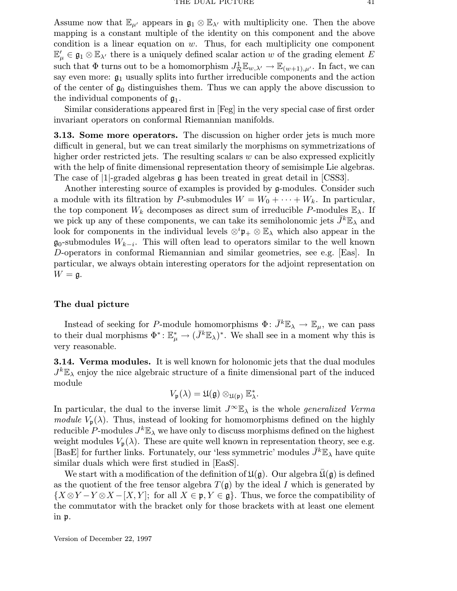Assume now that  $\mathbb{E}_{\mu'}$  appears in  $\mathfrak{g}_1 \otimes \mathbb{E}_{\lambda'}$  with multiplicity one. Then the above mapping is a constant multiple of the identity on this component and the above condition is a linear equation on  $w$ . Thus, for each multiplicity one component  $\mathbb{E}'_\mu \in \mathfrak{g}_1 \otimes \mathbb{E}_{\lambda'}$  there is a uniquely defined scalar action w of the grading element E such that  $\Phi$  turns out to be a homomorphism  $J^1_{\mathcal{R}} \mathbb{E}_{w,\lambda'} \to \mathbb{E}_{(w+1),\mu'}$ . In fact, we can say even more:  $\mathfrak{g}_1$  usually splits into further irreducible components and the action of the center of  $\mathfrak{g}_0$  distinguishes them. Thus we can apply the above discussion to the individual components of  $\mathfrak{g}_1$ .

Similar considerations appeared first in [Feg] in the very special case of first order invariant operators on conformal Riemannian manifolds.

**3.13. Some more operators.** The discussion on higher order jets is much more difficult in general, but we can treat similarly the morphisms on symmetrizations of higher order restricted jets. The resulting scalars  $w$  can be also expressed explicitly with the help of finite dimensional representation theory of semisimple Lie algebras. The case of |1|-graded algebras g has been treated in great detail in [CSS3].

Another interesting source of examples is provided by g-modules. Consider such a module with its filtration by P-submodules  $W = W_0 + \cdots + W_k$ . In particular, the top component  $W_k$  decomposes as direct sum of irreducible P-modules  $\mathbb{E}_{\lambda}$ . If we pick up any of these components, we can take its semiholonomic jets  $J^k\mathbb{E}_{\lambda}$  and look for components in the individual levels  $\otimes^i \mathfrak{p}_+ \otimes \mathbb{E}_{\lambda}$  which also appear in the  $\mathfrak{g}_0$ -submodules  $W_{k-i}$ . This will often lead to operators similar to the well known D-operators in conformal Riemannian and similar geometries, see e.g. [Eas]. In particular, we always obtain interesting operators for the adjoint representation on  $W = \mathfrak{g}.$ 

## The dual picture

Instead of seeking for P-module homomorphisms  $\Phi: \bar{J}^k \mathbb{E}_{\lambda} \to \mathbb{E}_{\mu}$ , we can pass to their dual morphisms  $\Phi^* : \mathbb{E}_{\mu}^* \to (\bar{J}^k \mathbb{E}_{\lambda})^*$ . We shall see in a moment why this is very reasonable.

3.14. Verma modules. It is well known for holonomic jets that the dual modules  $J^k\mathbb{E}_{\lambda}$  enjoy the nice algebraic structure of a finite dimensional part of the induced module

$$
V_{\mathfrak{p}}(\lambda) = \mathfrak{U}(\mathfrak{g}) \otimes_{\mathfrak{U}(\mathfrak{p})} \mathbb{E}_{\lambda}^*.
$$

In particular, the dual to the inverse limit  $J^{\infty} \mathbb{E}_{\lambda}$  is the whole *generalized Verma* module  $V_p(\lambda)$ . Thus, instead of looking for homomorphisms defined on the highly reducible P-modules  $J^k\mathbb{E}_\lambda$  we have only to discuss morphisms defined on the highest weight modules  $V_{p}(\lambda)$ . These are quite well known in representation theory, see e.g. [BasE] for further links. Fortunately, our 'less symmetric' modules  $\bar{J}^k\mathbb{E}_{\lambda}$  have quite similar duals which were first studied in [EasS].

We start with a modification of the definition of  $\mathfrak{U}(\mathfrak{g})$ . Our algebra  $\mathfrak{U}(\mathfrak{g})$  is defined as the quotient of the free tensor algebra  $T(\mathfrak{g})$  by the ideal I which is generated by  ${X \otimes Y - Y \otimes X - [X, Y]};$  for all  $X \in \mathfrak{p}, Y \in \mathfrak{g}$ . Thus, we force the compatibility of the commutator with the bracket only for those brackets with at least one element in p.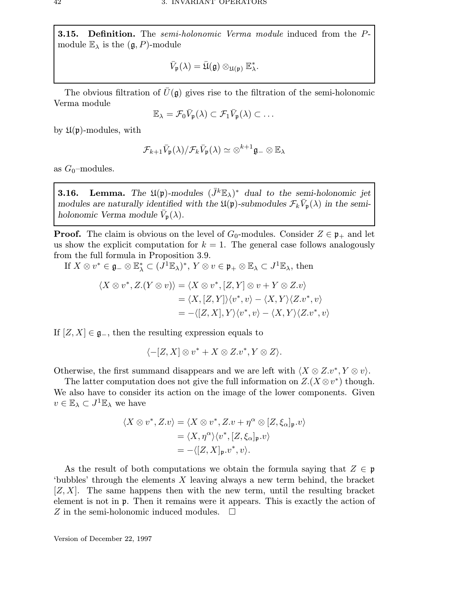**3.15. Definition.** The *semi-holonomic Verma module* induced from the Pmodule  $\mathbb{E}_{\lambda}$  is the  $(\mathfrak{g}, P)$ -module

$$
\bar{V}_{\mathfrak{p}}(\lambda) = \bar{\mathfrak{U}}(\mathfrak{g}) \otimes_{\mathfrak{U}(\mathfrak{p})} \mathbb{E}^*_{\lambda}.
$$

The obvious filtration of  $U(\mathfrak{g})$  gives rise to the filtration of the semi-holonomic Verma module

$$
\mathbb{E}_{\lambda} = \mathcal{F}_0 \bar{V}_{\mathfrak{p}}(\lambda) \subset \mathcal{F}_1 \bar{V}_{\mathfrak{p}}(\lambda) \subset \dots
$$

by  $\mathfrak{U}(\mathfrak{p})$ -modules, with

$$
\mathcal{F}_{k+1}\bar{V}_{\mathfrak{p}}(\lambda)/\mathcal{F}_{k}\bar{V}_{\mathfrak{p}}(\lambda) \simeq \otimes^{k+1} \mathfrak{g}_{-} \otimes \mathbb{E}_{\lambda}
$$

as  $G_0$ -modules.

**3.16.** Lemma. The  $\mathfrak{U}(\mathfrak{p})$ -modules  $(\bar{J}^k \mathbb{E}_{\lambda})^*$  dual to the semi-holonomic jet modules are naturally identified with the  $\mathfrak{U}(\mathfrak{p})$ -submodules  $\mathcal{F}_k \bar{V}_{\mathfrak{p}}(\lambda)$  in the semiholonomic Verma module  $\bar{V}_{\mathfrak{p}}(\lambda)$ .

**Proof.** The claim is obvious on the level of  $G_0$ -modules. Consider  $Z \in \mathfrak{p}_+$  and let us show the explicit computation for  $k = 1$ . The general case follows analogously from the full formula in Proposition 3.9.

If  $X \otimes v^* \in \mathfrak{g}_- \otimes \mathbb{E}_\lambda^* \subset (J^1\mathbb{E}_\lambda)^*,\,Y \otimes v \in \mathfrak{p}_+ \otimes \mathbb{E}_\lambda \subset J^1\mathbb{E}_\lambda, \,\text{then}$ 

$$
\langle X \otimes v^*, Z. (Y \otimes v) \rangle = \langle X \otimes v^*, [Z, Y] \otimes v + Y \otimes Z. v \rangle
$$
  
=  $\langle X, [Z, Y] \rangle \langle v^*, v \rangle - \langle X, Y \rangle \langle Z. v^*, v \rangle$   
=  $-\langle [Z, X], Y \rangle \langle v^*, v \rangle - \langle X, Y \rangle \langle Z. v^*, v \rangle$ 

If  $[Z, X] \in \mathfrak{g}_-,$  then the resulting expression equals to

$$
\langle -[Z, X] \otimes v^* + X \otimes Z \cdot v^*, Y \otimes Z \rangle.
$$

Otherwise, the first summand disappears and we are left with  $\langle X \otimes Z.v^*, Y \otimes v \rangle$ .

The latter computation does not give the full information on  $Z(X \otimes v^*)$  though. We also have to consider its action on the image of the lower components. Given  $v \in \mathbb{E}_{\lambda} \subset J^1 \mathbb{E}_{\lambda}$  we have

$$
\langle X \otimes v^*, Z.v \rangle = \langle X \otimes v^*, Z.v + \eta^{\alpha} \otimes [Z, \xi_{\alpha}]_{\mathfrak{p}} . v \rangle
$$
  
=  $\langle X, \eta^{\alpha} \rangle \langle v^*, [Z, \xi_{\alpha}]_{\mathfrak{p}} . v \rangle$   
=  $-\langle [Z, X]_{\mathfrak{p}} . v^*, v \rangle$ .

As the result of both computations we obtain the formula saying that  $Z \in \mathfrak{p}$ 'bubbles' through the elements  $X$  leaving always a new term behind, the bracket  $[Z, X]$ . The same happens then with the new term, until the resulting bracket element is not in p. Then it remains were it appears. This is exactly the action of Z in the semi-holonomic induced modules.  $\Box$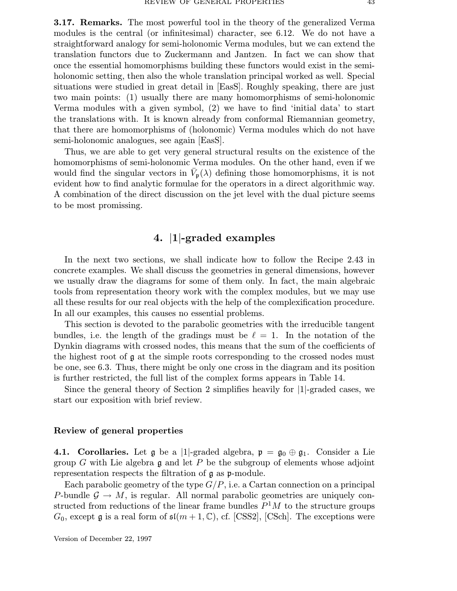3.17. Remarks. The most powerful tool in the theory of the generalized Verma modules is the central (or infinitesimal) character, see 6.12. We do not have a straightforward analogy for semi-holonomic Verma modules, but we can extend the translation functors due to Zuckermann and Jantzen. In fact we can show that once the essential homomorphisms building these functors would exist in the semiholonomic setting, then also the whole translation principal worked as well. Special situations were studied in great detail in [EasS]. Roughly speaking, there are just two main points: (1) usually there are many homomorphisms of semi-holonomic Verma modules with a given symbol, (2) we have to find 'initial data' to start the translations with. It is known already from conformal Riemannian geometry, that there are homomorphisms of (holonomic) Verma modules which do not have semi-holonomic analogues, see again [EasS].

Thus, we are able to get very general structural results on the existence of the homomorphisms of semi-holonomic Verma modules. On the other hand, even if we would find the singular vectors in  $\bar{V}_{\mathfrak{p}}(\lambda)$  defining those homomorphisms, it is not evident how to find analytic formulae for the operators in a direct algorithmic way. A combination of the direct discussion on the jet level with the dual picture seems to be most promissing.

## 4. |1|-graded examples

In the next two sections, we shall indicate how to follow the Recipe 2.43 in concrete examples. We shall discuss the geometries in general dimensions, however we usually draw the diagrams for some of them only. In fact, the main algebraic tools from representation theory work with the complex modules, but we may use all these results for our real objects with the help of the complexification procedure. In all our examples, this causes no essential problems.

This section is devoted to the parabolic geometries with the irreducible tangent bundles, i.e. the length of the gradings must be  $\ell = 1$ . In the notation of the Dynkin diagrams with crossed nodes, this means that the sum of the coefficients of the highest root of g at the simple roots corresponding to the crossed nodes must be one, see 6.3. Thus, there might be only one cross in the diagram and its position is further restricted, the full list of the complex forms appears in Table 14.

Since the general theory of Section 2 simplifies heavily for |1|-graded cases, we start our exposition with brief review.

#### Review of general properties

4.1. Corollaries. Let g be a |1|-graded algebra,  $\mathfrak{p} = \mathfrak{g}_0 \oplus \mathfrak{g}_1$ . Consider a Lie group G with Lie algebra  $\mathfrak g$  and let P be the subgroup of elements whose adjoint representation respects the filtration of g as p-module.

Each parabolic geometry of the type  $G/P$ , i.e. a Cartan connection on a principal P-bundle  $\mathcal{G} \to M$ , is regular. All normal parabolic geometries are uniquely constructed from reductions of the linear frame bundles  $P^1M$  to the structure groups  $G_0$ , except g is a real form of  $\mathfrak{sl}(m+1,\mathbb{C})$ , cf. [CSS2], [CSch]. The exceptions were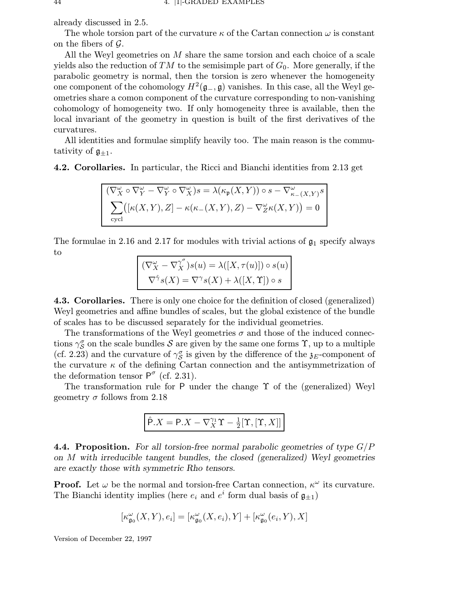already discussed in 2.5.

The whole torsion part of the curvature  $\kappa$  of the Cartan connection  $\omega$  is constant on the fibers of  $\mathcal{G}$ .

All the Weyl geometries on M share the same torsion and each choice of a scale yields also the reduction of TM to the semisimple part of  $G_0$ . More generally, if the parabolic geometry is normal, then the torsion is zero whenever the homogeneity one component of the cohomology  $H^2(\mathfrak{g}_-,\mathfrak{g})$  vanishes. In this case, all the Weyl geometries share a comon component of the curvature corresponding to non-vanishing cohomology of homogeneity two. If only homogeneity three is available, then the local invariant of the geometry in question is built of the first derivatives of the curvatures.

All identities and formulae simplify heavily too. The main reason is the commutativity of  $\mathfrak{g}_{\pm 1}$ .

4.2. Corollaries. In particular, the Ricci and Bianchi identities from 2.13 get

$$
(\nabla_X^{\omega} \circ \nabla_Y^{\omega} - \nabla_Y^{\omega} \circ \nabla_X^{\omega})s = \lambda(\kappa_{\mathfrak{p}}(X, Y)) \circ s - \nabla_{\kappa_{-}(X, Y)}^{\omega}s
$$

$$
\sum_{\text{cycl}} ([\kappa(X, Y), Z] - \kappa(\kappa_{-}(X, Y), Z) - \nabla_Z^{\omega}\kappa(X, Y)) = 0
$$

The formulae in 2.16 and 2.17 for modules with trivial actions of  $\mathfrak{g}_1$  specify always to

$$
\left(\nabla_X^{\omega} - \nabla_X^{\gamma^{\sigma}}\right)s(u) = \lambda([X, \tau(u)]) \circ s(u)
$$

$$
\nabla^{\hat{\gamma}}s(X) = \nabla^{\gamma}s(X) + \lambda([X, \Upsilon]) \circ s
$$

4.3. Corollaries. There is only one choice for the definition of closed (generalized) Weyl geometries and affine bundles of scales, but the global existence of the bundle of scales has to be discussed separately for the individual geometries.

The transformations of the Weyl geometries  $\sigma$  and those of the induced connections  $\gamma_{\mathcal{S}}^{\sigma}$  on the scale bundles  $\mathcal S$  are given by the same one forms  $\Upsilon$ , up to a multiple (cf. 2.23) and the curvature of  $\gamma_{\mathcal{S}}^{\sigma}$  is given by the difference of the  $\mathfrak{z}_E$ -component of the curvature  $\kappa$  of the defining Cartan connection and the antisymmetrization of the deformation tensor  $P^{\sigma}$  (cf. 2.31).

The transformation rule for P under the change Υ of the (generalized) Weyl geometry  $\sigma$  follows from 2.18

$$
\hat{\mathsf{P}}.X = \mathsf{P}.X - \nabla^{\gamma_1}_X \Upsilon - \frac{1}{2} [\Upsilon,[\Upsilon,X]]
$$

**4.4. Proposition.** For all torsion-free normal parabolic geometries of type  $G/P$ on M with irreducible tangent bundles, the closed (generalized) Weyl geometries are exactly those with symmetric Rho tensors.

**Proof.** Let  $\omega$  be the normal and torsion-free Cartan connection,  $\kappa^{\omega}$  its curvature. The Bianchi identity implies (here  $e_i$  and  $e^i$  form dual basis of  $\mathfrak{g}_{\pm 1}$ )

$$
[\kappa^\omega_{\mathfrak{g}_0}(X,Y),e_i] = [\kappa^\omega_{\mathfrak{g}_0}(X,e_i),Y] + [\kappa^\omega_{\mathfrak{g}_0}(e_i,Y),X]
$$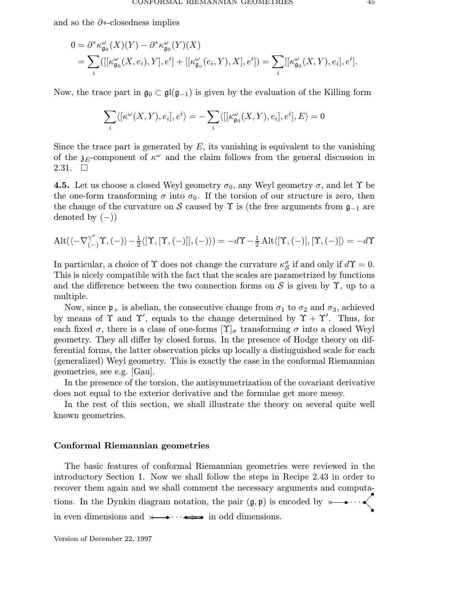and so the  $\partial$ ∗-closedness implies

$$
0 = \partial^* \kappa_{\mathfrak{g}_0}^{\omega}(X)(Y) - \partial^* \kappa_{\mathfrak{g}_0}^{\omega}(Y)(X)
$$
  
= 
$$
\sum_i ([[\kappa_{\mathfrak{g}_0}^{\omega}(X, e_i), Y], e^i] + [[\kappa_{\mathfrak{g}_o}^{\omega}(e_i, Y), X], e^i]) = \sum_i [[\kappa_{\mathfrak{g}_0}^{\omega}(X, Y), e_i], e^i].
$$

Now, the trace part in  $\mathfrak{g}_0 \subset \mathfrak{gl}(\mathfrak{g}_{-1})$  is given by the evaluation of the Killing form

$$
\sum_{i} \langle [\kappa^{\omega}(X, Y), e_i], e^i \rangle = -\sum_{i} \langle [[\kappa^{\omega}_{\mathfrak{g}_0}(X, Y), e_i], e^i], E \rangle = 0
$$

Since the trace part is generated by  $E$ , its vanishing is equivalent to the vanishing of the  $\chi_E$ -component of  $\kappa^{\omega}$  and the claim follows from the general discussion in 2.31.  $\Box$ 

**4.5.** Let us choose a closed Weyl geometry  $\sigma_0$ , any Weyl geometry  $\sigma$ , and let  $\Upsilon$  be the one-form transforming  $\sigma$  into  $\sigma_0$ . If the torsion of our structure is zero, then the change of the curvature on S caused by  $\Upsilon$  is (the free arguments from  $\mathfrak{g}_{-1}$  are denoted by  $(-)$ )

$$
\mathrm{Alt}(\langle -\nabla_{(-)}^{\gamma^{\sigma}} \Upsilon, (-) \rangle - \frac{1}{2} \langle [\Upsilon, [\Upsilon, (-)]], (-) \rangle) = -d\Upsilon - \frac{1}{2} \mathrm{Alt} \langle [\Upsilon, (-)], [\Upsilon, (-)] \rangle = -d\Upsilon
$$

In particular, a choice of  $\Upsilon$  does not change the curvature  $\kappa_S^{\sigma}$  if and only if  $d\Upsilon = 0$ . This is nicely compatible with the fact that the scales are parametrized by functions and the difference between the two connection forms on S is given by  $\Upsilon$ , up to a multiple.

Now, since  $\mathfrak{p}_+$  is abelian, the consecutive change from  $\sigma_1$  to  $\sigma_2$  and  $\sigma_3$ , achieved by means of  $\Upsilon$  and  $\Upsilon'$ , equals to the change determined by  $\Upsilon + \Upsilon'$ . Thus, for each fixed  $\sigma$ , there is a class of one-forms  $[\Upsilon]_{\sigma}$  transforming  $\sigma$  into a closed Weyl geometry. They all differ by closed forms. In the presence of Hodge theory on differential forms, the latter observation picks up locally a distinguished scale for each (generalized) Weyl geometry. This is exactly the case in the conformal Riemannian geometries, see e.g. [Gau].

In the presence of the torsion, the antisymmetrization of the covariant derivative does not equal to the exterior derivative and the formulae get more messy.

In the rest of this section, we shall illustrate the theory on several quite well known geometries.

#### Conformal Riemannian geometries

The basic features of conformal Riemannian geometries were reviewed in the introductory Section 1. Now we shall follow the steps in Recipe 2.43 in order to recover them again and we shall comment the necessary arguments and computations. In the Dynkin diagram notation, the pair  $(\mathfrak{g}, \mathfrak{p})$  is encoded by  $\times \bullet \cdots \bullet$ **、** in even dimensions and  $\times \rightarrow \cdots \rightarrow \bullet$  in odd dimensions.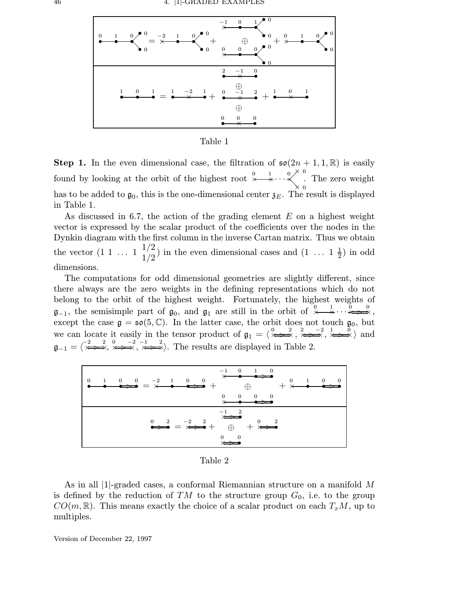

Table 1

**Step 1.** In the even dimensional case, the filtration of  $\mathfrak{so}(2n+1,1,\mathbb{R})$  is easily found by looking at the orbit of the highest root  $\stackrel{0}{\times} \stackrel{1}{\cdot} \cdots \stackrel{0}{\times} \stackrel{\times}{\cdot}$  $\left\langle \right\rangle_{\times}$  o The zero weight has to be added to  $\mathfrak{g}_0$ , this is the one-dimensional center  $\mathfrak{z}_E$ . The result is displayed in Table 1.

As discussed in 6.7, the action of the grading element  $E$  on a highest weight vector is expressed by the scalar product of the coefficients over the nodes in the Dynkin diagram with the first column in the inverse Cartan matrix. Thus we obtain the vector  $(1\;1\;... \;1\; \frac{1/2}{1/2})$  $\frac{1}{2}$ ) in the even dimensional cases and  $(1 \ldots 1\frac{1}{2})$  $(\frac{1}{2})$  in odd dimensions.

The computations for odd dimensional geometries are slightly different, since there always are the zero weights in the defining representations which do not belong to the orbit of the highest weight. Fortunately, the highest weights of  $\mathfrak{g}_{-1}$ , the semisimple part of  $\mathfrak{g}_0$ , and  $\mathfrak{g}_1$  are still in the orbit of  $\overset{0}{\times} \overset{1}{\times} \cdots \overset{0}{\times} \overset{0}{\longrightarrow} \cdots$ except the case  $\mathfrak{g} = \mathfrak{so}(5, \mathbb{C})$ . In the latter case, the orbit does not touch  $\mathfrak{g}_0$ , but we can locate it easily in the tensor product of  $\mathfrak{g}_1 = \langle \overbrace{\overbrace{\phantom{a}}^{0} \to \overbrace{\phantom{a}}^{2}}^{0} , \overbrace{\phantom{a}}^{2} \to \overbrace{\phantom{a}}^{2} , \overbrace{\phantom{a}}^{2} \to \overbrace{\phantom{a}}^{2} , \overbrace{\phantom{a}}^{2} \to \overbrace{\phantom{a}}^{2}$  and  $\mathfrak{g}_{-1} = \langle \overbrace{\times \rightarrow \times}^{2} \times \overbrace{\times \rightarrow \times}^{0} \times \overbrace{\times \rightarrow \times}^{2} \rangle$ . The results are displayed in Table 2.



Table 2

As in all  $|1|$ -graded cases, a conformal Riemannian structure on a manifold M is defined by the reduction of TM to the structure group  $G_0$ , i.e. to the group  $CO(m, \mathbb{R})$ . This means exactly the choice of a scalar product on each  $T_xM$ , up to multiples.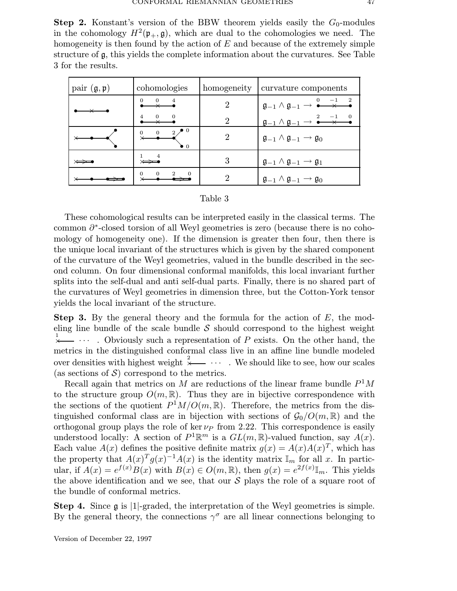**Step 2.** Konstant's version of the BBW theorem yields easily the  $G_0$ -modules in the cohomology  $H^2(\mathfrak{p}_+, \mathfrak{g})$ , which are dual to the cohomologies we need. The homogeneity is then found by the action of  $E$  and because of the extremely simple structure of g, this yields the complete information about the curvatures. See Table 3 for the results.

| pair $(\mathfrak{g}, \mathfrak{p})$ | cohomologies                                      | homogeneity                 | curvature components                                                                                                                      |
|-------------------------------------|---------------------------------------------------|-----------------------------|-------------------------------------------------------------------------------------------------------------------------------------------|
|                                     | $\overset{0}{\times}$<br>$\overline{4}$           | $\mathcal{D}_{\mathcal{L}}$ | $\mathfrak{g}_{-1} \wedge \mathfrak{g}_{-1} \rightarrow \overset{0}{\bullet} \overset{-1}{\mathop{\longrightarrow}} \overset{2}{\bullet}$ |
|                                     |                                                   | റ                           | $\mathfrak{g}_{-1}\wedge\mathfrak{g}_{-1}\rightarrow\overset{2\quad-1}{\bullet}\rightarrow$                                               |
|                                     | ● 0<br>$\overline{2}$<br>$\overline{0}$<br>0<br>0 | 2                           | $\mathfrak{g}_{-1} \wedge \mathfrak{g}_{-1} \rightarrow \mathfrak{g}_0$                                                                   |
|                                     | y⇒⊐                                               | 3                           | $\mathfrak{g}_{-1} \wedge \mathfrak{g}_{-1} \rightarrow \mathfrak{g}_1$                                                                   |
|                                     | $\Omega$<br>$\Omega$<br>$\Omega$                  |                             | $\mathfrak{g}_{-1} \wedge \mathfrak{g}_{-1} \rightarrow \mathfrak{g}_0$                                                                   |

| Table |
|-------|
|-------|

These cohomological results can be interpreted easily in the classical terms. The common  $\partial^*$ -closed torsion of all Weyl geometries is zero (because there is no cohomology of homogeneity one). If the dimension is greater then four, then there is the unique local invariant of the structures which is given by the shared component of the curvature of the Weyl geometries, valued in the bundle described in the second column. On four dimensional conformal manifolds, this local invariant further splits into the self-dual and anti self-dual parts. Finally, there is no shared part of the curvatures of Weyl geometries in dimension three, but the Cotton-York tensor yields the local invariant of the structure.

**Step 3.** By the general theory and the formula for the action of  $E$ , the modeling line bundle of the scale bundle  $S$  should correspond to the highest weight  $\overline{\mathcal{L}}$   $\cdots$  . Obviously such a representation of P exists. On the other hand, the metrics in the distinguished conformal class live in an affine line bundle modeled over densities with highest weight  $\stackrel{2}{\times} \cdots$  . We should like to see, how our scales (as sections of  $S$ ) correspond to the metrics.

Recall again that metrics on M are reductions of the linear frame bundle  $P^1M$ to the structure group  $O(m, \mathbb{R})$ . Thus they are in bijective correspondence with the sections of the quotient  $P^1M/O(m,\mathbb{R})$ . Therefore, the metrics from the distinguished conformal class are in bijection with sections of  $\mathcal{G}_0/O(m,\mathbb{R})$  and the orthogonal group plays the role of ker  $\nu_P$  from 2.22. This correspondence is easily understood locally: A section of  $P^1\mathbb{R}^m$  is a  $GL(m,\mathbb{R})$ -valued function, say  $A(x)$ . Each value  $A(x)$  defines the positive definite matrix  $g(x) = A(x)A(x)^T$ , which has the property that  $A(x)^T g(x)^{-1} A(x)$  is the identity matrix  $\mathbb{I}_m$  for all x. In particular, if  $A(x) = e^{f(x)}B(x)$  with  $B(x) \in O(m, \mathbb{R})$ , then  $g(x) = e^{2f(x)}\mathbb{I}_m$ . This yields the above identification and we see, that our  $\mathcal S$  plays the role of a square root of the bundle of conformal metrics.

**Step 4.** Since  $\mathfrak{g}$  is  $|1|$ -graded, the interpretation of the Weyl geometries is simple. By the general theory, the connections  $\gamma^{\sigma}$  are all linear connections belonging to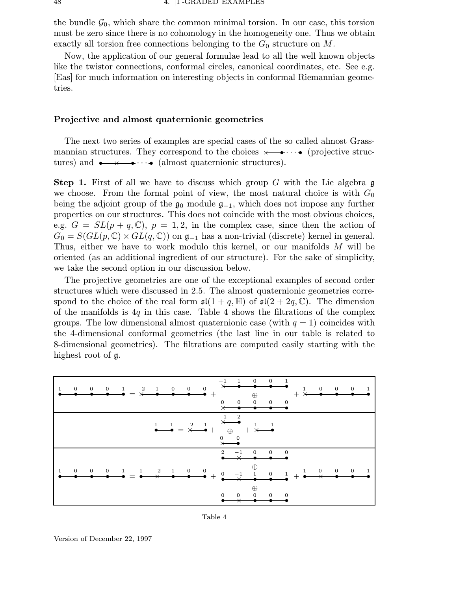the bundle  $\mathcal{G}_0$ , which share the common minimal torsion. In our case, this torsion must be zero since there is no cohomology in the homogeneity one. Thus we obtain exactly all torsion free connections belonging to the  $G_0$  structure on M.

Now, the application of our general formulae lead to all the well known objects like the twistor connections, conformal circles, canonical coordinates, etc. See e.g. [Eas] for much information on interesting objects in conformal Riemannian geometries.

## Projective and almost quaternionic geometries

The next two series of examples are special cases of the so called almost Grassmannian structures. They correspond to the choices  $\times \bullet \cdots \bullet$  (projective structures) and  $\longrightarrow$   $\rightarrow$   $\cdots$  (almost quaternionic structures).

Step 1. First of all we have to discuss which group G with the Lie algebra g we choose. From the formal point of view, the most natural choice is with  $G_0$ being the adjoint group of the  $\mathfrak{g}_0$  module  $\mathfrak{g}_{-1}$ , which does not impose any further properties on our structures. This does not coincide with the most obvious choices, e.g.  $G = SL(p+q, \mathbb{C}), p = 1, 2$ , in the complex case, since then the action of  $G_0 = S(GL(p,\mathbb{C}) \times GL(q,\mathbb{C}))$  on  $\mathfrak{g}_{-1}$  has a non-trivial (discrete) kernel in general. Thus, either we have to work modulo this kernel, or our manifolds M will be oriented (as an additional ingredient of our structure). For the sake of simplicity, we take the second option in our discussion below.

The projective geometries are one of the exceptional examples of second order structures which were discussed in 2.5. The almost quaternionic geometries correspond to the choice of the real form  $\mathfrak{sl}(1 + q, \mathbb{H})$  of  $\mathfrak{sl}(2 + 2q, \mathbb{C})$ . The dimension of the manifolds is  $4q$  in this case. Table 4 shows the filtrations of the complex groups. The low dimensional almost quaternionic case (with  $q = 1$ ) coincides with the 4-dimensional conformal geometries (the last line in our table is related to 8-dimensional geometries). The filtrations are computed easily starting with the highest root of g.



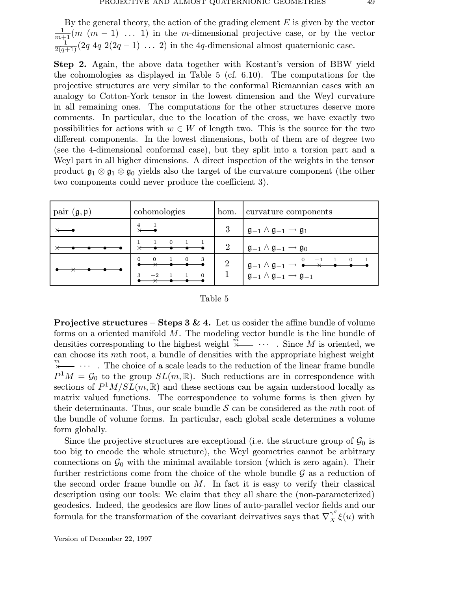By the general theory, the action of the grading element  $E$  is given by the vector  $\frac{1}{m+1}(m(m-1) \ldots 1)$  in the m-dimensional projective case, or by the vector  $\frac{1}{2(q+1)}(2q \ 4q \ 2(2q-1) \ \ldots \ 2)$  in the 4q-dimensional almost quaternionic case.

Step 2. Again, the above data together with Kostant's version of BBW yield the cohomologies as displayed in Table 5 (cf. 6.10). The computations for the projective structures are very similar to the conformal Riemannian cases with an analogy to Cotton-York tensor in the lowest dimension and the Weyl curvature in all remaining ones. The computations for the other structures deserve more comments. In particular, due to the location of the cross, we have exactly two possibilities for actions with  $w \in W$  of length two. This is the source for the two different components. In the lowest dimensions, both of them are of degree two (see the 4-dimensional conformal case), but they split into a torsion part and a Weyl part in all higher dimensions. A direct inspection of the weights in the tensor product  $\mathfrak{g}_1 \otimes \mathfrak{g}_1 \otimes \mathfrak{g}_0$  yields also the target of the curvature component (the other two components could never produce the coefficient 3).

| pair $(\mathfrak{g}, \mathfrak{p})$ | cohomologies                         | hom.           | curvature components                                                    |
|-------------------------------------|--------------------------------------|----------------|-------------------------------------------------------------------------|
|                                     |                                      |                | $\mathfrak{g}_{-1}\wedge \mathfrak{g}_{-1}\to \mathfrak{g}_1$           |
|                                     |                                      | $\overline{2}$ | $\mathfrak{g}_{-1} \wedge \mathfrak{g}_{-1} \rightarrow \mathfrak{g}_0$ |
|                                     | - 3<br>$\mathbf{0}$<br>$\Omega$<br>3 | $\overline{2}$ |                                                                         |

| Table 5 |  |
|---------|--|
|---------|--|

**Projective structures – Steps 3 & 4.** Let us cosider the affine bundle of volume forms on a oriented manifold M. The modeling vector bundle is the line bundle of densities corresponding to the highest weight  $\stackrel{\widetilde{m}}{\times} \cdots$ . Since M is oriented, we can choose its mth root, a bundle of densities with the appropriate highest weight  $\stackrel{m}{\times}$   $\cdots$  . The choice of a scale leads to the reduction of the linear frame bundle  $P^1M = \mathcal{G}_0$  to the group  $SL(m, \mathbb{R})$ . Such reductions are in correspondence with sections of  $P^1M/SL(m,\mathbb{R})$  and these sections can be again understood locally as matrix valued functions. The correspondence to volume forms is then given by their determinants. Thus, our scale bundle  $S$  can be considered as the mth root of the bundle of volume forms. In particular, each global scale determines a volume form globally.

Since the projective structures are exceptional (i.e. the structure group of  $\mathcal{G}_0$  is too big to encode the whole structure), the Weyl geometries cannot be arbitrary connections on  $\mathcal{G}_0$  with the minimal available torsion (which is zero again). Their further restrictions come from the choice of the whole bundle  $\mathcal G$  as a reduction of the second order frame bundle on  $M$ . In fact it is easy to verify their classical description using our tools: We claim that they all share the (non-parameterized) geodesics. Indeed, the geodesics are flow lines of auto-parallel vector fields and our formula for the transformation of the covariant deirvatives says that  $\nabla^{\gamma^{\sigma}}_{X} \xi(u)$  with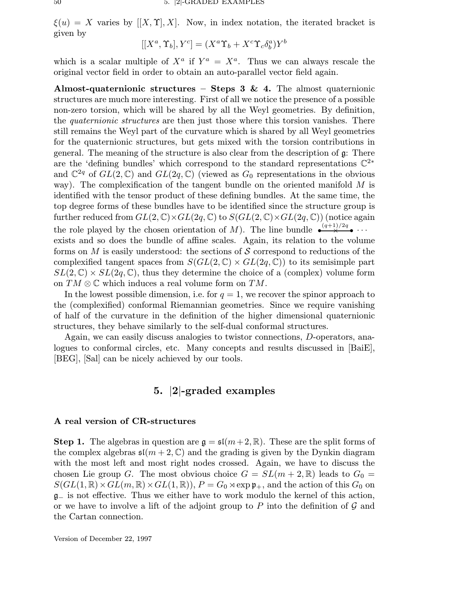$\xi(u) = X$  varies by  $[[X, \Upsilon], X]$ . Now, in index notation, the iterated bracket is given by

$$
[[X^a, \Upsilon_b], Y^c] = (X^a \Upsilon_b + X^c \Upsilon_c \delta_b^a) Y^b
$$

which is a scalar multiple of  $X^a$  if  $Y^a = X^a$ . Thus we can always rescale the original vector field in order to obtain an auto-parallel vector field again.

Almost-quaternionic structures – Steps 3 & 4. The almost quaternionic structures are much more interesting. First of all we notice the presence of a possible non-zero torsion, which will be shared by all the Weyl geometries. By definition, the *quaternionic structures* are then just those where this torsion vanishes. There still remains the Weyl part of the curvature which is shared by all Weyl geometries for the quaternionic structures, but gets mixed with the torsion contributions in general. The meaning of the structure is also clear from the description of g: There are the 'defining bundles' which correspond to the standard representations C 2∗ and  $\mathbb{C}^{2q}$  of  $GL(2,\mathbb{C})$  and  $GL(2q,\mathbb{C})$  (viewed as  $G_0$  representations in the obvious way). The complexification of the tangent bundle on the oriented manifold  $M$  is identified with the tensor product of these defining bundles. At the same time, the top degree forms of these bundles have to be identified since the structure group is further reduced from  $GL(2,\mathbb{C})\times GL(2q,\mathbb{C})$  to  $S(GL(2,\mathbb{C})\times GL(2q,\mathbb{C}))$  (notice again the role played by the chosen orientation of M). The line bundle  $\longleftrightarrow^{\left(q+1\right)/2q}$  ... exists and so does the bundle of affine scales. Again, its relation to the volume forms on M is easily understood: the sections of S correspond to reductions of the complexified tangent spaces from  $S(GL(2,\mathbb{C})\times GL(2q,\mathbb{C}))$  to its semisimple part  $SL(2,\mathbb{C}) \times SL(2q,\mathbb{C})$ , thus they determine the choice of a (complex) volume form on  $TM \otimes \mathbb{C}$  which induces a real volume form on  $TM$ .

In the lowest possible dimension, i.e. for  $q = 1$ , we recover the spinor approach to the (complexified) conformal Riemannian geometries. Since we require vanishing of half of the curvature in the definition of the higher dimensional quaternionic structures, they behave similarly to the self-dual conformal structures.

Again, we can easily discuss analogies to twistor connections, D-operators, analogues to conformal circles, etc. Many concepts and results discussed in [BaiE], [BEG], [Sal] can be nicely achieved by our tools.

## 5. |2|-graded examples

## A real version of CR-structures

**Step 1.** The algebras in question are  $\mathfrak{g} = \mathfrak{sl}(m+2,\mathbb{R})$ . These are the split forms of the complex algebras  $\mathfrak{sl}(m+2,\mathbb{C})$  and the grading is given by the Dynkin diagram with the most left and most right nodes crossed. Again, we have to discuss the chosen Lie group G. The most obvious choice  $G = SL(m + 2, \mathbb{R})$  leads to  $G_0 =$  $S(GL(1,\mathbb{R})\times GL(m,\mathbb{R})\times GL(1,\mathbb{R}))$ ,  $P = G_0 \rtimes \exp \mathfrak{p}_+$ , and the action of this  $G_0$  on g<sup>−</sup> is not effective. Thus we either have to work modulo the kernel of this action, or we have to involve a lift of the adjoint group to  $P$  into the definition of  $\mathcal G$  and the Cartan connection.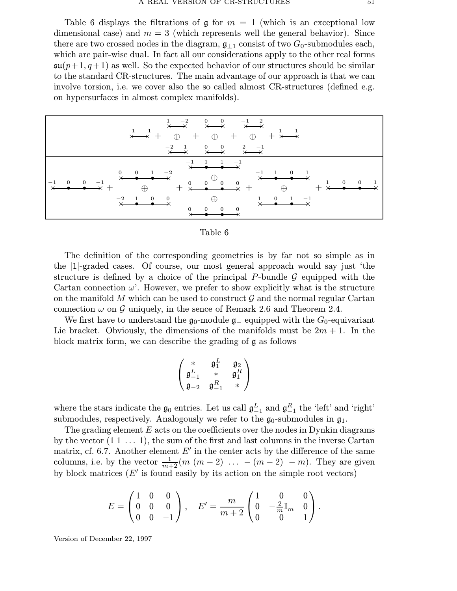Table 6 displays the filtrations of  $\mathfrak g$  for  $m = 1$  (which is an exceptional low dimensional case) and  $m = 3$  (which represents well the general behavior). Since there are two crossed nodes in the diagram,  $\mathfrak{g}_{\pm 1}$  consist of two  $G_0$ -submodules each, which are pair-wise dual. In fact all our considerations apply to the other real forms  $\mathfrak{su}(p+1,q+1)$  as well. So the expected behavior of our structures should be similar to the standard CR-structures. The main advantage of our approach is that we can involve torsion, i.e. we cover also the so called almost CR-structures (defined e.g. on hypersurfaces in almost complex manifolds).



| Table 6 |  |
|---------|--|
|---------|--|

The definition of the corresponding geometries is by far not so simple as in the |1|-graded cases. Of course, our most general approach would say just 'the structure is defined by a choice of the principal P-bundle  $\mathcal G$  equipped with the Cartan connection  $\omega'$ . However, we prefer to show explicitly what is the structure on the manifold M which can be used to construct  $\mathcal G$  and the normal regular Cartan connection  $\omega$  on G uniquely, in the sence of Remark 2.6 and Theorem 2.4.

We first have to understand the  $\mathfrak{g}_0$ -module  $\mathfrak{g}_-$  equipped with the  $G_0$ -equivariant Lie bracket. Obviously, the dimensions of the manifolds must be  $2m + 1$ . In the block matrix form, we can describe the grading of g as follows

$$
\begin{pmatrix} \ast & \mathfrak{g}_1^L & \mathfrak{g}_2 \\ \mathfrak{g}_{-1}^L & \ast & \mathfrak{g}_1^R \\ \mathfrak{g}_{-2} & \mathfrak{g}_{-1}^R & \ast \end{pmatrix}
$$

where the stars indicate the  $\mathfrak{g}_0$  entries. Let us call  $\mathfrak{g}_{-1}^L$  and  $\mathfrak{g}_{-1}^R$  the 'left' and 'right' submodules, respectively. Analogously we refer to the  $\mathfrak{g}_0$ -submodules in  $\mathfrak{g}_1$ .

The grading element  $E$  acts on the coefficients over the nodes in Dynkin diagrams by the vector  $(1 \ 1 \ \ldots \ 1)$ , the sum of the first and last columns in the inverse Cartan matrix, cf. 6.7. Another element  $E'$  in the center acts by the difference of the same columns, i.e. by the vector  $\frac{1}{m+2}(m(m-2) \ldots -(m-2) - m)$ . They are given by block matrices  $(E'$  is found easily by its action on the simple root vectors)

$$
E = \begin{pmatrix} 1 & 0 & 0 \\ 0 & 0 & 0 \\ 0 & 0 & -1 \end{pmatrix}, \quad E' = \frac{m}{m+2} \begin{pmatrix} 1 & 0 & 0 \\ 0 & -\frac{2}{m} \mathbb{I}_m & 0 \\ 0 & 0 & 1 \end{pmatrix}.
$$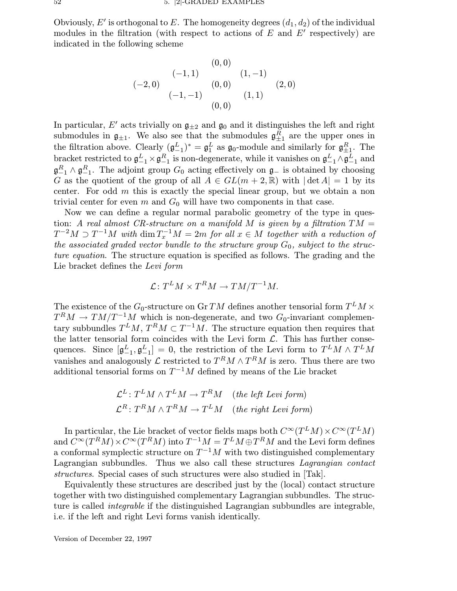Obviously,  $E'$  is orthogonal to E. The homogeneity degrees  $(d_1, d_2)$  of the individual modules in the filtration (with respect to actions of  $E$  and  $E'$  respectively) are indicated in the following scheme

$$
\begin{array}{cccc} & & (0,0) & & \\ & & (-1,1) & & (1,-1) & \\ (-2,0) & & (0,0) & & (1,1) & \\ & & & (0,0) & & \\ & & & (0,0) & & \end{array}
$$

In particular, E' acts trivially on  $\mathfrak{g}_{\pm 2}$  and  $\mathfrak{g}_0$  and it distinguishes the left and right submodules in  $\mathfrak{g}_{\pm 1}$ . We also see that the submodules  $\mathfrak{g}_{\pm 1}^R$  are the upper ones in the filtration above. Clearly  $(\mathfrak{g}_{-1}^L)^* = \mathfrak{g}_1^L$  as  $\mathfrak{g}_0$ -module and similarly for  $\mathfrak{g}_{\pm 1}^R$ . The bracket restricted to  $\mathfrak{g}_{-1}^L \times \mathfrak{g}_{-1}^R$  is non-degenerate, while it vanishes on  $\mathfrak{g}_{-1}^L \wedge \mathfrak{g}_{-1}^L$  and  $\mathfrak{g}_{-1}^R \wedge \mathfrak{g}_{-1}^R$ . The adjoint group  $G_0$  acting effectively on  $\mathfrak{g}_{-}$  is obtained by choosing G as the quotient of the group of all  $A \in GL(m+2, \mathbb{R})$  with  $|\det A| = 1$  by its center. For odd  $m$  this is exactly the special linear group, but we obtain a non trivial center for even m and  $G_0$  will have two components in that case.

Now we can define a regular normal parabolic geometry of the type in question: A real almost CR-structure on a manifold M is given by a filtration  $TM =$  $T^{-2}M \supset T^{-1}M$  with  $\dim T_x^{-1}M = 2m$  for all  $x \in M$  together with a reduction of the associated graded vector bundle to the structure group  $G_0$ , subject to the structure equation. The structure equation is specified as follows. The grading and the Lie bracket defines the Levi form

$$
\mathcal{L}: T^{L}M \times T^{R}M \to TM/T^{-1}M.
$$

The existence of the  $G_0$ -structure on Gr  $TM$  defines another tensorial form  $T^LM \times$  $T^{R}M \to TM/T^{-1}M$  which is non-degenerate, and two  $G_0$ -invariant complementary subbundles  $T^L M$ ,  $T^R M \subset T^{-1} M$ . The structure equation then requires that the latter tensorial form coincides with the Levi form  $\mathcal{L}$ . This has further consequences. Since  $[\mathfrak{g}_{-1}^L, \mathfrak{g}_{-1}^L] = 0$ , the restriction of the Levi form to  $T^L M \wedge T^L M$ vanishes and analogously  $\mathcal L$  restricted to  $T^R M \wedge T^R M$  is zero. Thus there are two additional tensorial forms on  $T^{-1}M$  defined by means of the Lie bracket

$$
\mathcal{L}^{L}: T^{L}M \wedge T^{L}M \to T^{R}M \quad (the \; left \; Levi \; form)
$$
  

$$
\mathcal{L}^{R}: T^{R}M \wedge T^{R}M \to T^{L}M \quad (the \; right \; Levi \; form)
$$

In particular, the Lie bracket of vector fields maps both  $C^{\infty}(T^LM)\times C^{\infty}(T^LM)$ and  $C^{\infty}(T^R M) \times C^{\infty}(T^R M)$  into  $T^{-1}M = T^L M \oplus T^R M$  and the Levi form defines a conformal symplectic structure on  $T^{-1}M$  with two distinguished complementary Lagrangian subbundles. Thus we also call these structures Lagrangian contact structures. Special cases of such structures were also studied in [Tak].

Equivalently these structures are described just by the (local) contact structure together with two distinguished complementary Lagrangian subbundles. The structure is called integrable if the distinguished Lagrangian subbundles are integrable, i.e. if the left and right Levi forms vanish identically.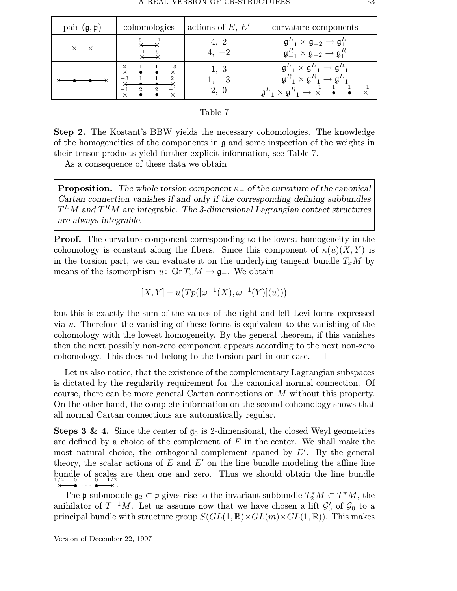| pair $(\mathfrak{g}, \mathfrak{p})$ | cohomologies | actions of $E, E'$   | curvature components                                                                                                                                                                                                                                                        |
|-------------------------------------|--------------|----------------------|-----------------------------------------------------------------------------------------------------------------------------------------------------------------------------------------------------------------------------------------------------------------------------|
|                                     |              | 4, 2<br>$-2$         | $\mathfrak{g}^L_{-1}\times\mathfrak{g}_{-2}\to\mathfrak{g}^L_1$<br>$\mathfrak{g}^R_{-1} \times \mathfrak{g}_{-2} \to \mathfrak{g}^R_1$                                                                                                                                      |
|                                     |              | 1, 3<br>$-3$<br>2, 0 | $\mathfrak{g}^L_{-1}\times\mathfrak{g}^L_{-1}\to\mathfrak{g}^R_{-1}$<br>$\mathfrak{g}^R_{-1} \times \mathfrak{g}^R_{-1} \to \mathfrak{g}^L_{-1}$<br>$\mathfrak{g}^L_{-1} \times \mathfrak{g}^R_{-1} \to \stackrel{-1}{\times} \stackrel{1}{\bullet} \stackrel{-1}{\bullet}$ |

## Table 7

Step 2. The Kostant's BBW yields the necessary cohomologies. The knowledge of the homogeneities of the components in  $\mathfrak g$  and some inspection of the weights in their tensor products yield further explicit information, see Table 7.

As a consequence of these data we obtain

**Proposition.** The whole torsion component  $\kappa$  of the curvature of the canonical Cartan connection vanishes if and only if the corresponding defining subbundles  $T^{L}M$  and  $T^{R}M$  are integrable. The 3-dimensional Lagrangian contact structures are always integrable.

Proof. The curvature component corresponding to the lowest homogeneity in the cohomology is constant along the fibers. Since this component of  $\kappa(u)(X, Y)$  is in the torsion part, we can evaluate it on the underlying tangent bundle  $T_xM$  by means of the isomorphism u: Gr  $T_xM \to \mathfrak{g}_-$ . We obtain

$$
[X, Y] - u(Tp([\omega^{-1}(X), \omega^{-1}(Y)](u)))
$$

but this is exactly the sum of the values of the right and left Levi forms expressed via  $u$ . Therefore the vanishing of these forms is equivalent to the vanishing of the cohomology with the lowest homogeneity. By the general theorem, if this vanishes then the next possibly non-zero component appears according to the next non-zero cohomology. This does not belong to the torsion part in our case.  $\Box$ 

Let us also notice, that the existence of the complementary Lagrangian subspaces is dictated by the regularity requirement for the canonical normal connection. Of course, there can be more general Cartan connections on M without this property. On the other hand, the complete information on the second cohomology shows that all normal Cartan connections are automatically regular.

**Steps 3 & 4.** Since the center of  $g_0$  is 2-dimensional, the closed Weyl geometries are defined by a choice of the complement of  $E$  in the center. We shall make the most natural choice, the orthogonal complement spaned by  $E'$ . By the general theory, the scalar actions of  $E$  and  $E'$  on the line bundle modeling the affine line bundle of scales are then one and zero. Thus we should obtain the line bundle  $\begin{array}{ccc} 1/2 & 0 & 0 & 1/2 \\ \times & \bullet & \cdots & \bullet \end{array}$ 

The p-submodule  $\mathfrak{g}_2 \subset \mathfrak{p}$  gives rise to the invariant subbundle  $T_2^*M \subset T^*M$ , the anihilator of  $T^{-1}M$ . Let us assume now that we have chosen a lift  $\mathcal{G}'_0$  of  $\mathcal{G}_0$  to a principal bundle with structure group  $S(GL(1,\mathbb{R})\times GL(m)\times GL(1,\mathbb{R}))$ . This makes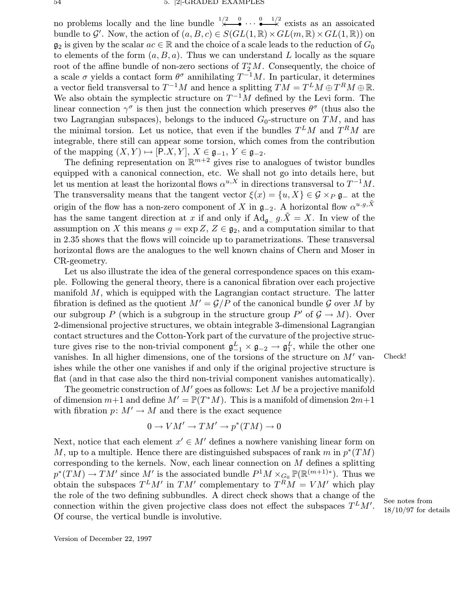no problems locally and the line bundle  $\stackrel{1/2}{\times}$   $\stackrel{0}{\cdot}$   $\cdots$   $\stackrel{0}{\bullet}$   $\stackrel{1/2}{\times}$  exists as an assoicated bundle to G'. Now, the action of  $(a, B, c) \in S(GL(1, \mathbb{R}) \times GL(m, \mathbb{R}) \times GL(1, \mathbb{R}))$  on  $\mathfrak{g}_2$  is given by the scalar  $ac \in \mathbb{R}$  and the choice of a scale leads to the reduction of  $G_0$ to elements of the form  $(a, B, a)$ . Thus we can understand L locally as the square root of the affine bundle of non-zero sections of  $T_2^*M$ . Consequently, the choice of a scale  $\sigma$  yields a contact form  $\theta^{\sigma}$  annihilating  $T^{-1}M$ . In particular, it determines a vector field transversal to  $T^{-1}M$  and hence a splitting  $TM = T^L M \oplus T^R M \oplus \mathbb{R}$ . We also obtain the symplectic structure on  $T^{-1}M$  defined by the Levi form. The linear connection  $\gamma^{\sigma}$  is then just the connection which preserves  $\theta^{\sigma}$  (thus also the two Lagrangian subspaces), belongs to the induced  $G_0$ -structure on TM, and has the minimal torsion. Let us notice, that even if the bundles  $T^L M$  and  $T^R M$  are integrable, there still can appear some torsion, which comes from the contribution of the mapping  $(X, Y) \mapsto [P.X, Y], X \in \mathfrak{g}_{-1}, Y \in \mathfrak{g}_{-2}.$ 

The defining representation on  $\mathbb{R}^{m+2}$  gives rise to analogues of twistor bundles equipped with a canonical connection, etc. We shall not go into details here, but let us mention at least the horizontal flows  $\alpha^{u,X}$  in directions transversal to  $T^{-1}M$ . The transversality means that the tangent vector  $\xi(x) = \{u, X\} \in \mathcal{G} \times_{P} \mathfrak{g}_{-}$  at the origin of the flow has a non-zero component of X in  $\mathfrak{g}_{-2}$ . A horizontal flow  $\alpha^{u.g, \tilde{X}}$ has the same tangent direction at x if and only if  $Ad_{\mathfrak{g}_-} g.\tilde{X} = X$ . In view of the assumption on X this means  $g = \exp Z$ ,  $Z \in \mathfrak{g}_2$ , and a computation similar to that in 2.35 shows that the flows will coincide up to parametrizations. These transversal horizontal flows are the analogues to the well known chains of Chern and Moser in CR-geometry.

Let us also illustrate the idea of the general correspondence spaces on this example. Following the general theory, there is a canonical fibration over each projective manifold  $M$ , which is equipped with the Lagrangian contact structure. The latter fibration is defined as the quotient  $M' = \mathcal{G}/P$  of the canonical bundle  $\mathcal G$  over M by our subgroup P (which is a subgroup in the structure group  $P'$  of  $\mathcal{G} \to M$ ). Over 2-dimensional projective structures, we obtain integrable 3-dimensional Lagrangian contact structures and the Cotton-York part of the curvature of the projective structure gives rise to the non-trivial component  $\mathfrak{g}_{-1}^L \times \mathfrak{g}_{-2} \to \mathfrak{g}_1^L$ , while the other one vanishes. In all higher dimensions, one of the torsions of the structure on  $M'$  vanishes while the other one vanishes if and only if the original projective structure is flat (and in that case also the third non-trivial component vanishes automatically).

The geometric construction of  $M'$  goes as follows: Let  $M$  be a projective manifold of dimension  $m+1$  and define  $M' = \mathbb{P}(T^*M)$ . This is a manifold of dimension  $2m+1$ with fibration  $p: M' \to M$  and there is the exact sequence

$$
0 \to VM' \to TM' \to p^*(TM) \to 0
$$

Next, notice that each element  $x' \in M'$  defines a nowhere vanishing linear form on M, up to a multiple. Hence there are distinguished subspaces of rank m in  $p^*(TM)$ corresponding to the kernels. Now, each linear connection on M defines a splitting  $p^*(TM) \to TM'$  since M' is the associated bundle  $P^1M \times_{G_0} \mathbb{P}(\mathbb{R}^{(m+1)*})$ . Thus we obtain the subspaces  $T^L M'$  in  $T M'$  complementary to  $T^R M = V M'$  which play the role of the two defining subbundles. A direct check shows that a change of the connection within the given projective class does not effect the subspaces  $T^L M'$ . Of course, the vertical bundle is involutive.

See notes from 18/10/97 for details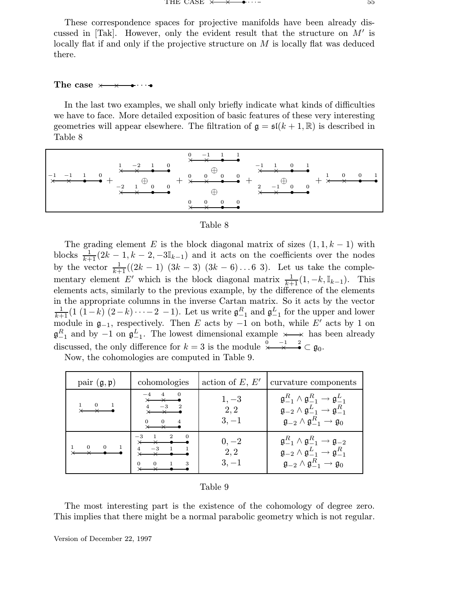These correspondence spaces for projective manifolds have been already discussed in [Tak]. However, only the evident result that the structure on  $M'$  is locally flat if and only if the projective structure on M is locally flat was deduced there.

#### The case  $\times \rightarrow \bullet \cdots \bullet$

In the last two examples, we shall only briefly indicate what kinds of difficulties we have to face. More detailed exposition of basic features of these very interesting geometries will appear elsewhere. The filtration of  $\mathfrak{g} = \mathfrak{sl}(k+1,\mathbb{R})$  is described in Table 8

|  | $1 \qquad 0$ | $1 -2 1 0$<br>$-2$ 1 $\oplus$ 0 0 |  | $0 \t -1 \t 1 \t 1$<br>$+$ $+$ $\frac{0}{0}$ $0$ $0$ $0$ $+$ $\frac{2}{0}$ $ \frac{1}{0}$ $0$ $0$ $+$ $\frac{1}{0}$<br>$\oplus$ |             |  | $-1$ 1 0 1 |  |  |  |
|--|--------------|-----------------------------------|--|---------------------------------------------------------------------------------------------------------------------------------|-------------|--|------------|--|--|--|
|  |              |                                   |  | $\overline{\mathbf{0}}$                                                                                                         | $0\qquad 0$ |  |            |  |  |  |

| Table |  |
|-------|--|
|-------|--|

The grading element E is the block diagonal matrix of sizes  $(1, 1, k - 1)$  with blocks  $\frac{1}{k+1}(2k-1, k-2, -3\mathbb{I}_{k-1})$  and it acts on the coefficients over the nodes by the vector  $\frac{1}{k+1}((2k-1) (3k-3) (3k-6)...6)$ . Let us take the complementary element E' which is the block diagonal matrix  $\frac{1}{k+1}(1, -k, \mathbb{I}_{k-1})$ . This elements acts, similarly to the previous example, by the difference of the elements in the appropriate columns in the inverse Cartan matrix. So it acts by the vector  $\frac{1}{k+1}(1(1-k)(2-k)\cdots-2-1)$ . Let us write  $\mathfrak{g}_{-1}^R$  and  $\mathfrak{g}_{-1}^L$  for the upper and lower module in  $\mathfrak{g}_{-1}$ , respectively. Then E acts by  $-1$  on both, while E' acts by 1 on  $\mathfrak{g}_{-1}^R$  and by  $-1$  on  $\mathfrak{g}_{-1}^L$ . The lowest dimensional example  $\times \rightarrow \infty$  has been already discussed, the only difference for  $k = 3$  is the module  $\overline{\mathcal{X}} \rightarrow 2$  =  $\mathfrak{g}_0$ .

Now, the cohomologies are computed in Table 9.

| pair $(\mathfrak{g}, \mathfrak{p})$ | cohomologies   | action of $E, E'$          | curvature components                                                                                                                                                                                                                            |  |  |
|-------------------------------------|----------------|----------------------------|-------------------------------------------------------------------------------------------------------------------------------------------------------------------------------------------------------------------------------------------------|--|--|
| $\Omega$                            | $\overline{0}$ | $1, -3$<br>2, 2<br>$3, -1$ | $\mathfrak{g}^R_{-1} \wedge \mathfrak{g}^R_{-1} \rightarrow \mathfrak{g}^L_{-1}$<br>$\mathfrak{g}_{-2} \wedge \mathfrak{g}_{-1}^L \rightarrow \mathfrak{g}_{-1}^R$<br>$\mathfrak{g}_{-2} \wedge \mathfrak{g}_{-1}^R \rightarrow \mathfrak{g}_0$ |  |  |
| 0                                   |                | $0, -2$<br>2, 2<br>$3, -1$ | $\mathfrak{g}^R_{-1} \wedge \mathfrak{g}^R_{-1} \rightarrow \mathfrak{g}_{-2}$<br>$\mathfrak{g}_{-2} \wedge \mathfrak{g}_{-1}^L \rightarrow \mathfrak{g}_{-1}^R$<br>$\mathfrak{g}_{-2} \wedge \mathfrak{g}_{-1}^R \rightarrow \mathfrak{g}_0$   |  |  |

| 'able |  |
|-------|--|
|-------|--|

The most interesting part is the existence of the cohomology of degree zero. This implies that there might be a normal parabolic geometry which is not regular.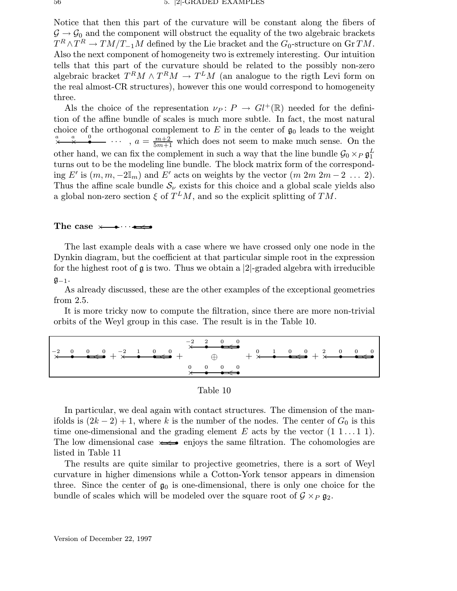Notice that then this part of the curvature will be constant along the fibers of  $\mathcal{G} \to \mathcal{G}_0$  and the component will obstruct the equality of the two algebraic brackets  $T^R\wedge T^R \to TM/T_{-1}M$  defined by the Lie bracket and the  $G_0$ -structure on Gr $TM.$ Also the next component of homogeneity two is extremely interesting. Our intuition tells that this part of the curvature should be related to the possibly non-zero algebraic bracket  $T^R M \wedge T^R M \to T^L M$  (an analogue to the rigth Levi form on the real almost-CR structures), however this one would correspond to homogeneity three.

Als the choice of the representation  $\nu_P: P \to Gl^+(\mathbb{R})$  needed for the definition of the affine bundle of scales is much more subtle. In fact, the most natural choice of the orthogonal complement to E in the center of  $\mathfrak{g}_0$  leads to the weight  $\stackrel{a}{\times} \stackrel{a}{\times} \stackrel{0}{\cdot} \cdots$ ,  $a = \frac{m+2}{5m+1}$  which does not seem to make much sense. On the other hand, we can fix the complement in such a way that the line bundle  $\mathcal{G}_0 \times_P \mathfrak{g}_1^L$ turns out to be the modeling line bundle. The block matrix form of the corresponding E' is  $(m, m, -2\mathbb{I}_m)$  and E' acts on weights by the vector  $(m 2m 2m - 2 \dots 2)$ . Thus the affine scale bundle  $\mathcal{S}_{\nu}$  exists for this choice and a global scale yields also a global non-zero section  $\xi$  of  $T^L M$ , and so the explicit splitting of TM.

## The case  $\times \rightarrow \cdots \rightarrow$

The last example deals with a case where we have crossed only one node in the Dynkin diagram, but the coefficient at that particular simple root in the expression for the highest root of  $\mathfrak g$  is two. Thus we obtain a |2|-graded algebra with irreducible  $\mathfrak{g}_{-1}$ .

As already discussed, these are the other examples of the exceptional geometries from 2.5.

It is more tricky now to compute the filtration, since there are more non-trivial orbits of the Weyl group in this case. The result is in the Table 10.

| $-2$ 0 0 0 $-2$ 1 0 0 $\rightarrow \infty$ 0 1 0 0 $-2$ 0 0 0 0 $\rightarrow \infty$ + $\times$ + $\leftarrow$ + $\times$ + $\leftarrow$ + $\times$ + $\leftarrow$ + $\times$ + $\leftarrow$ + $\leftarrow$ + $\leftarrow$ + $\leftarrow$ + $\leftarrow$ + $\leftarrow$ + $\leftarrow$ + $\leftarrow$ + $\leftarrow$ + $\leftarrow$ + $\leftarrow$ + $\leftarrow$ + $\leftarrow$ + $\leftarrow$ |  | $-2$ 2 0 0                                                             |  |  |  |  |
|-------------------------------------------------------------------------------------------------------------------------------------------------------------------------------------------------------------------------------------------------------------------------------------------------------------------------------------------------------------------------------------------------|--|------------------------------------------------------------------------|--|--|--|--|
|                                                                                                                                                                                                                                                                                                                                                                                                 |  | $\begin{array}{cccccc}\n0 & 0 & 0 & 0 \\ \times & & & & \n\end{array}$ |  |  |  |  |

| Table 10 |  |
|----------|--|
|          |  |

In particular, we deal again with contact structures. The dimension of the manifolds is  $(2k-2)+1$ , where k is the number of the nodes. The center of  $G_0$  is this time one-dimensional and the grading element E acts by the vector  $(1 \, 1 \ldots 1 \, 1)$ . The low dimensional case  $\iff$  enjoys the same filtration. The cohomologies are listed in Table 11

The results are quite similar to projective geometries, there is a sort of Weyl curvature in higher dimensions while a Cotton-York tensor appears in dimension three. Since the center of  $g_0$  is one-dimensional, there is only one choice for the bundle of scales which will be modeled over the square root of  $G \times_P \mathfrak{g}_2$ .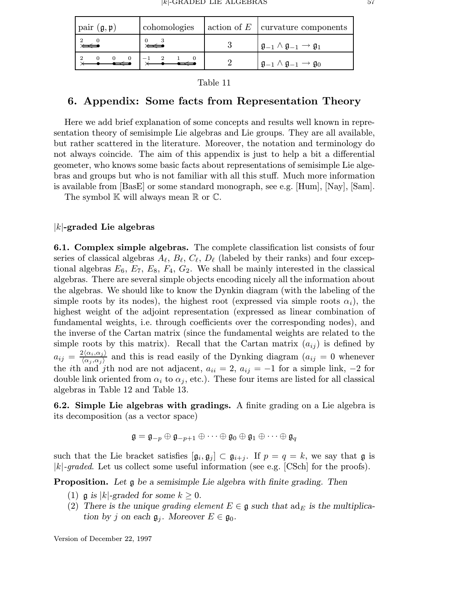| pair $(\mathfrak{g}, \mathfrak{p})$        | cohomologies                                                                                      | $\alpha$ action of E   curvature components                             |
|--------------------------------------------|---------------------------------------------------------------------------------------------------|-------------------------------------------------------------------------|
| $\overbrace{\times\rightleftharpoons}^{2}$ |                                                                                                   | $\mathfrak{g}_{-1} \wedge \mathfrak{g}_{-1} \rightarrow \mathfrak{g}_1$ |
| $\overline{2}$                             | $\begin{array}{c c c c c c c c c} \hline 0 & 0 & 0 & -1 & 2 & 1 & 0 \\ \hline \hline \end{array}$ | $\mathfrak{g}_{-1} \wedge \mathfrak{g}_{-1} \rightarrow \mathfrak{g}_0$ |

| able. |  |
|-------|--|
|-------|--|

## 6. Appendix: Some facts from Representation Theory

Here we add brief explanation of some concepts and results well known in representation theory of semisimple Lie algebras and Lie groups. They are all available, but rather scattered in the literature. Moreover, the notation and terminology do not always coincide. The aim of this appendix is just to help a bit a differential geometer, who knows some basic facts about representations of semisimple Lie algebras and groups but who is not familiar with all this stuff. Much more information is available from [BasE] or some standard monograph, see e.g. [Hum], [Nay], [Sam].

The symbol  $\mathbb K$  will always mean  $\mathbb R$  or  $\mathbb C$ .

## $|k|$ -graded Lie algebras

6.1. Complex simple algebras. The complete classification list consists of four series of classical algebras  $A_{\ell}, B_{\ell}, C_{\ell}, D_{\ell}$  (labeled by their ranks) and four exceptional algebras  $E_6$ ,  $E_7$ ,  $E_8$ ,  $F_4$ ,  $G_2$ . We shall be mainly interested in the classical algebras. There are several simple objects encoding nicely all the information about the algebras. We should like to know the Dynkin diagram (with the labeling of the simple roots by its nodes), the highest root (expressed via simple roots  $\alpha_i$ ), the highest weight of the adjoint representation (expressed as linear combination of fundamental weights, i.e. through coefficients over the corresponding nodes), and the inverse of the Cartan matrix (since the fundamental weights are related to the simple roots by this matrix). Recall that the Cartan matrix  $(a_{ij})$  is defined by  $a_{ij} = \frac{2\langle \alpha_i, \alpha_j \rangle}{\langle \alpha_i, \alpha_i \rangle}$  $\frac{\partial a_i(a_i, a_j)}{\partial (a_j, a_j)}$  and this is read easily of the Dynking diagram  $(a_{ij} = 0$  whenever the *i*th and jth nod are not adjacent,  $a_{ii} = 2$ ,  $a_{ij} = -1$  for a simple link, -2 for double link oriented from  $\alpha_i$  to  $\alpha_j$ , etc.). These four items are listed for all classical algebras in Table 12 and Table 13.

6.2. Simple Lie algebras with gradings. A finite grading on a Lie algebra is its decomposition (as a vector space)

$$
\mathfrak{g}=\mathfrak{g}_{-p}\oplus\mathfrak{g}_{-p+1}\oplus\cdots\oplus\mathfrak{g}_0\oplus\mathfrak{g}_1\oplus\cdots\oplus\mathfrak{g}_q
$$

such that the Lie bracket satisfies  $[\mathfrak{g}_i, \mathfrak{g}_j] \subset \mathfrak{g}_{i+j}$ . If  $p = q = k$ , we say that  $\mathfrak{g}$  is  $|k|$ -graded. Let us collect some useful information (see e.g. [CSch] for the proofs).

**Proposition.** Let  $\mathfrak g$  be a semisimple Lie algebra with finite grading. Then

- (1)  $\frak{g}$  is |k|-graded for some  $k > 0$ .
- (2) There is the unique grading element  $E \in \mathfrak{g}$  such that  $\text{ad}_E$  is the multiplication by j on each  $\mathfrak{g}_j$ . Moreover  $E \in \mathfrak{g}_0$ .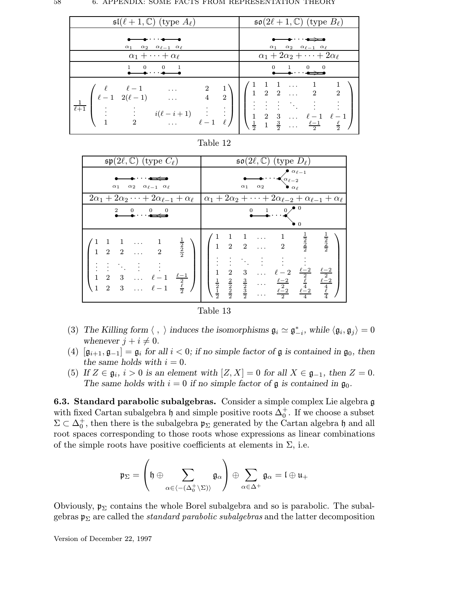| $\mathfrak{sl}(\ell+1,\mathbb{C})$ (type $A_{\ell}$ )                                                                                                                                                                  | $\mathfrak{so}(2\ell+1,\mathbb{C})$ (type $B_{\ell}$ )                                                                                                                                                                                                                                                                                                                          |  |  |  |
|------------------------------------------------------------------------------------------------------------------------------------------------------------------------------------------------------------------------|---------------------------------------------------------------------------------------------------------------------------------------------------------------------------------------------------------------------------------------------------------------------------------------------------------------------------------------------------------------------------------|--|--|--|
| —• · · · •—•<br>$\alpha_1 \quad \alpha_2 \quad \alpha_{\ell-1} \quad \alpha_{\ell}$                                                                                                                                    | $\begin{array}{ccc}\n\bullet & \bullet & \cdot & \cdot & \bullet \rightarrow \bullet\n\end{array}$<br>$\alpha_1 \quad \alpha_2 \quad \alpha_{\ell-1} \quad \alpha_{\ell}$                                                                                                                                                                                                       |  |  |  |
| $\alpha_1 + \cdots + \alpha_\ell$                                                                                                                                                                                      | $\alpha_1+2\alpha_2+\cdots+2\alpha_\ell$                                                                                                                                                                                                                                                                                                                                        |  |  |  |
| $\mathbf{0}$<br>$\begin{array}{ccc} & 0 & 1 \end{array}$                                                                                                                                                               | $\begin{matrix} 0 & 1 & 0 \end{matrix}$                                                                                                                                                                                                                                                                                                                                         |  |  |  |
| $\frac{1}{\ell+1} \begin{pmatrix} \ell & \ell-1 & \ldots & 2 & 1 \\ \ell-1 & 2(\ell-1) & \ldots & 4 & 2 \\ \vdots & \vdots & \vdots & \ell-\,i+\,1) & \vdots & \vdots \\ 1 & 2 & \ldots & \ell-1 & \ell \end{pmatrix}$ | $\begin{array}{c cccc} 2 & 1 \\ 4 & 2 \\ \vdots & \vdots \\ \ell-1 & \ell \end{array} \middle  \begin{array}{c cccc} 1 & 1 & 1 & \ldots & 1 & 1 \\ 1 & 2 & 2 & \ldots & 2 & 2 \\ \vdots & \vdots & \vdots & \ddots & \vdots & \vdots \\ 1 & 2 & 3 & \ldots & \ell-1 & \ell-1 \\ \frac{1}{2} & 1 & \frac{3}{2} & \ldots & \frac{\ell-1}{2} & \frac{\ell}{2} \end{array} \right)$ |  |  |  |

Table 12

| $\mathfrak{sp}(2\ell,\mathbb{C})$ (type $C_{\ell}$ )                                                                                                                                                                                                                   | $\mathfrak{so}(2\ell,\mathbb{C})$<br>(type $D_{\ell}$ )                                                                                                                                                                                                                                                                                                                                                                           |
|------------------------------------------------------------------------------------------------------------------------------------------------------------------------------------------------------------------------------------------------------------------------|-----------------------------------------------------------------------------------------------------------------------------------------------------------------------------------------------------------------------------------------------------------------------------------------------------------------------------------------------------------------------------------------------------------------------------------|
| $\alpha_{\ell-1} \alpha_{\ell}$<br>$\alpha_1$<br>$\alpha_2$                                                                                                                                                                                                            | $\bullet$ $\alpha_{\ell-1}$<br>$\alpha_{\ell-2}$<br>$\alpha_1$<br>$\alpha_2$<br>$\alpha_{\ell}$                                                                                                                                                                                                                                                                                                                                   |
| $2\alpha_1+2\alpha_2 \cdots + 2\alpha_{\ell-1}+\alpha_\ell$                                                                                                                                                                                                            | $\alpha_1 + 2\alpha_2 + \cdots + 2\alpha_{\ell-2} + \alpha_{\ell-1} + \alpha_{\ell}$                                                                                                                                                                                                                                                                                                                                              |
| $\overline{2}$<br>0<br>$\mathbf{0}$<br>$\mathbf 0$                                                                                                                                                                                                                     | $\bullet$ 0<br>$\,1$<br>0 <sub>1</sub><br>$\overline{0}$<br>$\overline{0}$                                                                                                                                                                                                                                                                                                                                                        |
| $rac{1}{2}$ $rac{2}{2}$<br>1<br>1<br>$\overline{2}$<br>$\overline{2}$<br>$\overline{2}$<br>$\ldots$<br>$\ddot{\phantom{a}}$ .<br>$\frac{\ell-1}{2}$ $\frac{\ell}{2}$<br>$\overline{2}$<br>3<br>$\cdots$<br>3<br>$\mathbf{1}$<br>$\ell-1$<br>$\overline{2}$<br>$\cdots$ | $rac{1}{2}$<br>$rac{2}{2}$<br>$rac{1}{2}$<br>$rac{2}{2}$<br>$\overline{1}$<br>$\overline{2}$<br>$\overline{2}$<br>$\mathfrak{D}$<br>$\frac{\frac{\ell-2}{2}}{\frac{\ell}{4}}$ $\frac{\ell-2}{4}$<br>$\frac{\frac{\ell-2}{2}}{\frac{\ell-2}{4}}$<br>3<br>1<br>$\overline{2}$<br>$\ell-2$<br>$\frac{\ell-2}{2}$ $\frac{\ell-2}{2}$<br>$\frac{2}{2}$ $\frac{2}{2}$<br>$rac{1}{2}$ $rac{1}{2}$<br>$rac{3}{2}$ $rac{3}{2}$<br>$\cdots$ |



- (3) The Killing form  $\langle , \rangle$  induces the isomorphisms  $\mathfrak{g}_i \simeq \mathfrak{g}_{-i}^*$ , while  $\langle \mathfrak{g}_i, \mathfrak{g}_j \rangle = 0$ whenever  $j + i \neq 0$ .
- (4)  $[\mathfrak{g}_{i+1}, \mathfrak{g}_{-1}] = \mathfrak{g}_i$  for all  $i < 0$ ; if no simple factor of  $\mathfrak g$  is contained in  $\mathfrak{g}_0$ , then the same holds with  $i = 0$ .
- (5) If  $Z \in \mathfrak{g}_i$ ,  $i > 0$  is an element with  $[Z, X] = 0$  for all  $X \in \mathfrak{g}_{-1}$ , then  $Z = 0$ . The same holds with  $i = 0$  if no simple factor of  $\mathfrak g$  is contained in  $\mathfrak g_0$ .

6.3. Standard parabolic subalgebras. Consider a simple complex Lie algebra g with fixed Cartan subalgebra  $\mathfrak h$  and simple positive roots  $\Delta_0^+$ . If we choose a subset  $\Sigma \subset \Delta^+_0$  $_0^+$ , then there is the subalgebra  $\mathfrak{p}_\Sigma$  generated by the Cartan algebra  $\mathfrak h$  and all root spaces corresponding to those roots whose expressions as linear combinations of the simple roots have positive coefficients at elements in  $\Sigma$ , i.e.

$$
\mathfrak{p}_{\Sigma} = \left(\mathfrak{h} \oplus \sum_{\alpha \in \langle -(\Delta_0^+ \setminus \Sigma) \rangle} \mathfrak{g}_{\alpha}\right) \oplus \sum_{\alpha \in \Delta^+} \mathfrak{g}_{\alpha} = \mathfrak{l} \oplus \mathfrak{u}_+
$$

Obviously,  $\mathfrak{p}_{\Sigma}$  contains the whole Borel subalgebra and so is parabolic. The subalgebras  $\mathfrak{p}_{\Sigma}$  are called the *standard parabolic subalgebras* and the latter decomposition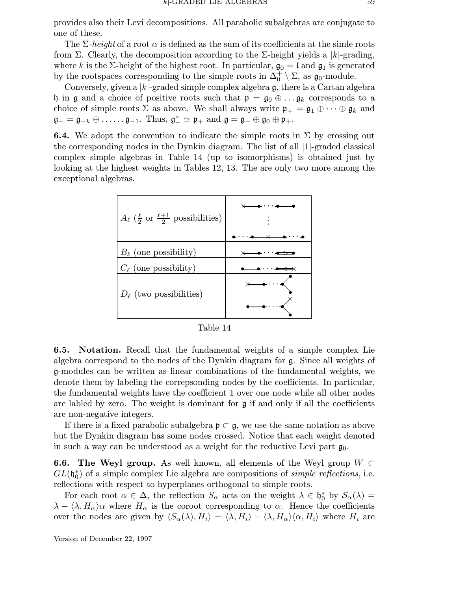provides also their Levi decompositions. All parabolic subalgebras are conjugate to one of these.

The  $\Sigma$ -height of a root  $\alpha$  is defined as the sum of its coefficients at the simle roots from  $\Sigma$ . Clearly, the decomposition according to the  $\Sigma$ -height yields a |k|-grading, where k is the  $\Sigma$ -height of the highest root. In particular,  $\mathfrak{g}_0 = \mathfrak{l}$  and  $\mathfrak{g}_1$  is generated by the rootspaces corresponding to the simple roots in  $\Delta_0^+ \setminus \Sigma$ , as  $\mathfrak{g}_0$ -module.

Conversely, given a  $|k|$ -graded simple complex algebra  $\mathfrak{g}$ , there is a Cartan algebra h in g and a choice of positive roots such that  $\mathfrak{p} = \mathfrak{g}_0 \oplus \ldots \mathfrak{g}_k$  corresponds to a choice of simple roots  $\Sigma$  as above. We shall always write  $\mathfrak{p}_+ = \mathfrak{g}_1 \oplus \cdots \oplus \mathfrak{g}_k$  and  $\mathfrak{g}_{-} = \mathfrak{g}_{-k} \oplus \ldots \ldots \mathfrak{g}_{-1}$ . Thus,  $\mathfrak{g}_{-}^* \simeq \mathfrak{p}_{+}$  and  $\mathfrak{g} = \mathfrak{g}_{-} \oplus \mathfrak{g}_{0} \oplus \mathfrak{p}_{+}$ .

**6.4.** We adopt the convention to indicate the simple roots in  $\Sigma$  by crossing out the corresponding nodes in the Dynkin diagram. The list of all |1|-graded classical complex simple algebras in Table 14 (up to isomorphisms) is obtained just by looking at the highest weights in Tables 12, 13. The are only two more among the exceptional algebras.



Table 14

6.5. Notation. Recall that the fundamental weights of a simple complex Lie algebra correspond to the nodes of the Dynkin diagram for g. Since all weights of g-modules can be written as linear combinations of the fundamental weights, we denote them by labeling the correpsonding nodes by the coefficients. In particular, the fundamental weights have the coefficient 1 over one node while all other nodes are labled by zero. The weight is dominant for  $\mathfrak g$  if and only if all the coefficients are non-negative integers.

If there is a fixed parabolic subalgebra  $\mathfrak{p} \subset \mathfrak{g}$ , we use the same notation as above but the Dynkin diagram has some nodes crossed. Notice that each weight denoted in such a way can be understood as a weight for the reductive Levi part  $\mathfrak{g}_0$ .

**6.6. The Weyl group.** As well known, all elements of the Weyl group  $W \subset$  $GL(\mathfrak{h}_0^*)$  of a simple complex Lie algebra are compositions of *simple reflections*, i.e. reflections with respect to hyperplanes orthogonal to simple roots.

For each root  $\alpha \in \Delta$ , the reflection  $S_{\alpha}$  acts on the weight  $\lambda \in \mathfrak{h}_0^*$  by  $\mathcal{S}_{\alpha}(\lambda) =$  $\lambda - \langle \lambda, H_{\alpha} \rangle$  where  $H_{\alpha}$  is the coroot corresponding to  $\alpha$ . Hence the coefficients over the nodes are given by  $\langle S_{\alpha}(\lambda), H_i \rangle = \langle \lambda, H_i \rangle - \langle \lambda, H_{\alpha} \rangle \langle \alpha, H_i \rangle$  where  $H_i$  are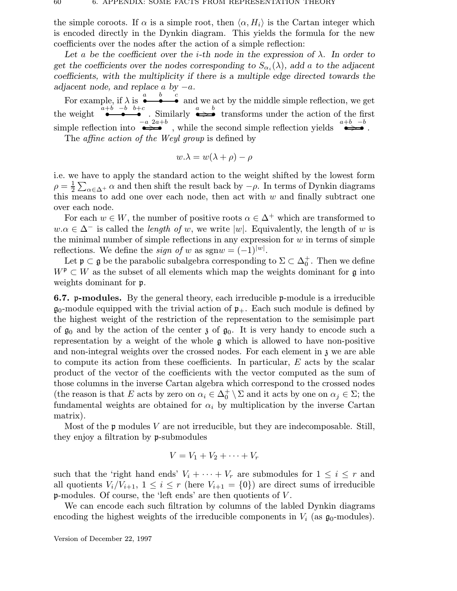the simple coroots. If  $\alpha$  is a simple root, then  $\langle \alpha, H_i \rangle$  is the Cartan integer which is encoded directly in the Dynkin diagram. This yields the formula for the new coefficients over the nodes after the action of a simple reflection:

Let a be the coefficient over the *i*-th node in the expression of  $\lambda$ . In order to get the coefficients over the nodes corresponding to  $S_{\alpha_i}(\lambda)$ , add a to the adjacent coefficients, with the multiplicity if there is a multiple edge directed towards the adjacent node, and replace a by  $-a$ .

For example, if  $\lambda$  is  $\stackrel{a}{\bullet} \stackrel{b}{\bullet} \stackrel{c}{\bullet}$  and we act by the middle simple reflection, we get the weight  $\overset{a+b}{\longrightarrow}$   $\overset{b+c}{\longrightarrow}$  similarly  $\overset{a}{\longrightarrow}$  transforms under the action of the first simple reflection into  $\stackrel{-a}{\iff}$ , while the second simple reflection yields  $\stackrel{a+b}{\iff}$ . The *affine action of the Weyl group* is defined by

$$
w.\lambda = w(\lambda + \rho) - \rho
$$

i.e. we have to apply the standard action to the weight shifted by the lowest form  $\rho = \frac{1}{2}$  $\frac{1}{2}\sum_{\alpha\in\Delta^{+}}\alpha$  and then shift the result back by  $-\rho$ . In terms of Dynkin diagrams this means to add one over each node, then act with  $w$  and finally subtract one over each node.

For each  $w \in W$ , the number of positive roots  $\alpha \in \Delta^+$  which are transformed to  $w.\alpha \in \Delta^-$  is called the *length of* w, we write |w|. Equivalently, the length of w is the minimal number of simple reflections in any expression for  $w$  in terms of simple reflections. We define the *sign of* w as sgn $w = (-1)^{|w|}$ .

Let  $\mathfrak{p} \subset \mathfrak{g}$  be the parabolic subalgebra corresponding to  $\Sigma \subset \Delta_0^+$  $_0^+$ . Then we define  $W^{\mathfrak{p}} \subset W$  as the subset of all elements which map the weights dominant for g into weights dominant for p.

6.7. p-modules. By the general theory, each irreducible p-module is a irreducible  $\mathfrak{g}_0$ -module equipped with the trivial action of  $\mathfrak{p}_+$ . Each such module is defined by the highest weight of the restriction of the representation to the semisimple part of  $\mathfrak{g}_0$  and by the action of the center  $\mathfrak{z}$  of  $\mathfrak{g}_0$ . It is very handy to encode such a representation by a weight of the whole g which is allowed to have non-positive and non-integral weights over the crossed nodes. For each element in  $\chi$  we are able to compute its action from these coefficients. In particular,  $E$  acts by the scalar product of the vector of the coefficients with the vector computed as the sum of those columns in the inverse Cartan algebra which correspond to the crossed nodes (the reason is that E acts by zero on  $\alpha_i \in \Delta_0^+$  $\binom{+}{0}$   $\setminus \Sigma$  and it acts by one on  $\alpha_j \in \Sigma$ ; the fundamental weights are obtained for  $\alpha_i$  by multiplication by the inverse Cartan matrix).

Most of the  $\mathfrak p$  modules V are not irreducible, but they are indecomposable. Still, they enjoy a filtration by p-submodules

$$
V = V_1 + V_2 + \cdots + V_r
$$

such that the 'right hand ends'  $V_i + \cdots + V_r$  are submodules for  $1 \leq i \leq r$  and all quotients  $V_i/V_{i+1}$ ,  $1 \leq i \leq r$  (here  $V_{i+1} = \{0\}$ ) are direct sums of irreducible p-modules. Of course, the 'left ends' are then quotients of V .

We can encode each such filtration by columns of the labled Dynkin diagrams encoding the highest weights of the irreducible components in  $V_i$  (as  $\mathfrak{g}_0$ -modules).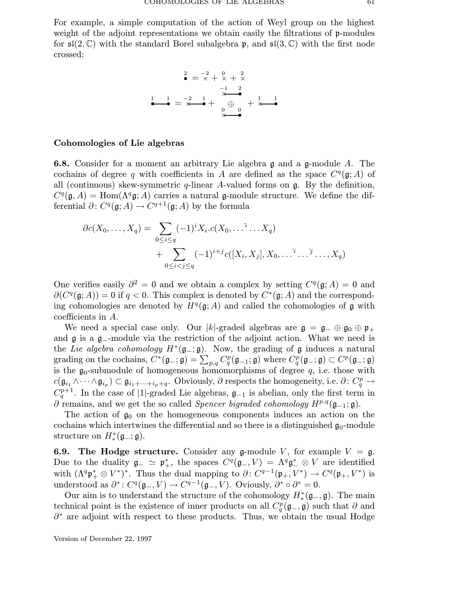For example, a simple computation of the action of Weyl group on the highest weight of the adjoint representations we obtain easily the filtrations of p-modules for  $\mathfrak{sl}(2,\mathbb{C})$  with the standard Borel subalgebra p, and  $\mathfrak{sl}(3,\mathbb{C})$  with the first node crossed:

$$
\begin{array}{c}\n2 = -2 + 0 + 2 \\
\bullet = \times + \times + \times \\
\hline\n\frac{-1}{\times} \\
\bullet = \times -\bullet + \bigoplus_{\begin{array}{c} 0 \\ \uparrow \end{array}} \left( \begin{array}{c} 2 \\
+ \times \bullet \\
+ \times \bullet \\
\hline\n\end{array} \right)\n\end{array}
$$

#### Cohomologies of Lie algebras

**6.8.** Consider for a moment an arbitrary Lie algebra  $\mathfrak{g}$  and a  $\mathfrak{g}$ -module A. The cochains of degree q with coefficients in A are defined as the space  $C<sup>q</sup>(\mathfrak{g};A)$  of all (continuous) skew-symmetric q-linear A-valued forms on  $\mathfrak{g}$ . By the definition,  $C<sup>q</sup>(\mathfrak{g}, A) = \text{Hom}(\Lambda<sup>q</sup>\mathfrak{g}, A)$  carries a natural  $\mathfrak{g}\text{-module structure. We define the dif$ ferential  $\partial\colon C^q(\mathfrak{g};A)\to C^{q+1}(\mathfrak{g};A)$  by the formula

$$
\partial c(X_0, \dots, X_q) = \sum_{0 \le i \le q} (-1)^i X_i.c(X_0, \dots, \tilde{X}_q) + \sum_{0 \le i < j \le q} (-1)^{i+j} c([X_i, X_j], X_0, \dots, \tilde{X}_q, \dots, X_q)
$$

One verifies easily  $\partial^2 = 0$  and we obtain a complex by setting  $C^q(\mathfrak{g}; A) = 0$  and  $\partial(C^q(\mathfrak{g};A))=0$  if  $q<0$ . This complex is denoted by  $C^*(\mathfrak{g};A)$  and the corresponding cohomologies are denoted by  $H^q(\mathfrak{g};A)$  and called the cohomologies of  $\mathfrak g$  with coefficients in A.

We need a special case only. Our |k|-graded algebras are  $\mathfrak{g} = \mathfrak{g}_- \oplus \mathfrak{g}_0 \oplus \mathfrak{p}_+$ and g is a g−-module via the restriction of the adjoint action. What we need is the Lie algebra cohomology  $H^*(\mathfrak{g}_-;\mathfrak{g})$ . Now, the grading of  $\mathfrak g$  induces a natural  $\text{grading on the cochains, } C^*(\mathfrak{g}_-;\mathfrak{g}) = \sum_{p,q} C_q^p(\mathfrak{g}_{-1};\mathfrak{g}) \text{ where } C_q^p(\mathfrak{g}_-;\mathfrak{g}) \subset C^p(\mathfrak{g}_-;\mathfrak{g})$ is the  $\mathfrak{g}_0$ -submodule of homogeneous homomorphisms of degree  $q$ , i.e. those with  $c(\mathfrak{g}_{i_1} \wedge \cdots \wedge \mathfrak{g}_{i_p}) \subset \mathfrak{g}_{i_1 + \cdots + i_p + q}$ . Obviously,  $\partial$  respects the homogeneity, i.e.  $\partial \colon C_q^p \to$  $C_q^{p+1}$ . In the case of |1|-graded Lie algebras,  $\mathfrak{g}_{-1}$  is abelian, only the first term in  $\partial$  remains, and we get the so called *Spencer bigraded cohomology*  $H^{p,q}(\mathfrak{g}_{-1}; \mathfrak{g})$ .

The action of  $\mathfrak{g}_0$  on the homogeneous components induces an action on the cochains which intertwines the differential and so there is a distinguished  $g_0$ -module structure on  $H^*_*(\mathfrak{g}_-;\mathfrak{g}).$ 

**6.9. The Hodge structure.** Consider any g-module V, for example  $V = g$ . Due to the duality  $\mathfrak{g}_-\simeq \mathfrak{p}_+^*$ , the spaces  $C^q(\mathfrak{g}_-, V) = \Lambda^q \mathfrak{g}_-^* \otimes V$  are identified with  $(\Lambda^q \mathfrak{p}^*_+ \otimes V^*)^*$ . Thus the dual mapping to  $\partial \colon C^{q-1}(\mathfrak{p}_+, V^*) \to C^q(\mathfrak{p}_+, V^*)$  is understood as  $\partial^*: C^q(\mathfrak{g}_-, V) \to C^{q-1}(\mathfrak{g}_-, V)$ . Oviously,  $\partial^* \circ \partial^* = 0$ .

Our aim is to understand the structure of the cohomology  $H^*_{*}(\mathfrak{g}_-,\mathfrak{g})$ . The main technical point is the existence of inner products on all  $C_q^p(\mathfrak{g}_-,\mathfrak{g})$  such that  $\partial$  and ∂<sup>\*</sup> are adjoint with respect to these products. Thus, we obtain the usual Hodge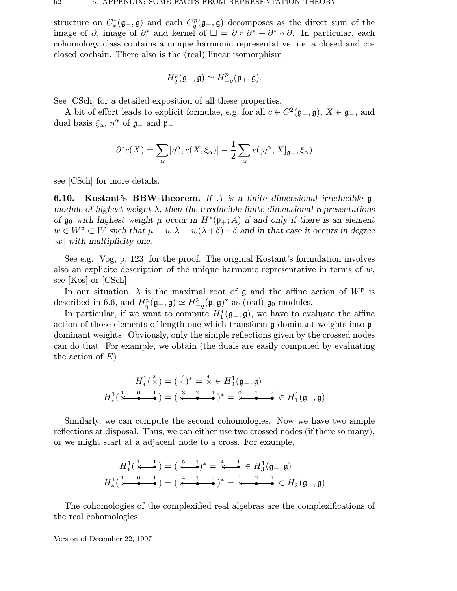structure on  $C^*_{*}(\mathfrak{g}_-,\mathfrak{g})$  and each  $C_q^p(\mathfrak{g}_-,\mathfrak{g})$  decomposes as the direct sum of the image of  $\partial$ , image of  $\partial^*$  and kernel of  $\Box = \partial \circ \partial^* + \partial^* \circ \partial$ . In particular, each cohomology class contains a unique harmonic representative, i.e. a closed and coclosed cochain. There also is the (real) linear isomorphism

$$
H_q^p(\mathfrak{g}_-,\mathfrak{g})\simeq H_{-q}^p(\mathfrak{p}_+,\mathfrak{g}).
$$

See [CSch] for a detailed exposition of all these properties.

A bit of effort leads to explicit formulae, e.g. for all  $c \in C^2(\mathfrak{g}_{-}, \mathfrak{g}), X \in \mathfrak{g}_{-}$ , and dual basis  $\xi_{\alpha}$ ,  $\eta^{\alpha}$  of  $\mathfrak{g}_{-}$  and  $\mathfrak{p}_{+}$ 

$$
\partial^* c(X) = \sum_{\alpha} [\eta^{\alpha}, c(X, \xi_{\alpha})] - \frac{1}{2} \sum_{\alpha} c([\eta^{\alpha}, X]_{\mathfrak{g}_{-}}, \xi_{\alpha})
$$

see [CSch] for more details.

**6.10. Kostant's BBW-theorem.** If A is a finite dimensional irreducible  $\mathfrak{g}$ module of highest weight  $\lambda$ , then the irreducible finite dimensional representations of  $\mathfrak{g}_0$  with highest weight  $\mu$  occur in  $H^*(\mathfrak{p}_+;A)$  if and only if there is an element  $w \in W^{\mathfrak{p}} \subset W$  such that  $\mu = w.\lambda = w(\lambda + \delta) - \delta$  and in that case it occurs in degree  $|w|$  with multiplicity one.

See e.g. [Vog, p. 123] for the proof. The original Kostant's formulation involves also an explicite description of the unique harmonic representative in terms of  $w$ , see [Kos] or [CSch].

In our situation,  $\lambda$  is the maximal root of  $\mathfrak g$  and the affine action of  $W^{\mathfrak p}$  is described in 6.6, and  $H_q^p(\mathfrak{g}_-,\mathfrak{g}) \simeq H^p_ \frac{p}{-q}(\mathfrak{p}, \mathfrak{g})^*$  as (real)  $\mathfrak{g}_0$ -modules.

In particular, if we want to compute  $H_1^*(\mathfrak{g}_-;\mathfrak{g})$ , we have to evaluate the affine action of those elements of length one which transform g-dominant weights into pdominant weights. Obviously, only the simple reflections given by the crossed nodes can do that. For example, we obtain (the duals are easily computed by evaluating the action of  $E$ )

$$
H^1_*(\stackrel{?}{\times}) = (\stackrel{-4}{\times})^* = \stackrel{4}{\times} \in H^1_2(\mathfrak{g}_{-}, \mathfrak{g})
$$
  

$$
H^1_*(\stackrel{1}{\times} \stackrel{0}{\bullet} \stackrel{1}{\bullet}) = (\stackrel{-3}{\times} \stackrel{2}{\bullet} \stackrel{1}{\bullet})^* = \stackrel{0}{\times} \stackrel{1}{\bullet} \stackrel{2}{\bullet} \in H^1_1(\mathfrak{g}_{-}, \mathfrak{g})
$$

Similarly, we can compute the second cohomologies. Now we have two simple reflections at disposal. Thus, we can either use two crossed nodes (if there so many), or we might start at a adjacent node to a cross. For example,

$$
H^{1}_{*}(\stackrel{1}{\times}\stackrel{1}{\bullet}) = (\stackrel{-5}{\times}\stackrel{1}{\bullet})^{*} = \stackrel{4}{\times}\stackrel{1}{\bullet} \in H^{1}_{3}(\mathfrak{g}_{-},\mathfrak{g})
$$

$$
H^{1}_{*}(\stackrel{1}{\times}\stackrel{0}{\bullet}\stackrel{1}{\bullet}) = (\stackrel{-4}{\times}\stackrel{1}{\bullet}\stackrel{2}{\bullet})^{*} = \stackrel{1}{\times}\stackrel{2}{\bullet}\stackrel{1}{\bullet} \in H^{1}_{2}(\mathfrak{g}_{-},\mathfrak{g})
$$

The cohomologies of the complexified real algebras are the complexifications of the real cohomologies.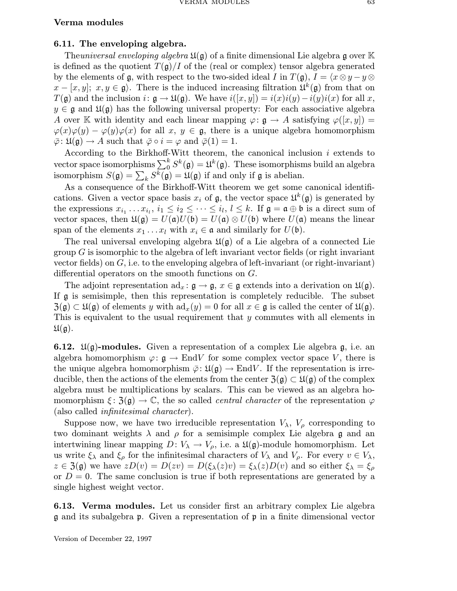## Verma modules

## 6.11. The enveloping algebra.

The universal enveloping algebra  $\mathfrak{U}(\mathfrak{g})$  of a finite dimensional Lie algebra  $\mathfrak{g}$  over K is defined as the quotient  $T(\mathfrak{g})/I$  of the (real or complex) tensor algebra generated by the elements of  $\mathfrak g$ , with respect to the two-sided ideal I in  $T(\mathfrak g)$ ,  $I = \langle x \otimes y - y \otimes$  $x - [x, y]; x, y \in \mathfrak{g}$ . There is the induced increasing filtration  $\mathfrak{U}^k(\mathfrak{g})$  from that on  $T(\mathfrak{g})$  and the inclusion  $i: \mathfrak{g} \to \mathfrak{U}(\mathfrak{g})$ . We have  $i([x, y]) = i(x)i(y) - i(y)i(x)$  for all x,  $y \in \mathfrak{g}$  and  $\mathfrak{U}(\mathfrak{g})$  has the following universal property: For each associative algebra A over K with identity and each linear mapping  $\varphi: \mathfrak{g} \to A$  satisfying  $\varphi([x, y]) =$  $\varphi(x)\varphi(y) - \varphi(y)\varphi(x)$  for all  $x, y \in \mathfrak{g}$ , there is a unique algebra homomorphism  $\overline{\varphi}$ :  $\mathfrak{U}(\mathfrak{g}) \to A$  such that  $\overline{\varphi} \circ i = \varphi$  and  $\overline{\varphi}(1) = 1$ .

According to the Birkhoff-Witt theorem, the canonical inclusion  $i$  extends to vector space isomorphisms  $\sum_{0}^{k} S^{k}(\mathfrak{g}) = \mathfrak{U}^{k}(\mathfrak{g})$ . These isomorphisms build an algebra isomorphism  $S(\mathfrak{g}) = \sum_k S^k(\mathfrak{g}) = \mathfrak{U}(\mathfrak{g})$  if and only if  $\mathfrak{g}$  is abelian.

As a consequence of the Birkhoff-Witt theorem we get some canonical identifications. Given a vector space basis  $x_i$  of  $\mathfrak{g}$ , the vector space  $\mathfrak{U}^k(\mathfrak{g})$  is generated by the expressions  $x_{i_1} \ldots x_{i_l}$ ,  $i_1 \leq i_2 \leq \cdots \leq i_l$ ,  $l \leq k$ . If  $\mathfrak{g} = \mathfrak{a} \oplus \mathfrak{b}$  is a direct sum of vector spaces, then  $\mathfrak{U}(\mathfrak{g}) = U(\mathfrak{a})U(\mathfrak{b}) = U(\mathfrak{a}) \otimes U(\mathfrak{b})$  where  $U(\mathfrak{a})$  means the linear span of the elements  $x_1 \ldots x_l$  with  $x_i \in \mathfrak{a}$  and similarly for  $U(\mathfrak{b})$ .

The real universal enveloping algebra  $\mathfrak{U}(\mathfrak{g})$  of a Lie algebra of a connected Lie group  $G$  is isomorphic to the algebra of left invariant vector fields (or right invariant vector fields) on  $G$ , i.e. to the enveloping algebra of left-invariant (or right-invariant) differential operators on the smooth functions on G.

The adjoint representation  $ad_x : \mathfrak{g} \to \mathfrak{g}, x \in \mathfrak{g}$  extends into a derivation on  $\mathfrak{U}(\mathfrak{g})$ . If  $\alpha$  is semisimple, then this representation is completely reducible. The subset  $\mathfrak{Z}(\mathfrak{g}) \subset \mathfrak{U}(\mathfrak{g})$  of elements y with  $\text{ad}_x(y) = 0$  for all  $x \in \mathfrak{g}$  is called the center of  $\mathfrak{U}(\mathfrak{g})$ . This is equivalent to the usual requirement that y commutes with all elements in  $\mathfrak{U}(\mathfrak{g}).$ 

**6.12.**  $\mathfrak{U}(\mathfrak{g})$ -modules. Given a representation of a complex Lie algebra  $\mathfrak{g}$ , i.e. an algebra homomorphism  $\varphi: \mathfrak{g} \to \text{End}V$  for some complex vector space V, there is the unique algebra homomorphism  $\bar{\varphi} : \mathfrak{U}(\mathfrak{g}) \to \text{End}V$ . If the representation is irreducible, then the actions of the elements from the center  $\mathfrak{Z}(\mathfrak{g}) \subset \mathfrak{U}(\mathfrak{g})$  of the complex algebra must be multiplications by scalars. This can be viewed as an algebra homomorphism  $\xi : \mathfrak{Z}(\mathfrak{g}) \to \mathbb{C}$ , the so called *central character* of the representation  $\varphi$ (also called infinitesimal character).

Suppose now, we have two irreducible representation  $V_{\lambda}$ ,  $V_{\rho}$  corresponding to two dominant weights  $\lambda$  and  $\rho$  for a semisimple complex Lie algebra g and an intertwining linear mapping  $D: V_\lambda \to V_\rho$ , i.e. a  $\mathfrak{U}(\mathfrak{g})$ -module homomorphism. Let us write  $\xi_{\lambda}$  and  $\xi_{\rho}$  for the infinitesimal characters of  $V_{\lambda}$  and  $V_{\rho}$ . For every  $v \in V_{\lambda}$ ,  $z \in \mathfrak{Z}(\mathfrak{g})$  we have  $zD(v) = D(zv) = D(\xi_\lambda(z)v) = \xi_\lambda(z)D(v)$  and so either  $\xi_\lambda = \xi_\rho$ or  $D = 0$ . The same conclusion is true if both representations are generated by a single highest weight vector.

6.13. Verma modules. Let us consider first an arbitrary complex Lie algebra g and its subalgebra p. Given a representation of p in a finite dimensional vector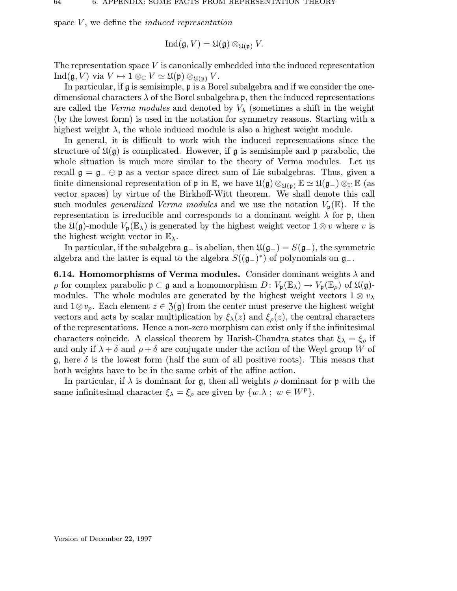space  $V$ , we define the *induced representation* 

$$
\mathrm{Ind}(\mathfrak{g},V)=\mathfrak{U}(\mathfrak{g})\otimes_{\mathfrak{U}(\mathfrak{p})}V.
$$

The representation space V is canonically embedded into the induced representation Ind( $\mathfrak{g}, V$ ) via  $V \mapsto 1 \otimes_{\mathbb{C}} V \simeq \mathfrak{U}(\mathfrak{p}) \otimes_{\mathfrak{U}(\mathfrak{p})} V$ .

In particular, if  $\mathfrak g$  is semisimple,  $\mathfrak p$  is a Borel subalgebra and if we consider the onedimensional characters  $\lambda$  of the Borel subalgebra p, then the induced representations are called the *Verma modules* and denoted by  $V_{\lambda}$  (sometimes a shift in the weight (by the lowest form) is used in the notation for symmetry reasons. Starting with a highest weight  $\lambda$ , the whole induced module is also a highest weight module.

In general, it is difficult to work with the induced representations since the structure of  $\mathfrak{U}(\mathfrak{g})$  is complicated. However, if  $\mathfrak{g}$  is semisimple and p parabolic, the whole situation is much more similar to the theory of Verma modules. Let us recall  $\mathfrak{g} = \mathfrak{g}_- \oplus \mathfrak{p}$  as a vector space direct sum of Lie subalgebras. Thus, given a finite dimensional representation of  $\mathfrak{p}$  in E, we have  $\mathfrak{U}(\mathfrak{g}) \otimes_{\mathfrak{U}(\mathfrak{p})} \mathbb{E} \simeq \mathfrak{U}(\mathfrak{g}_-) \otimes_{\mathbb{C}} \mathbb{E}$  (as vector spaces) by virtue of the Birkhoff-Witt theorem. We shall denote this call such modules *generalized Verma modules* and we use the notation  $V_{p}(\mathbb{E})$ . If the representation is irreducible and corresponds to a dominant weight  $\lambda$  for p, then the  $\mathfrak{U}(\mathfrak{g})$ -module  $V_p(\mathbb{E}_{\lambda})$  is generated by the highest weight vector  $1 \otimes v$  where v is the highest weight vector in  $\mathbb{E}_{\lambda}$ .

In particular, if the subalgebra  $\mathfrak{g}_-$  is abelian, then  $\mathfrak{U}(\mathfrak{g}_-) = S(\mathfrak{g}_-)$ , the symmetric algebra and the latter is equal to the algebra  $S((\mathfrak{g}_{-})^*)$  of polynomials on  $\mathfrak{g}_{-}$ .

**6.14. Homomorphisms of Verma modules.** Consider dominant weights  $\lambda$  and  $\rho$  for complex parabolic  $\mathfrak{p} \subset \mathfrak{g}$  and a homomorphism  $D: V_{\mathfrak{p}}(\mathbb{E}_{\lambda}) \to V_{\mathfrak{p}}(\mathbb{E}_{\rho})$  of  $\mathfrak{U}(\mathfrak{g})$ modules. The whole modules are generated by the highest weight vectors  $1 \otimes v_\lambda$ and  $1\otimes v_{\rho}$ . Each element  $z \in \mathfrak{Z}(\mathfrak{g})$  from the center must preserve the highest weight vectors and acts by scalar multiplication by  $\xi_{\lambda}(z)$  and  $\xi_{\rho}(z)$ , the central characters of the representations. Hence a non-zero morphism can exist only if the infinitesimal characters coincide. A classical theorem by Harish-Chandra states that  $\xi_{\lambda} = \xi_{\rho}$  if and only if  $\lambda + \delta$  and  $\rho + \delta$  are conjugate under the action of the Weyl group W of  $\mathfrak{g}$ , here  $\delta$  is the lowest form (half the sum of all positive roots). This means that both weights have to be in the same orbit of the affine action.

In particular, if  $\lambda$  is dominant for g, then all weights  $\rho$  dominant for p with the same infinitesimal character  $\xi_{\lambda} = \xi_{\rho}$  are given by  $\{w.\lambda; w \in W^{\mathfrak{p}}\}.$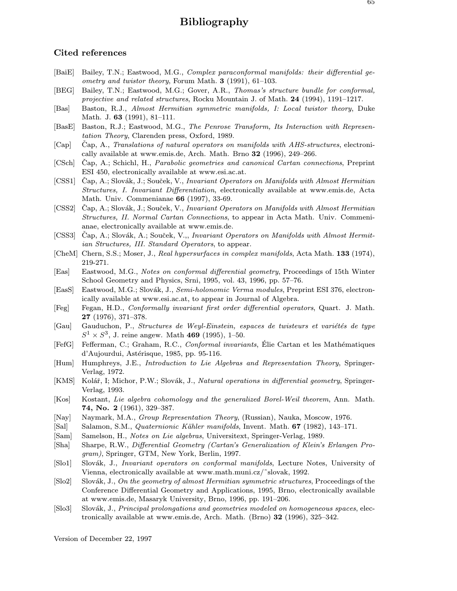## Bibliography

## Cited references

- [BaiE] Bailey, T.N.; Eastwood, M.G., Complex paraconformal manifolds: their differential geometry and twistor theory, Forum Math. 3 (1991), 61-103.
- [BEG] Bailey, T.N.; Eastwood, M.G.; Gover, A.R., Thomas's structure bundle for conformal, projective and related structures, Rocku Mountain J. of Math. 24 (1994), 1191–1217.
- [Bas] Baston, R.J., Almost Hermitian symmetric manifolds, I: Local twistor theory, Duke Math. J. **63** (1991), 81–111.
- [BasE] Baston, R.J.; Eastwood, M.G., The Penrose Transform, Its Interaction with Representation Theory, Clarenden press, Oxford, 1989.
- [Cap] Cap, A., Translations of natural operators on manifolds with AHS-structures, electronically available at www.emis.de, Arch. Math. Brno 32 (1996), 249–266.
- [CSch] Cap, A.; Schichl, H., Parabolic geometries and canonical Cartan connections, Preprint ESI 450, electronically available at www.esi.ac.at.
- [CSS1] Cap, A.; Slovák, J.; Souček, V., *Invariant Operators on Manifolds with Almost Hermitian* Structures, I. Invariant Differentiation, electronically available at www.emis.de, Acta Math. Univ. Commenianae 66 (1997), 33-69.
- [CSS2] Čap, A.; Slovák, J.; Souček, V., *Invariant Operators on Manifolds with Almost Hermitian* Structures, II. Normal Cartan Connections, to appear in Acta Math. Univ. Commenianae, electronically available at www.emis.de.
- [CSS3] Čap, A.; Slovák, A.; Souček, V.,, *Invariant Operators on Manifolds with Almost Hermit*ian Structures, III. Standard Operators, to appear.
- [CheM] Chern, S.S.; Moser, J., Real hypersurfaces in complex manifolds, Acta Math. 133 (1974), 219-271.
- [Eas] Eastwood, M.G., Notes on conformal differential geometry, Proceedings of 15th Winter School Geometry and Physics, Srni, 1995, vol. 43, 1996, pp. 57–76.
- [EasS] Eastwood, M.G.; Slovák, J., Semi-holonomic Verma modules, Preprint ESI 376, electronically available at www.esi.ac.at, to appear in Journal of Algebra.
- [Feg] Fegan, H.D., Conformally invariant first order differential operators, Quart. J. Math. 27 (1976), 371–378.
- [Gau] Gauduchon, P., Structures de Weyl-Einstein, espaces de twisteurs et variétés de type  $S^1 \times S^3$ , J. reine angew. Math 469 (1995), 1–50.
- [FefG] Fefferman, C.; Graham, R.C., Conformal invariants, Élie Cartan et les Mathématiques d'Aujourdui, Astérisque, 1985, pp. 95-116.
- [Hum] Humphreys, J.E., Introduction to Lie Algebras and Representation Theory, Springer-Verlag, 1972.
- [KMS] Kolář, I; Michor, P.W.; Slovák, J., Natural operations in differential geometry, Springer-Verlag, 1993.
- [Kos] Kostant, Lie algebra cohomology and the generalized Borel-Weil theorem, Ann. Math. 74, No. 2 (1961), 329–387.
- [Nay] Naymark, M.A., Group Representation Theory, (Russian), Nauka, Moscow, 1976.
- [Sal] Salamon, S.M., *Quaternionic Kähler manifolds*, Invent. Math. **67** (1982), 143–171.
- [Sam] Samelson, H., Notes on Lie algebras, Universitext, Springer-Verlag, 1989.
- [Sha] Sharpe, R.W., Differential Geometry (Cartan's Generalization of Klein's Erlangen Program), Springer, GTM, New York, Berlin, 1997.
- [Slo1] Slovák, J., Invariant operators on conformal manifolds, Lecture Notes, University of Vienna, electronically available at www.math.muni.cz/˜slovak, 1992.
- [Slo2] Slovák, J., On the geometry of almost Hermitian symmetric structures, Proceedings of the Conference Differential Geometry and Applications, 1995, Brno, electronically available at www.emis.de, Masaryk University, Brno, 1996, pp. 191–206.
- [Slo3] Slovák, J., Principal prolongations and geometries modeled on homogeneous spaces, electronically available at www.emis.de, Arch. Math. (Brno) 32 (1996), 325–342.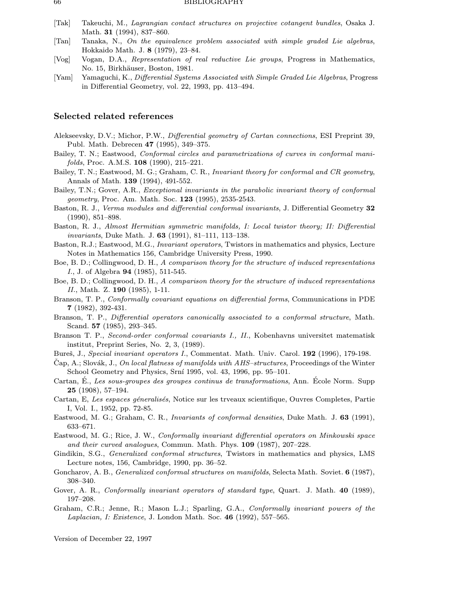#### 66 BIBLIOGRAPHY

- [Tak] Takeuchi, M., Lagrangian contact structures on projective cotangent bundles, Osaka J. Math. 31 (1994), 837–860.
- [Tan] Tanaka, N., On the equivalence problem associated with simple graded Lie algebras, Hokkaido Math. J. 8 (1979), 23–84.
- [Vog] Vogan, D.A., Representation of real reductive Lie groups, Progress in Mathematics, No. 15, Birkhäuser, Boston, 1981.
- [Yam] Yamaguchi, K., Differential Systems Associated with Simple Graded Lie Algebras, Progress in Differential Geometry, vol. 22, 1993, pp. 413–494.

#### Selected related references

- Alekseevsky, D.V.; Michor, P.W., Differential geometry of Cartan connections, ESI Preprint 39, Publ. Math. Debrecen 47 (1995), 349–375.
- Bailey, T. N.; Eastwood, Conformal circles and parametrizations of curves in conformal manifolds, Proc. A.M.S. **108** (1990), 215–221.
- Bailey, T. N.; Eastwood, M. G.; Graham, C. R., Invariant theory for conformal and CR geometry, Annals of Math. 139 (1994), 491-552.
- Bailey, T.N.; Gover, A.R., Exceptional invariants in the parabolic invariant theory of conformal geometry, Proc. Am. Math. Soc. 123 (1995), 2535-2543.
- Baston, R. J., Verma modules and differential conformal invariants, J. Differential Geometry 32 (1990), 851–898.
- Baston, R. J., Almost Hermitian symmetric manifolds, I: Local twistor theory; II: Differential invariants, Duke Math. J. 63 (1991), 81–111, 113–138.
- Baston, R.J.; Eastwood, M.G., Invariant operators, Twistors in mathematics and physics, Lecture Notes in Mathematics 156, Cambridge University Press, 1990.
- Boe, B. D.; Collingwood, D. H., A comparison theory for the structure of induced representations I., J. of Algebra 94 (1985), 511-545.
- Boe, B. D.; Collingwood, D. H., A comparison theory for the structure of induced representations II., Math. Z. 190 (1985), 1-11.
- Branson, T. P., Conformally covariant equations on differential forms, Communications in PDE 7 (1982), 392-431.
- Branson, T. P., Differential operators canonically associated to a conformal structure, Math. Scand. 57 (1985), 293–345.
- Branson T. P., Second-order conformal covariants I., II., Kobenhavns universitet matematisk institut, Preprint Series, No. 2, 3, (1989).
- Bureš, J., Special invariant operators I., Commentat. Math. Univ. Carol. 192 (1996), 179-198.
- Cap, A.; Slovák, J., On local flatness of manifolds with  $AHS-structures$ , Proceedings of the Winter School Geometry and Physics, Srní 1995, vol. 43, 1996, pp. 95–101.
- Cartan, É., Les sous-groupes des groupes continus de transformations, Ann. École Norm. Supp 25 (1908), 57–194.
- Cartan, E, Les espaces géneralisés, Notice sur les tryeaux scientifique, Ouvres Completes, Partie I, Vol. I., 1952, pp. 72-85.
- Eastwood, M. G.; Graham, C. R., Invariants of conformal densities, Duke Math. J. 63 (1991), 633–671.
- Eastwood, M. G.; Rice, J. W., Conformally invariant differential operators on Minkowski space and their curved analogues, Commun. Math. Phys. 109 (1987), 207–228.
- Gindikin, S.G., Generalized conformal structures, Twistors in mathematics and physics, LMS Lecture notes, 156, Cambridge, 1990, pp. 36–52.
- Goncharov, A. B., *Generalized conformal structures on manifolds*, Selecta Math. Soviet. **6** (1987), 308–340.
- Gover, A. R., Conformally invariant operators of standard type, Quart. J. Math. 40 (1989), 197–208.
- Graham, C.R.; Jenne, R.; Mason L.J.; Sparling, G.A., Conformally invariant powers of the Laplacian, I: Existence, J. London Math. Soc. 46 (1992), 557–565.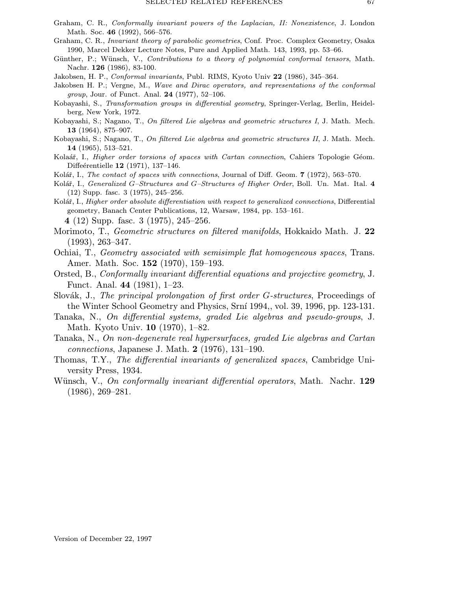- Graham, C. R., Conformally invariant powers of the Laplacian, II: Nonexistence, J. London Math. Soc. 46 (1992), 566-576.
- Graham, C. R., Invariant theory of parabolic geometries, Conf. Proc. Complex Geometry, Osaka 1990, Marcel Dekker Lecture Notes, Pure and Applied Math. 143, 1993, pp. 53–66.
- Günther, P.; Wünsch, V., Contributions to a theory of polynomial conformal tensors, Math. Nachr. 126 (1986), 83-100.
- Jakobsen, H. P., Conformal invariants, Publ. RIMS, Kyoto Univ 22 (1986), 345–364.
- Jakobsen H. P.; Vergne, M., Wave and Dirac operators, and representations of the conformal group, Jour. of Funct. Anal. 24 (1977), 52–106.
- Kobayashi, S., Transformation groups in differential geometry, Springer-Verlag, Berlin, Heidelberg, New York, 1972.
- Kobayashi, S.; Nagano, T., On filtered Lie algebras and geometric structures I, J. Math. Mech. 13 (1964), 875–907.
- Kobayashi, S.; Nagano, T., On filtered Lie algebras and geometric structures II, J. Math. Mech. 14 (1965), 513–521.
- Kolaář, I., *Higher order torsions of spaces with Cartan connection*, Cahiers Topologie Géom. Diffeérentielle 12 (1971), 137-146.
- Kolář, I., The contact of spaces with connections, Journal of Diff. Geom. 7 (1972), 563–570.
- Kolář, I., Generalized G-Structures and G-Structures of Higher Order, Boll. Un. Mat. Ital. 4 (12) Supp. fasc. 3 (1975), 245–256.
- Kolář, I., Higher order absolute differentiation with respect to generalized connections, Differential geometry, Banach Center Publications, 12, Warsaw, 1984, pp. 153–161.

4 (12) Supp. fasc. 3 (1975), 245–256.

- Morimoto, T., Geometric structures on filtered manifolds, Hokkaido Math. J. 22 (1993), 263–347.
- Ochiai, T., Geometry associated with semisimple flat homogeneous spaces, Trans. Amer. Math. Soc. 152 (1970), 159–193.
- Orsted, B., Conformally invariant differential equations and projective geometry, J. Funct. Anal. 44 (1981), 1–23.
- Slovák, J., The principal prolongation of first order G-structures, Proceedings of the Winter School Geometry and Physics, Srní 1994,, vol. 39, 1996, pp. 123-131.
- Tanaka, N., On differential systems, graded Lie algebras and pseudo-groups, J. Math. Kyoto Univ. 10 (1970), 1–82.
- Tanaka, N., On non-degenerate real hypersurfaces, graded Lie algebras and Cartan connections, Japanese J. Math.  $2(1976)$ , 131–190.
- Thomas, T.Y., The differential invariants of generalized spaces, Cambridge University Press, 1934.
- Wünsch, V., On conformally invariant differential operators, Math. Nachr. 129 (1986), 269–281.